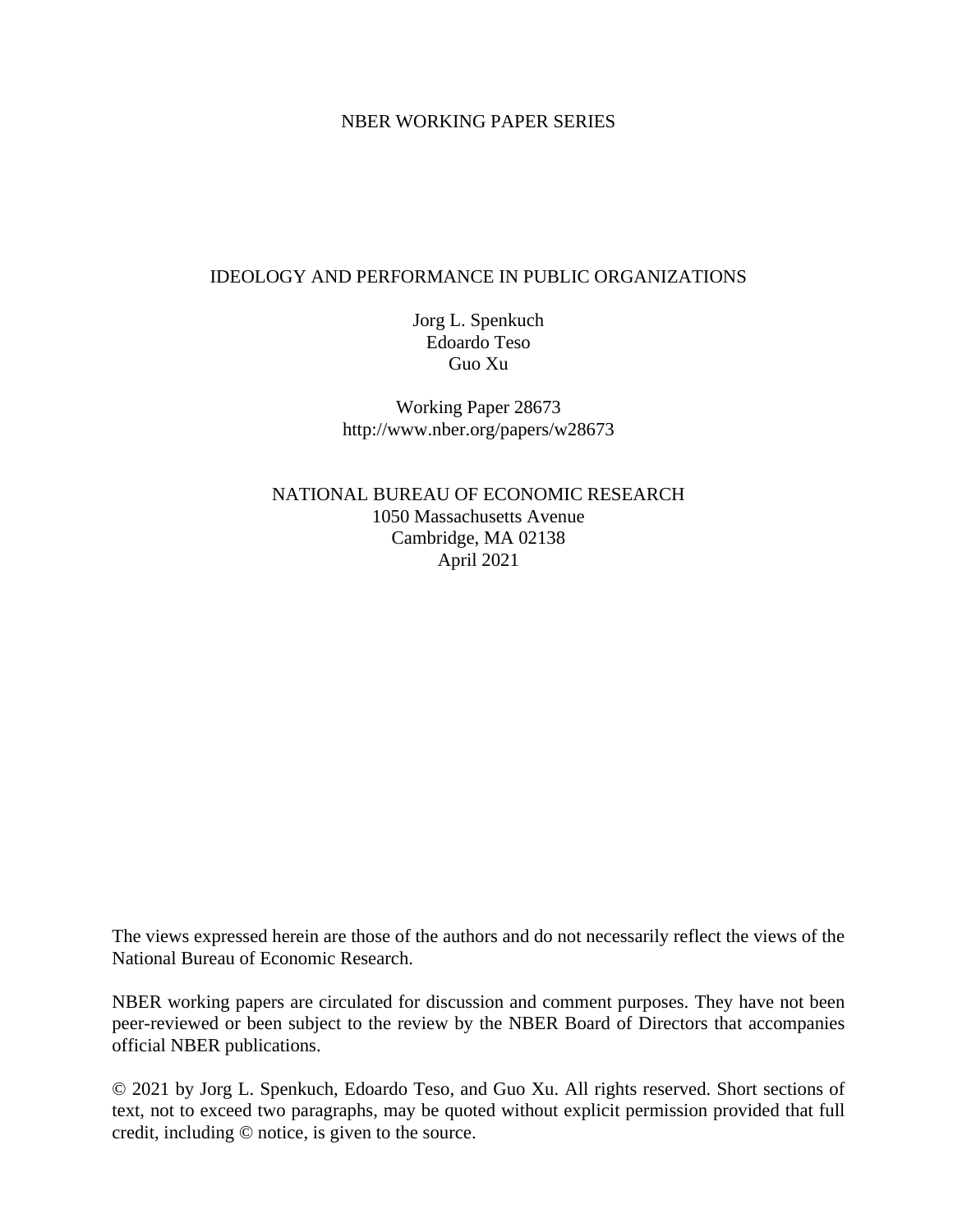## NBER WORKING PAPER SERIES

## IDEOLOGY AND PERFORMANCE IN PUBLIC ORGANIZATIONS

Jorg L. Spenkuch Edoardo Teso Guo Xu

Working Paper 28673 http://www.nber.org/papers/w28673

NATIONAL BUREAU OF ECONOMIC RESEARCH 1050 Massachusetts Avenue Cambridge, MA 02138 April 2021

The views expressed herein are those of the authors and do not necessarily reflect the views of the National Bureau of Economic Research.

NBER working papers are circulated for discussion and comment purposes. They have not been peer-reviewed or been subject to the review by the NBER Board of Directors that accompanies official NBER publications.

© 2021 by Jorg L. Spenkuch, Edoardo Teso, and Guo Xu. All rights reserved. Short sections of text, not to exceed two paragraphs, may be quoted without explicit permission provided that full credit, including © notice, is given to the source.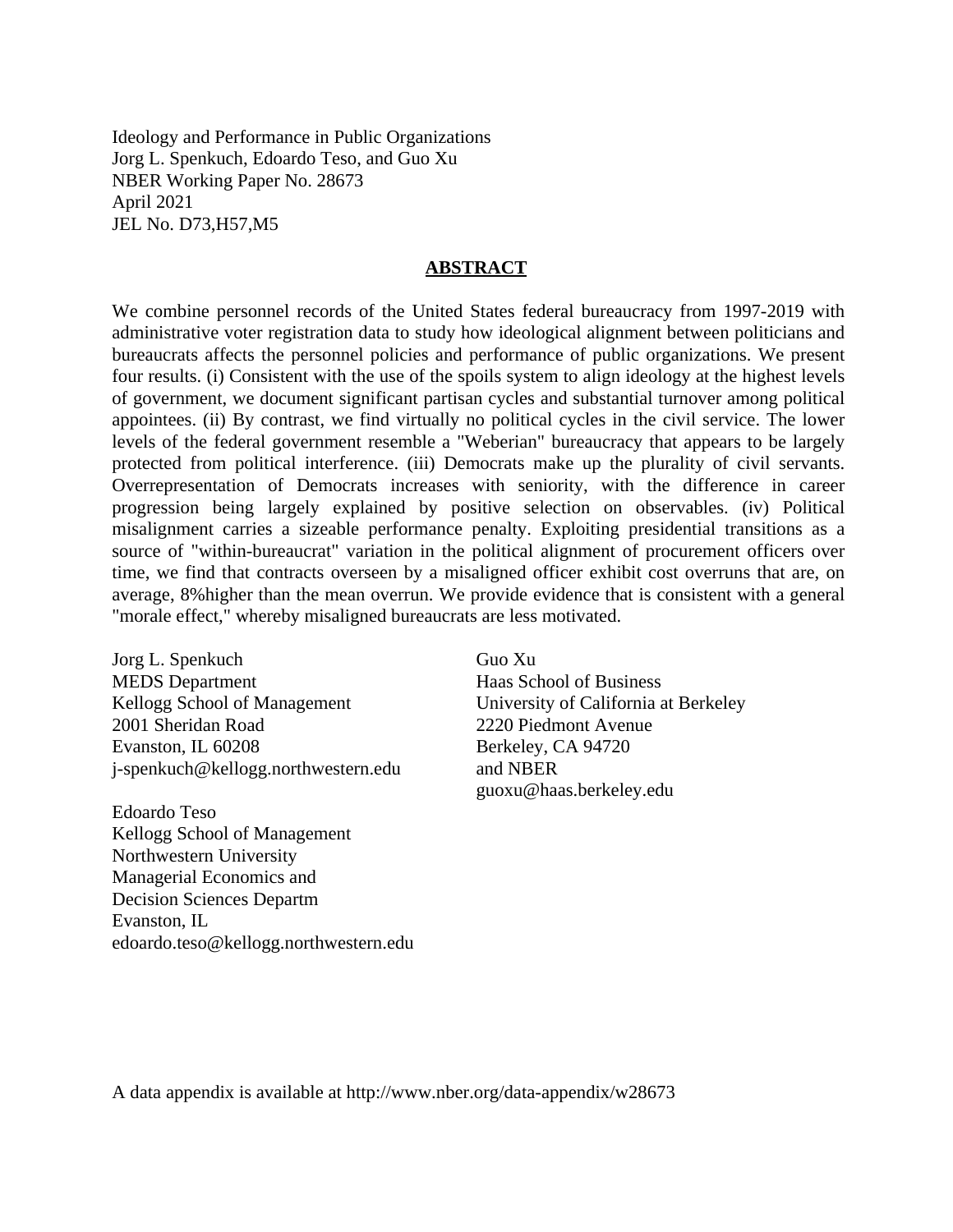Ideology and Performance in Public Organizations Jorg L. Spenkuch, Edoardo Teso, and Guo Xu NBER Working Paper No. 28673 April 2021 JEL No. D73,H57,M5

#### **ABSTRACT**

We combine personnel records of the United States federal bureaucracy from 1997-2019 with administrative voter registration data to study how ideological alignment between politicians and bureaucrats affects the personnel policies and performance of public organizations. We present four results. (i) Consistent with the use of the spoils system to align ideology at the highest levels of government, we document significant partisan cycles and substantial turnover among political appointees. (ii) By contrast, we find virtually no political cycles in the civil service. The lower levels of the federal government resemble a "Weberian" bureaucracy that appears to be largely protected from political interference. (iii) Democrats make up the plurality of civil servants. Overrepresentation of Democrats increases with seniority, with the difference in career progression being largely explained by positive selection on observables. (iv) Political misalignment carries a sizeable performance penalty. Exploiting presidential transitions as a source of "within-bureaucrat" variation in the political alignment of procurement officers over time, we find that contracts overseen by a misaligned officer exhibit cost overruns that are, on average, 8%higher than the mean overrun. We provide evidence that is consistent with a general "morale effect," whereby misaligned bureaucrats are less motivated.

Jorg L. Spenkuch MEDS Department Kellogg School of Management 2001 Sheridan Road Evanston, IL 60208 j-spenkuch@kellogg.northwestern.edu

Edoardo Teso Kellogg School of Management Northwestern University Managerial Economics and Decision Sciences Departm Evanston, IL edoardo.teso@kellogg.northwestern.edu Guo Xu Haas School of Business University of California at Berkeley 2220 Piedmont Avenue Berkeley, CA 94720 and NBER guoxu@haas.berkeley.edu

A data appendix is available at http://www.nber.org/data-appendix/w28673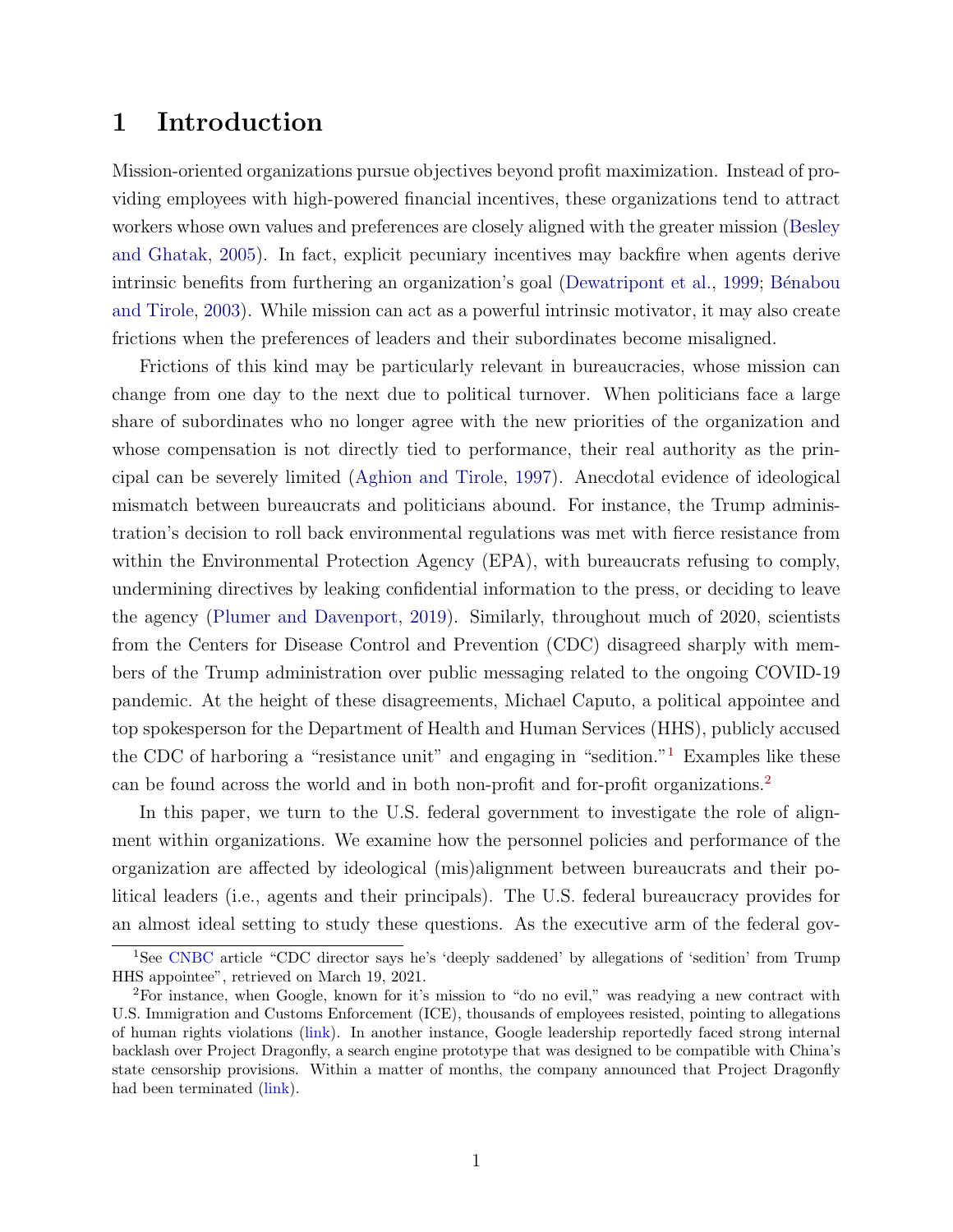# 1 Introduction

Mission-oriented organizations pursue objectives beyond profit maximization. Instead of providing employees with high-powered financial incentives, these organizations tend to attract workers whose own values and preferences are closely aligned with the greater mission [\(Besley](#page-29-0) [and Ghatak,](#page-29-0) [2005\)](#page-29-0). In fact, explicit pecuniary incentives may backfire when agents derive intrinsic benefits from furthering an organization's goal [\(Dewatripont et al.,](#page-30-0) [1999;](#page-30-0) Bénabou [and Tirole,](#page-29-1) [2003\)](#page-29-1). While mission can act as a powerful intrinsic motivator, it may also create frictions when the preferences of leaders and their subordinates become misaligned.

Frictions of this kind may be particularly relevant in bureaucracies, whose mission can change from one day to the next due to political turnover. When politicians face a large share of subordinates who no longer agree with the new priorities of the organization and whose compensation is not directly tied to performance, their real authority as the principal can be severely limited [\(Aghion and Tirole,](#page-28-0) [1997\)](#page-28-0). Anecdotal evidence of ideological mismatch between bureaucrats and politicians abound. For instance, the Trump administration's decision to roll back environmental regulations was met with fierce resistance from within the Environmental Protection Agency (EPA), with bureaucrats refusing to comply, undermining directives by leaking confidential information to the press, or deciding to leave the agency [\(Plumer and Davenport,](#page-31-0) [2019\)](#page-31-0). Similarly, throughout much of 2020, scientists from the Centers for Disease Control and Prevention (CDC) disagreed sharply with members of the Trump administration over public messaging related to the ongoing COVID-19 pandemic. At the height of these disagreements, Michael Caputo, a political appointee and top spokesperson for the Department of Health and Human Services (HHS), publicly accused the CDC of harboring a "resistance unit" and engaging in "sedition."[1](#page-2-0) Examples like these can be found across the world and in both non-profit and for-profit organizations.[2](#page-2-1)

In this paper, we turn to the U.S. federal government to investigate the role of alignment within organizations. We examine how the personnel policies and performance of the organization are affected by ideological (mis)alignment between bureaucrats and their political leaders (i.e., agents and their principals). The U.S. federal bureaucracy provides for an almost ideal setting to study these questions. As the executive arm of the federal gov-

<span id="page-2-0"></span><sup>1</sup>See [CNBC](https://www.cnbc.com/2020/09/16/cdc-director-says-he-was-deeply-saddened-by-allegations-of-sedition-from-trump-hhs-appointee.html) article "CDC director says he's 'deeply saddened' by allegations of 'sedition' from Trump HHS appointee", retrieved on March 19, 2021.

<span id="page-2-1"></span><sup>2</sup>For instance, when Google, known for it's mission to "do no evil," was readying a new contract with U.S. Immigration and Customs Enforcement (ICE), thousands of employees resisted, pointing to allegations of human rights violations [\(link\)](https://www.cnbc.com/2019/08/19/google-employees-implore-leaders-to-stop-working-with-us-bcp-ice.html). In another instance, Google leadership reportedly faced strong internal backlash over Project Dragonfly, a search engine prototype that was designed to be compatible with China's state censorship provisions. Within a matter of months, the company announced that Project Dragonfly had been terminated [\(link\)](https://www.bbc.com/news/technology-49015516).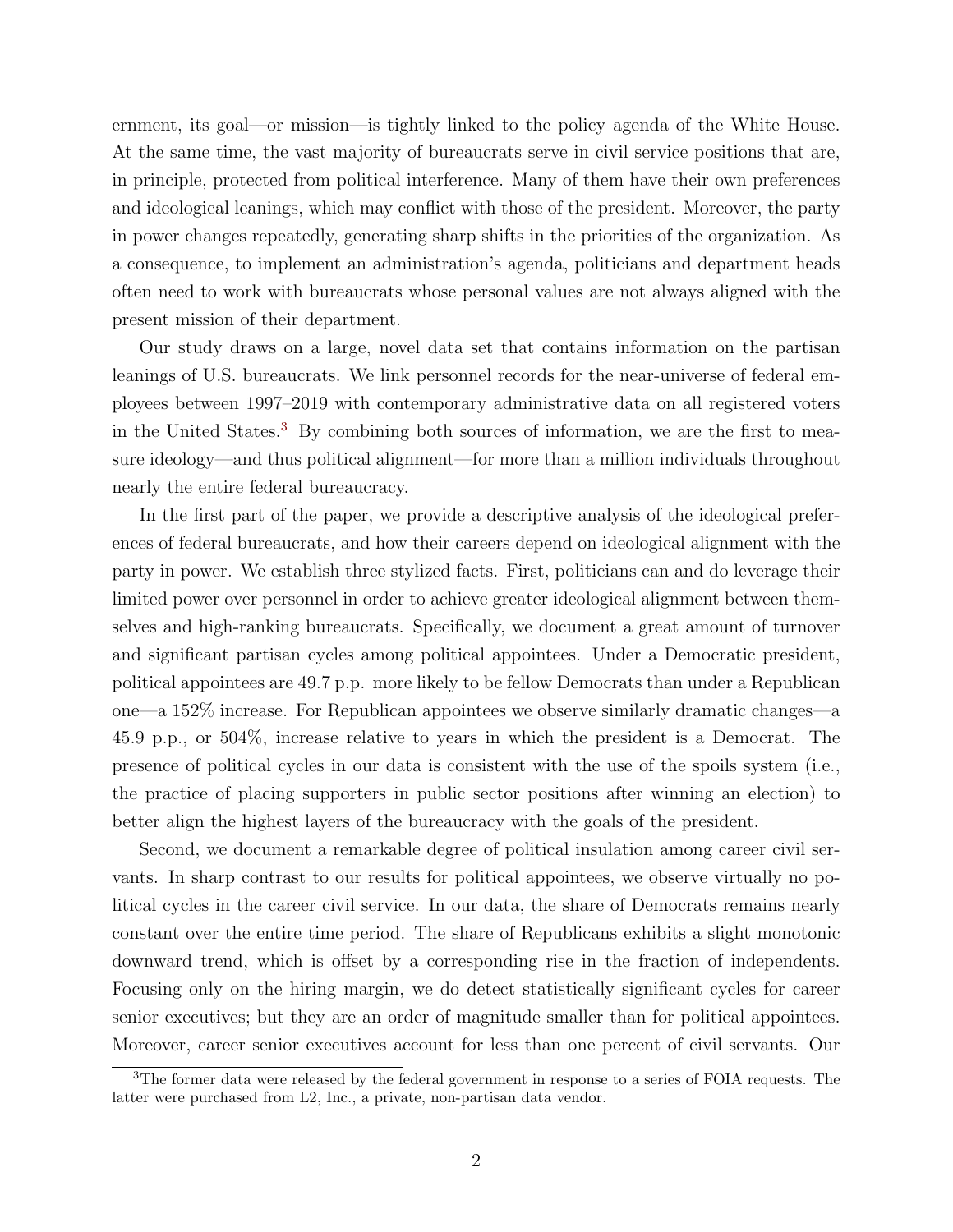ernment, its goal—or mission—is tightly linked to the policy agenda of the White House. At the same time, the vast majority of bureaucrats serve in civil service positions that are, in principle, protected from political interference. Many of them have their own preferences and ideological leanings, which may conflict with those of the president. Moreover, the party in power changes repeatedly, generating sharp shifts in the priorities of the organization. As a consequence, to implement an administration's agenda, politicians and department heads often need to work with bureaucrats whose personal values are not always aligned with the present mission of their department.

Our study draws on a large, novel data set that contains information on the partisan leanings of U.S. bureaucrats. We link personnel records for the near-universe of federal employees between 1997–2019 with contemporary administrative data on all registered voters in the United States.<sup>[3](#page-3-0)</sup> By combining both sources of information, we are the first to measure ideology—and thus political alignment—for more than a million individuals throughout nearly the entire federal bureaucracy.

In the first part of the paper, we provide a descriptive analysis of the ideological preferences of federal bureaucrats, and how their careers depend on ideological alignment with the party in power. We establish three stylized facts. First, politicians can and do leverage their limited power over personnel in order to achieve greater ideological alignment between themselves and high-ranking bureaucrats. Specifically, we document a great amount of turnover and significant partisan cycles among political appointees. Under a Democratic president, political appointees are 49.7 p.p. more likely to be fellow Democrats than under a Republican one—a 152% increase. For Republican appointees we observe similarly dramatic changes—a 45.9 p.p., or 504%, increase relative to years in which the president is a Democrat. The presence of political cycles in our data is consistent with the use of the spoils system (i.e., the practice of placing supporters in public sector positions after winning an election) to better align the highest layers of the bureaucracy with the goals of the president.

Second, we document a remarkable degree of political insulation among career civil servants. In sharp contrast to our results for political appointees, we observe virtually no political cycles in the career civil service. In our data, the share of Democrats remains nearly constant over the entire time period. The share of Republicans exhibits a slight monotonic downward trend, which is offset by a corresponding rise in the fraction of independents. Focusing only on the hiring margin, we do detect statistically significant cycles for career senior executives; but they are an order of magnitude smaller than for political appointees. Moreover, career senior executives account for less than one percent of civil servants. Our

<span id="page-3-0"></span><sup>&</sup>lt;sup>3</sup>The former data were released by the federal government in response to a series of FOIA requests. The latter were purchased from L2, Inc., a private, non-partisan data vendor.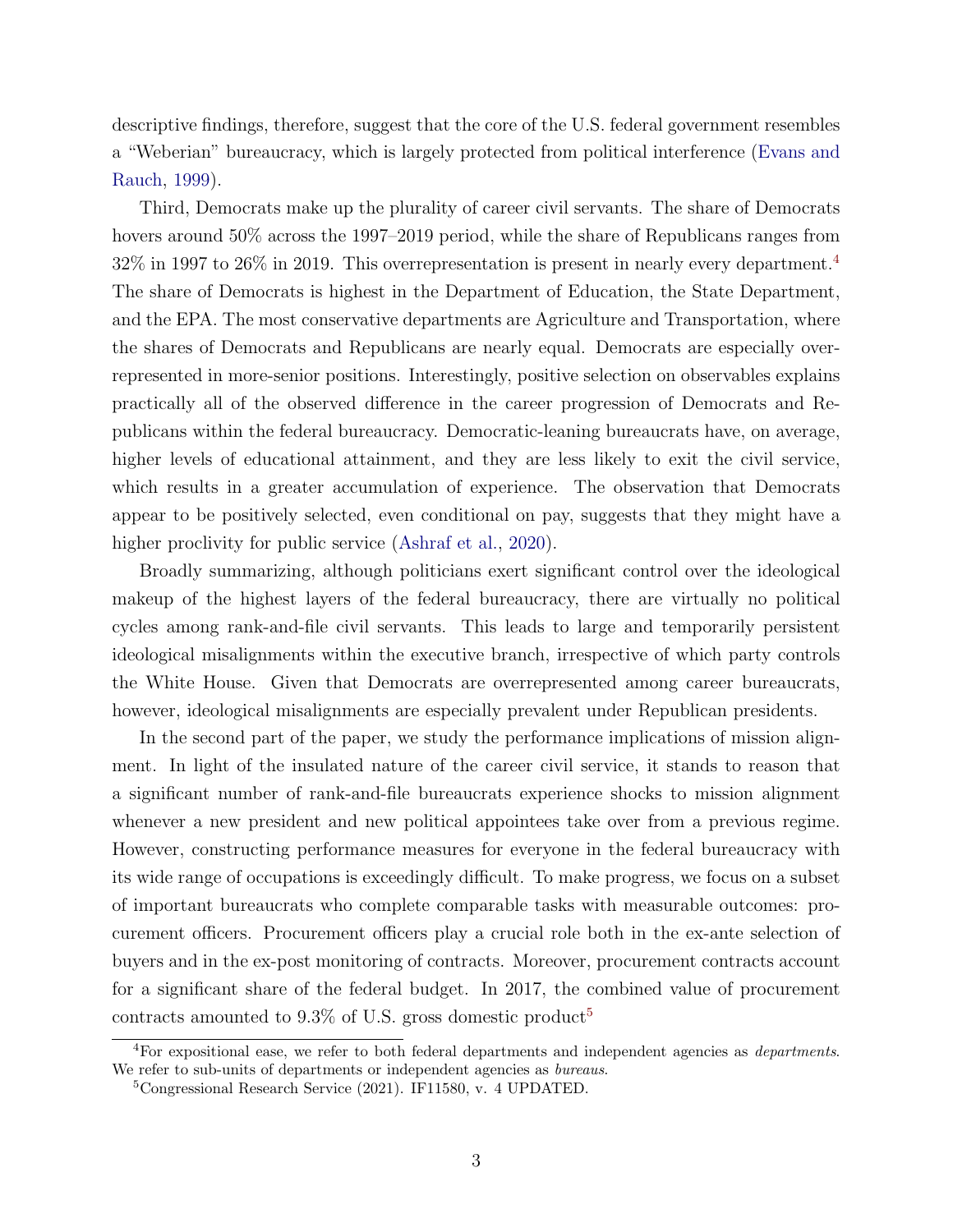descriptive findings, therefore, suggest that the core of the U.S. federal government resembles a "Weberian" bureaucracy, which is largely protected from political interference [\(Evans and](#page-30-1) [Rauch,](#page-30-1) [1999\)](#page-30-1).

Third, Democrats make up the plurality of career civil servants. The share of Democrats hovers around 50% across the 1997–2019 period, while the share of Republicans ranges from  $32\%$  in 1997 to  $26\%$  in 2019. This overrepresentation is present in nearly every department.<sup>[4](#page-4-0)</sup> The share of Democrats is highest in the Department of Education, the State Department, and the EPA. The most conservative departments are Agriculture and Transportation, where the shares of Democrats and Republicans are nearly equal. Democrats are especially overrepresented in more-senior positions. Interestingly, positive selection on observables explains practically all of the observed difference in the career progression of Democrats and Republicans within the federal bureaucracy. Democratic-leaning bureaucrats have, on average, higher levels of educational attainment, and they are less likely to exit the civil service, which results in a greater accumulation of experience. The observation that Democrats appear to be positively selected, even conditional on pay, suggests that they might have a higher proclivity for public service [\(Ashraf et al.,](#page-28-1) [2020\)](#page-28-1).

Broadly summarizing, although politicians exert significant control over the ideological makeup of the highest layers of the federal bureaucracy, there are virtually no political cycles among rank-and-file civil servants. This leads to large and temporarily persistent ideological misalignments within the executive branch, irrespective of which party controls the White House. Given that Democrats are overrepresented among career bureaucrats, however, ideological misalignments are especially prevalent under Republican presidents.

In the second part of the paper, we study the performance implications of mission alignment. In light of the insulated nature of the career civil service, it stands to reason that a significant number of rank-and-file bureaucrats experience shocks to mission alignment whenever a new president and new political appointees take over from a previous regime. However, constructing performance measures for everyone in the federal bureaucracy with its wide range of occupations is exceedingly difficult. To make progress, we focus on a subset of important bureaucrats who complete comparable tasks with measurable outcomes: procurement officers. Procurement officers play a crucial role both in the ex-ante selection of buyers and in the ex-post monitoring of contracts. Moreover, procurement contracts account for a significant share of the federal budget. In 2017, the combined value of procurement contracts amounted to  $9.3\%$  of U.S. gross domestic product<sup>[5](#page-4-1)</sup>

<span id="page-4-0"></span><sup>4</sup>For expositional ease, we refer to both federal departments and independent agencies as departments. We refer to sub-units of departments or independent agencies as *bureaus*.

<span id="page-4-1"></span><sup>5</sup>Congressional Research Service (2021). IF11580, v. 4 UPDATED.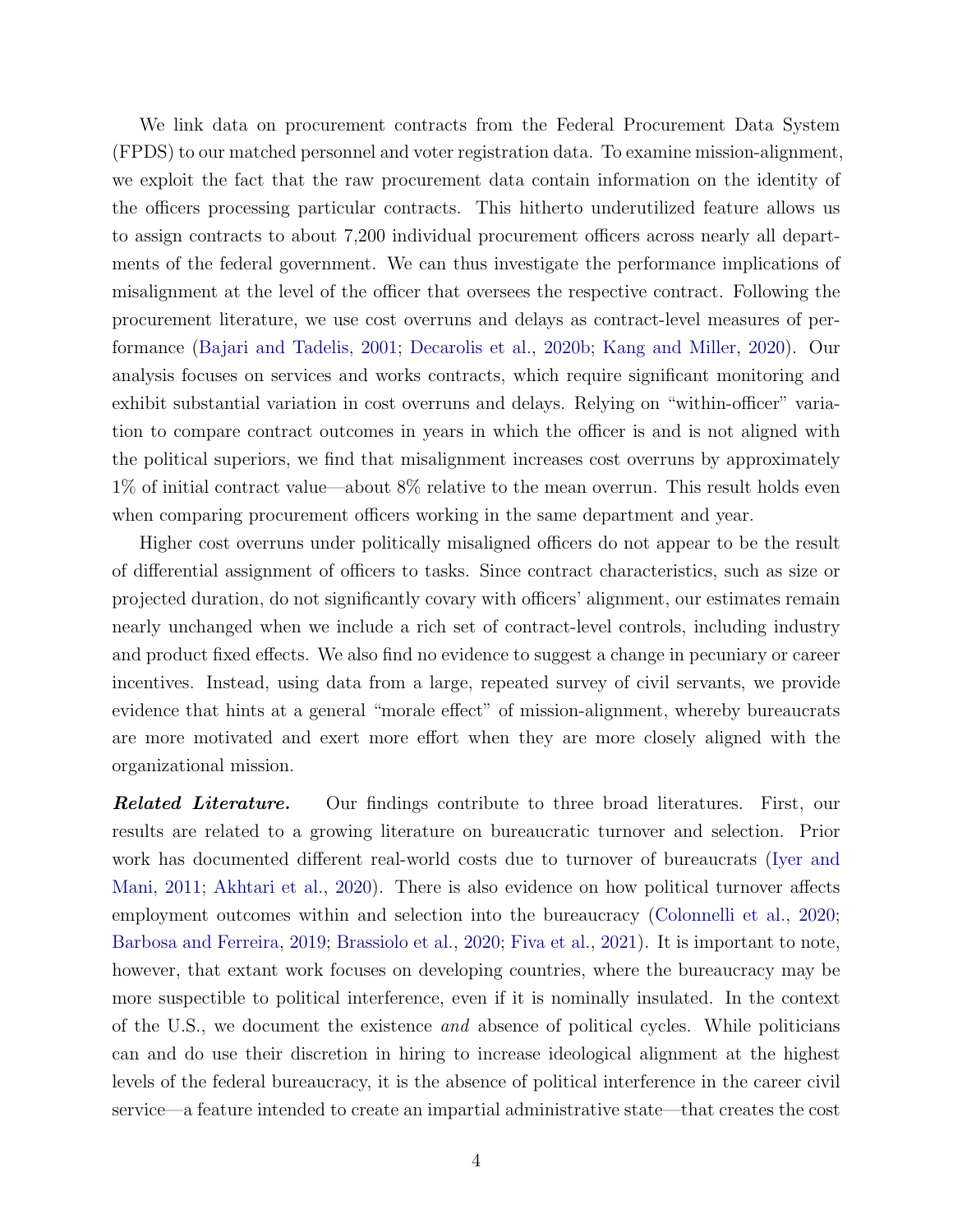We link data on procurement contracts from the Federal Procurement Data System (FPDS) to our matched personnel and voter registration data. To examine mission-alignment, we exploit the fact that the raw procurement data contain information on the identity of the officers processing particular contracts. This hitherto underutilized feature allows us to assign contracts to about 7,200 individual procurement officers across nearly all departments of the federal government. We can thus investigate the performance implications of misalignment at the level of the officer that oversees the respective contract. Following the procurement literature, we use cost overruns and delays as contract-level measures of performance [\(Bajari and Tadelis,](#page-28-2) [2001;](#page-28-2) [Decarolis et al.,](#page-30-2) [2020b;](#page-30-2) [Kang and Miller,](#page-31-1) [2020\)](#page-31-1). Our analysis focuses on services and works contracts, which require significant monitoring and exhibit substantial variation in cost overruns and delays. Relying on "within-officer" variation to compare contract outcomes in years in which the officer is and is not aligned with the political superiors, we find that misalignment increases cost overruns by approximately 1% of initial contract value—about 8% relative to the mean overrun. This result holds even when comparing procurement officers working in the same department and year.

Higher cost overruns under politically misaligned officers do not appear to be the result of differential assignment of officers to tasks. Since contract characteristics, such as size or projected duration, do not significantly covary with officers' alignment, our estimates remain nearly unchanged when we include a rich set of contract-level controls, including industry and product fixed effects. We also find no evidence to suggest a change in pecuniary or career incentives. Instead, using data from a large, repeated survey of civil servants, we provide evidence that hints at a general "morale effect" of mission-alignment, whereby bureaucrats are more motivated and exert more effort when they are more closely aligned with the organizational mission.

**Related Literature.** Our findings contribute to three broad literatures. First, our results are related to a growing literature on bureaucratic turnover and selection. Prior work has documented different real-world costs due to turnover of bureaucrats [\(Iyer and](#page-31-2) [Mani,](#page-31-2) [2011;](#page-31-2) [Akhtari et al.,](#page-28-3) [2020\)](#page-28-3). There is also evidence on how political turnover affects employment outcomes within and selection into the bureaucracy [\(Colonnelli et al.,](#page-30-3) [2020;](#page-30-3) [Barbosa and Ferreira,](#page-28-4) [2019;](#page-28-4) [Brassiolo et al.,](#page-29-2) [2020;](#page-29-2) [Fiva et al.,](#page-30-4) [2021\)](#page-30-4). It is important to note, however, that extant work focuses on developing countries, where the bureaucracy may be more suspectible to political interference, even if it is nominally insulated. In the context of the U.S., we document the existence and absence of political cycles. While politicians can and do use their discretion in hiring to increase ideological alignment at the highest levels of the federal bureaucracy, it is the absence of political interference in the career civil service—a feature intended to create an impartial administrative state—that creates the cost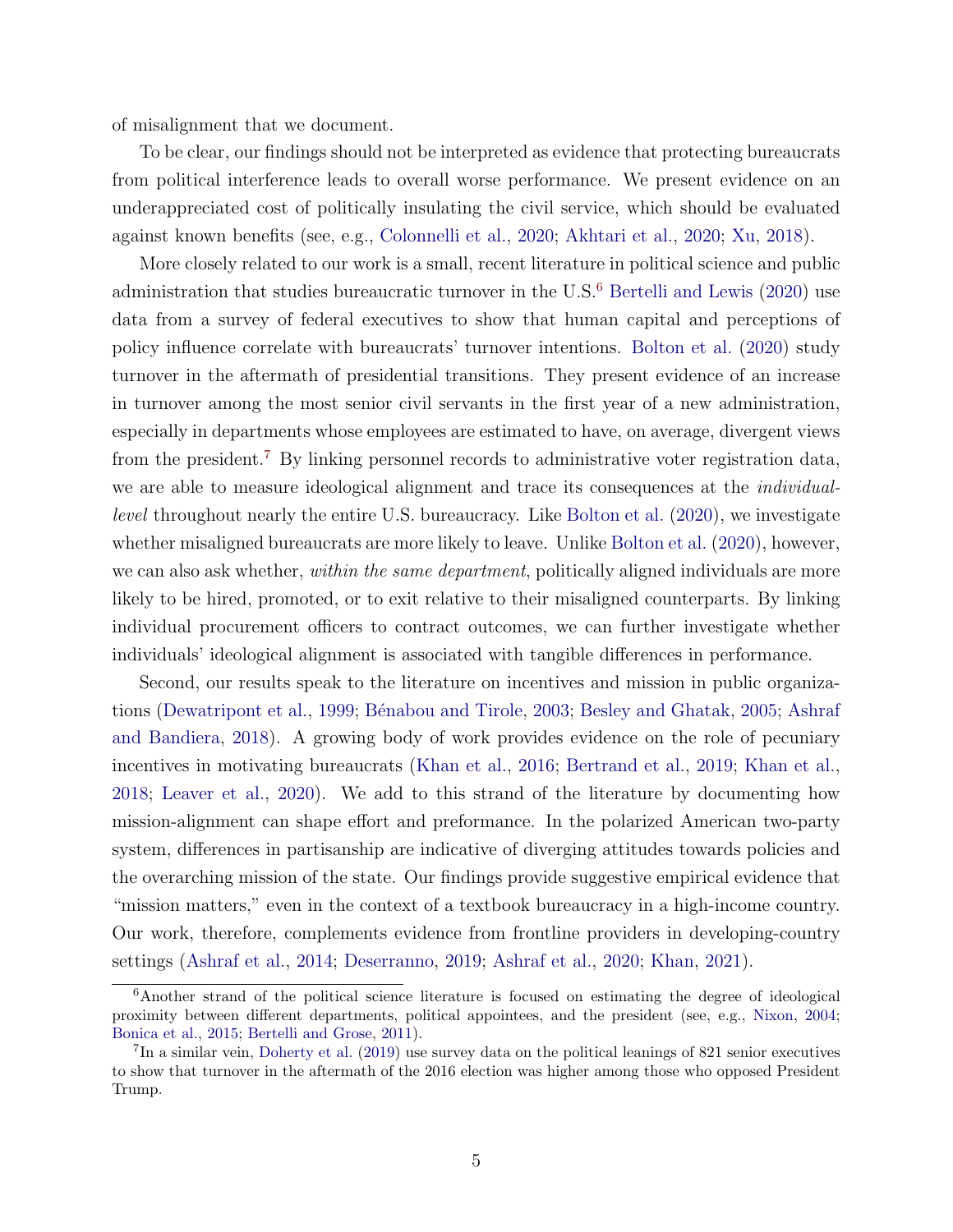of misalignment that we document.

To be clear, our findings should not be interpreted as evidence that protecting bureaucrats from political interference leads to overall worse performance. We present evidence on an underappreciated cost of politically insulating the civil service, which should be evaluated against known benefits (see, e.g., [Colonnelli et al.,](#page-30-3) [2020;](#page-30-3) [Akhtari et al.,](#page-28-3) [2020;](#page-28-3) [Xu,](#page-31-3) [2018\)](#page-31-3).

More closely related to our work is a small, recent literature in political science and public administration that studies bureaucratic turnover in the  $U.S.^6$  $U.S.^6$  [Bertelli and Lewis](#page-29-3) [\(2020\)](#page-29-3) use data from a survey of federal executives to show that human capital and perceptions of policy influence correlate with bureaucrats' turnover intentions. [Bolton et al.](#page-29-4) [\(2020\)](#page-29-4) study turnover in the aftermath of presidential transitions. They present evidence of an increase in turnover among the most senior civil servants in the first year of a new administration, especially in departments whose employees are estimated to have, on average, divergent views from the president.[7](#page-6-1) By linking personnel records to administrative voter registration data, we are able to measure ideological alignment and trace its consequences at the individuallevel throughout nearly the entire U.S. bureaucracy. Like [Bolton et al.](#page-29-4) [\(2020\)](#page-29-4), we investigate whether misaligned bureaucrats are more likely to leave. Unlike [Bolton et al.](#page-29-4) [\(2020\)](#page-29-4), however, we can also ask whether, *within the same department*, politically aligned individuals are more likely to be hired, promoted, or to exit relative to their misaligned counterparts. By linking individual procurement officers to contract outcomes, we can further investigate whether individuals' ideological alignment is associated with tangible differences in performance.

Second, our results speak to the literature on incentives and mission in public organiza-tions [\(Dewatripont et al.,](#page-30-0) [1999;](#page-30-0) Bénabou and Tirole, [2003;](#page-29-1) [Besley and Ghatak,](#page-29-0) [2005;](#page-29-0) [Ashraf](#page-28-5) [and Bandiera,](#page-28-5) [2018\)](#page-28-5). A growing body of work provides evidence on the role of pecuniary incentives in motivating bureaucrats [\(Khan et al.,](#page-31-4) [2016;](#page-31-4) [Bertrand et al.,](#page-29-5) [2019;](#page-29-5) [Khan et al.,](#page-31-5) [2018;](#page-31-5) [Leaver et al.,](#page-31-6) [2020\)](#page-31-6). We add to this strand of the literature by documenting how mission-alignment can shape effort and preformance. In the polarized American two-party system, differences in partisanship are indicative of diverging attitudes towards policies and the overarching mission of the state. Our findings provide suggestive empirical evidence that "mission matters," even in the context of a textbook bureaucracy in a high-income country. Our work, therefore, complements evidence from frontline providers in developing-country settings [\(Ashraf et al.,](#page-28-6) [2014;](#page-28-6) [Deserranno,](#page-30-5) [2019;](#page-30-5) [Ashraf et al.,](#page-28-1) [2020;](#page-28-1) [Khan,](#page-31-7) [2021\)](#page-31-7).

<span id="page-6-0"></span><sup>6</sup>Another strand of the political science literature is focused on estimating the degree of ideological proximity between different departments, political appointees, and the president (see, e.g., [Nixon,](#page-31-8) [2004;](#page-31-8) [Bonica et al.,](#page-29-6) [2015;](#page-29-6) [Bertelli and Grose,](#page-29-7) [2011\)](#page-29-7).

<span id="page-6-1"></span><sup>&</sup>lt;sup>7</sup>In a similar vein, [Doherty et al.](#page-30-6) [\(2019\)](#page-30-6) use survey data on the political leanings of 821 senior executives to show that turnover in the aftermath of the 2016 election was higher among those who opposed President Trump.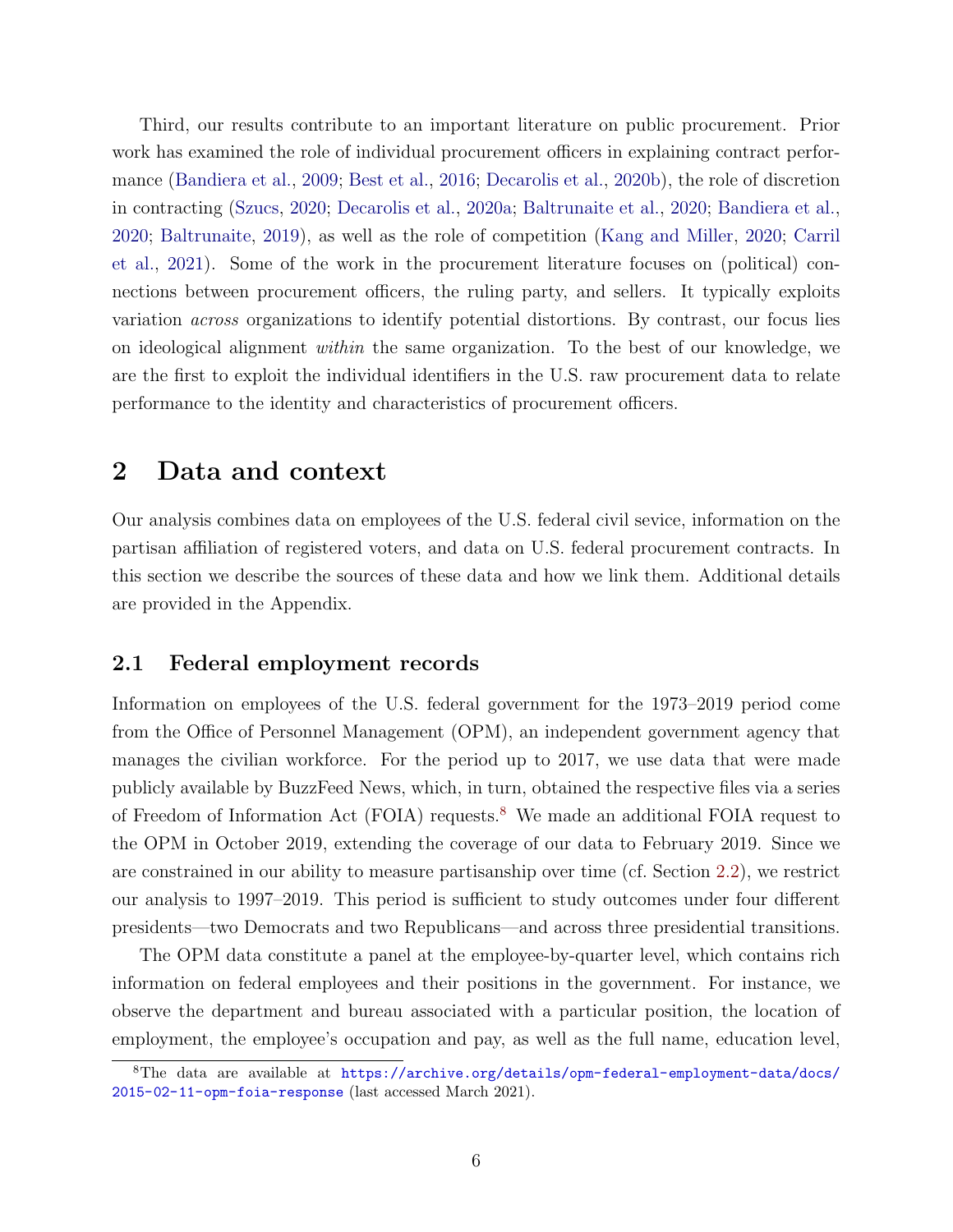Third, our results contribute to an important literature on public procurement. Prior work has examined the role of individual procurement officers in explaining contract performance [\(Bandiera et al.,](#page-28-7) [2009;](#page-28-7) [Best et al.,](#page-29-8) [2016;](#page-29-8) [Decarolis et al.,](#page-30-2) [2020b\)](#page-30-2), the role of discretion in contracting [\(Szucs,](#page-31-9) [2020;](#page-31-9) [Decarolis et al.,](#page-30-7) [2020a;](#page-30-7) [Baltrunaite et al.,](#page-28-8) [2020;](#page-28-8) [Bandiera et al.,](#page-28-9) [2020;](#page-28-9) [Baltrunaite,](#page-28-10) [2019\)](#page-28-10), as well as the role of competition [\(Kang and Miller,](#page-31-1) [2020;](#page-31-1) [Carril](#page-29-9) [et al.,](#page-29-9) [2021\)](#page-29-9). Some of the work in the procurement literature focuses on (political) connections between procurement officers, the ruling party, and sellers. It typically exploits variation across organizations to identify potential distortions. By contrast, our focus lies on ideological alignment within the same organization. To the best of our knowledge, we are the first to exploit the individual identifiers in the U.S. raw procurement data to relate performance to the identity and characteristics of procurement officers.

## 2 Data and context

Our analysis combines data on employees of the U.S. federal civil sevice, information on the partisan affiliation of registered voters, and data on U.S. federal procurement contracts. In this section we describe the sources of these data and how we link them. Additional details are provided in the Appendix.

### 2.1 Federal employment records

Information on employees of the U.S. federal government for the 1973–2019 period come from the Office of Personnel Management (OPM), an independent government agency that manages the civilian workforce. For the period up to 2017, we use data that were made publicly available by BuzzFeed News, which, in turn, obtained the respective files via a series of Freedom of Information Act (FOIA) requests.[8](#page-7-0) We made an additional FOIA request to the OPM in October 2019, extending the coverage of our data to February 2019. Since we are constrained in our ability to measure partisanship over time (cf. Section [2.2\)](#page-9-0), we restrict our analysis to 1997–2019. This period is sufficient to study outcomes under four different presidents—two Democrats and two Republicans—and across three presidential transitions.

The OPM data constitute a panel at the employee-by-quarter level, which contains rich information on federal employees and their positions in the government. For instance, we observe the department and bureau associated with a particular position, the location of employment, the employee's occupation and pay, as well as the full name, education level,

<span id="page-7-0"></span><sup>8</sup>The data are available at [https://archive.org/details/opm-federal-employment-data/docs/](https://archive.org/details/opm-federal-employment-data/docs/2015-02-11-opm-foia-response) [2015-02-11-opm-foia-response](https://archive.org/details/opm-federal-employment-data/docs/2015-02-11-opm-foia-response) (last accessed March 2021).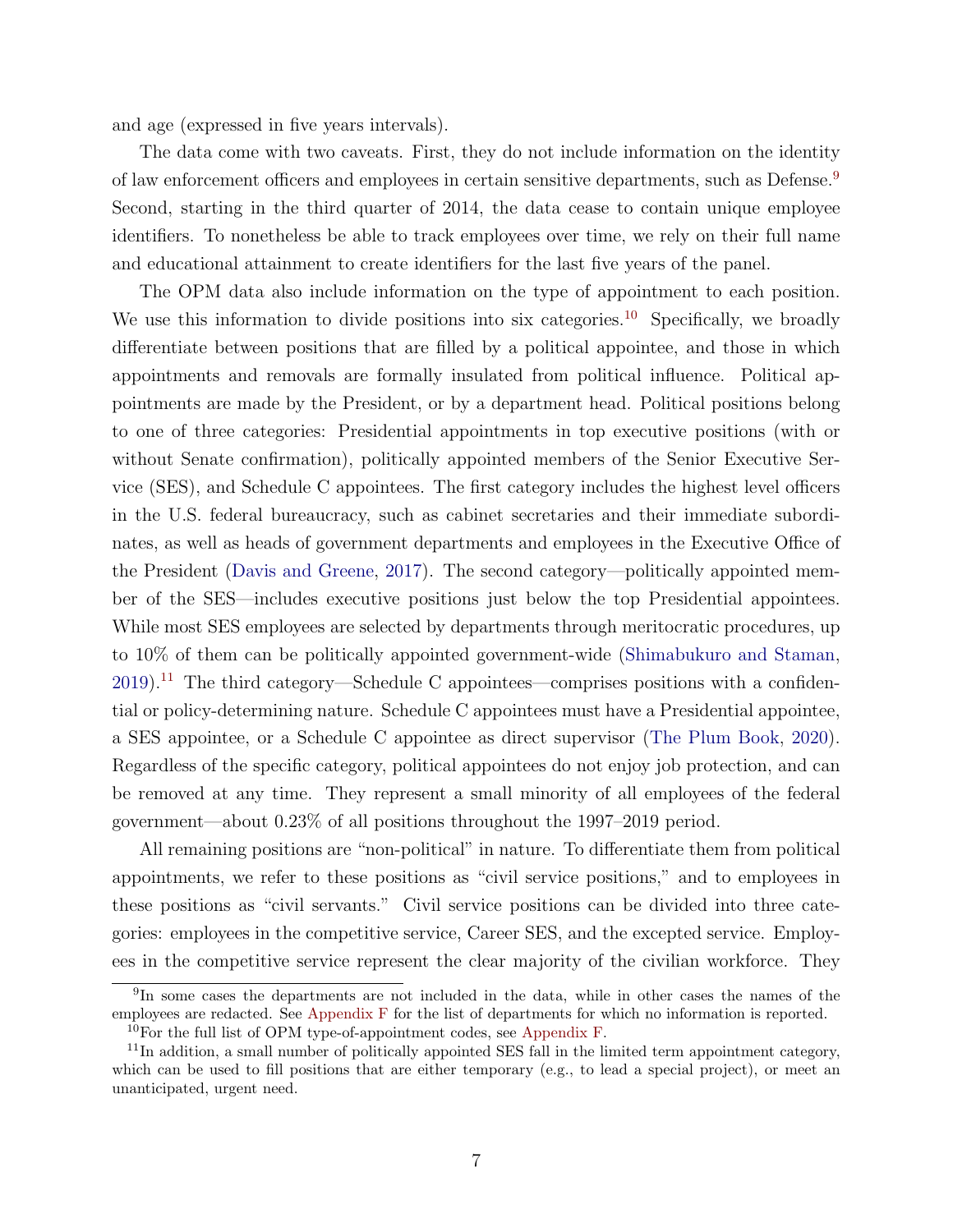and age (expressed in five years intervals).

The data come with two caveats. First, they do not include information on the identity of law enforcement officers and employees in certain sensitive departments, such as Defense.[9](#page-8-0) Second, starting in the third quarter of 2014, the data cease to contain unique employee identifiers. To nonetheless be able to track employees over time, we rely on their full name and educational attainment to create identifiers for the last five years of the panel.

The OPM data also include information on the type of appointment to each position. We use this information to divide positions into six categories.<sup>[10](#page-8-1)</sup> Specifically, we broadly differentiate between positions that are filled by a political appointee, and those in which appointments and removals are formally insulated from political influence. Political appointments are made by the President, or by a department head. Political positions belong to one of three categories: Presidential appointments in top executive positions (with or without Senate confirmation), politically appointed members of the Senior Executive Service (SES), and Schedule C appointees. The first category includes the highest level officers in the U.S. federal bureaucracy, such as cabinet secretaries and their immediate subordinates, as well as heads of government departments and employees in the Executive Office of the President [\(Davis and Greene,](#page-30-8) [2017\)](#page-30-8). The second category—politically appointed member of the SES—includes executive positions just below the top Presidential appointees. While most SES employees are selected by departments through meritocratic procedures, up to 10% of them can be politically appointed government-wide [\(Shimabukuro and Staman,](#page-31-10)  $2019$ <sup>[11](#page-8-2)</sup> The third category—Schedule C appointees—comprises positions with a confidential or policy-determining nature. Schedule C appointees must have a Presidential appointee, a SES appointee, or a Schedule C appointee as direct supervisor [\(The Plum Book,](#page-31-11) [2020\)](#page-31-11). Regardless of the specific category, political appointees do not enjoy job protection, and can be removed at any time. They represent a small minority of all employees of the federal government—about 0.23% of all positions throughout the 1997–2019 period.

All remaining positions are "non-political" in nature. To differentiate them from political appointments, we refer to these positions as "civil service positions," and to employees in these positions as "civil servants." Civil service positions can be divided into three categories: employees in the competitive service, Career SES, and the excepted service. Employees in the competitive service represent the clear majority of the civilian workforce. They

<span id="page-8-0"></span><sup>9</sup> In some cases the departments are not included in the data, while in other cases the names of the employees are redacted. See Appendix F for the list of departments for which no information is reported.

<span id="page-8-2"></span><span id="page-8-1"></span><sup>&</sup>lt;sup>10</sup>For the full list of OPM type-of-appointment codes, see Appendix F.

 $11$ In addition, a small number of politically appointed SES fall in the limited term appointment category, which can be used to fill positions that are either temporary (e.g., to lead a special project), or meet an unanticipated, urgent need.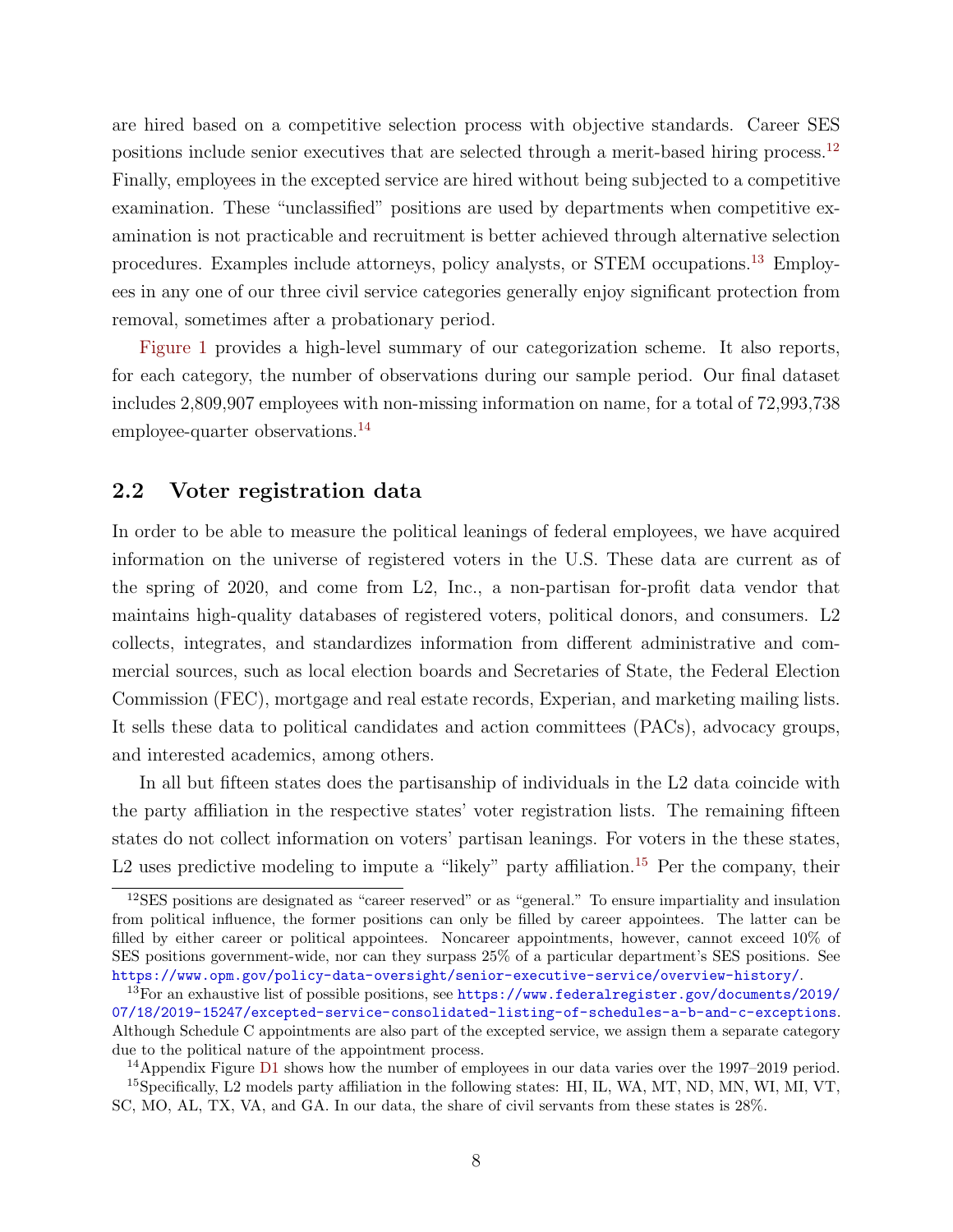are hired based on a competitive selection process with objective standards. Career SES positions include senior executives that are selected through a merit-based hiring process.<sup>[12](#page-9-1)</sup> Finally, employees in the excepted service are hired without being subjected to a competitive examination. These "unclassified" positions are used by departments when competitive examination is not practicable and recruitment is better achieved through alternative selection procedures. Examples include attorneys, policy analysts, or STEM occupations.[13](#page-9-2) Employees in any one of our three civil service categories generally enjoy significant protection from removal, sometimes after a probationary period.

[Figure 1](#page-32-0) provides a high-level summary of our categorization scheme. It also reports, for each category, the number of observations during our sample period. Our final dataset includes 2,809,907 employees with non-missing information on name, for a total of 72,993,738 employee-quarter observations.<sup>[14](#page-9-3)</sup>

## <span id="page-9-0"></span>2.2 Voter registration data

In order to be able to measure the political leanings of federal employees, we have acquired information on the universe of registered voters in the U.S. These data are current as of the spring of 2020, and come from L2, Inc., a non-partisan for-profit data vendor that maintains high-quality databases of registered voters, political donors, and consumers. L2 collects, integrates, and standardizes information from different administrative and commercial sources, such as local election boards and Secretaries of State, the Federal Election Commission (FEC), mortgage and real estate records, Experian, and marketing mailing lists. It sells these data to political candidates and action committees (PACs), advocacy groups, and interested academics, among others.

In all but fifteen states does the partisanship of individuals in the L2 data coincide with the party affiliation in the respective states' voter registration lists. The remaining fifteen states do not collect information on voters' partisan leanings. For voters in the these states, L2 uses predictive modeling to impute a "likely" party affiliation.<sup>[15](#page-9-4)</sup> Per the company, their

<span id="page-9-1"></span><sup>&</sup>lt;sup>12</sup>SES positions are designated as "career reserved" or as "general." To ensure impartiality and insulation from political influence, the former positions can only be filled by career appointees. The latter can be filled by either career or political appointees. Noncareer appointments, however, cannot exceed 10% of SES positions government-wide, nor can they surpass 25% of a particular department's SES positions. See <https://www.opm.gov/policy-data-oversight/senior-executive-service/overview-history/>.

<span id="page-9-2"></span><sup>13</sup>For an exhaustive list of possible positions, see [https://www.federalregister.gov/documents/2019/](https://www.federalregister.gov/documents/2019/07/18/2019-15247/excepted-service-consolidated-listing-of-schedules-a-b-and-c-exceptions) [07/18/2019-15247/excepted-service-consolidated-listing-of-schedules-a-b-and-c-exceptions](https://www.federalregister.gov/documents/2019/07/18/2019-15247/excepted-service-consolidated-listing-of-schedules-a-b-and-c-exceptions). Although Schedule C appointments are also part of the excepted service, we assign them a separate category due to the political nature of the appointment process.

<span id="page-9-4"></span><span id="page-9-3"></span><sup>&</sup>lt;sup>14</sup>Appendix Figure D1 shows how the number of employees in our data varies over the 1997–2019 period. <sup>15</sup>Specifically, L2 models party affiliation in the following states: HI, IL, WA, MT, ND, MN, WI, MI, VT, SC, MO, AL, TX, VA, and GA. In our data, the share of civil servants from these states is 28%.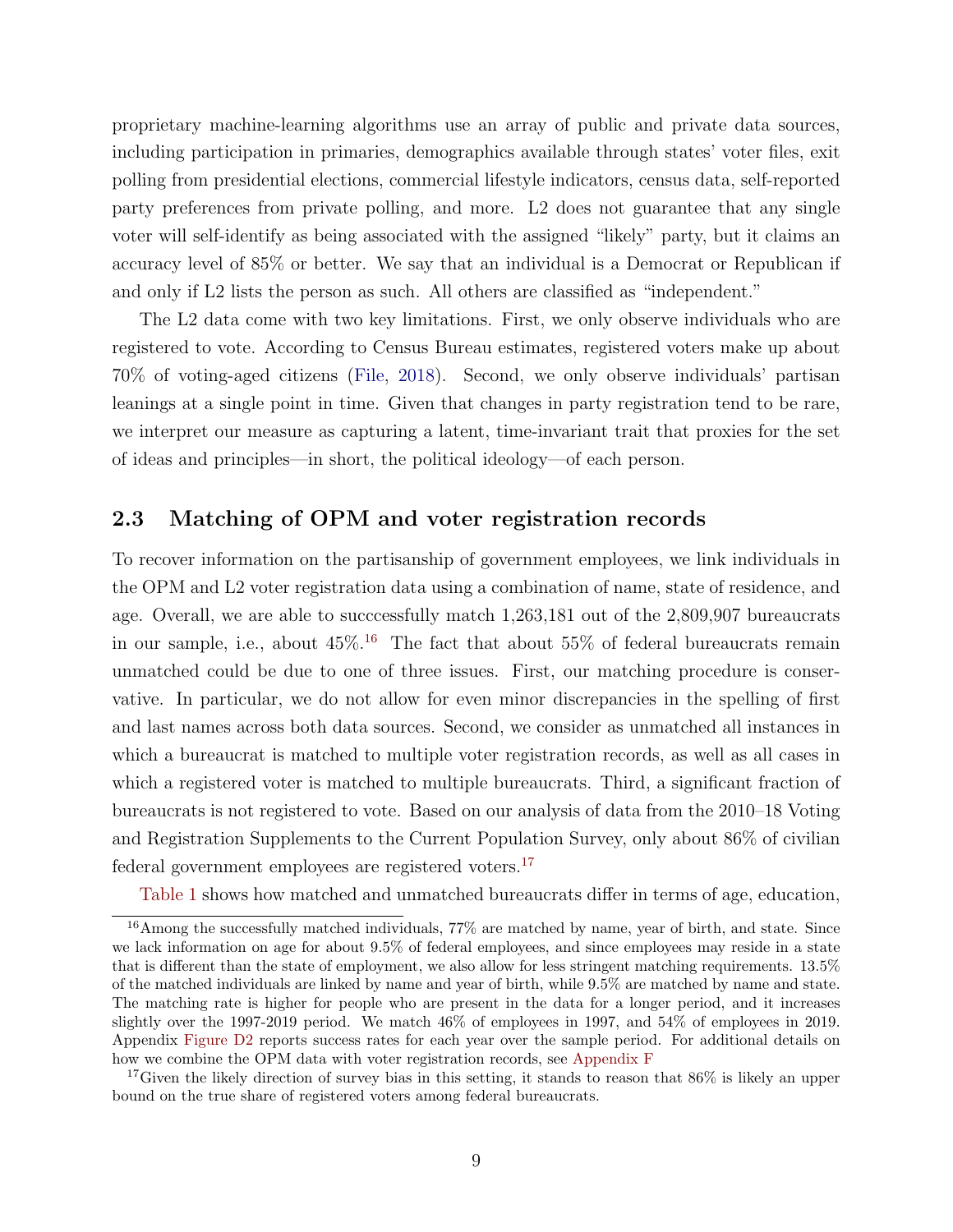proprietary machine-learning algorithms use an array of public and private data sources, including participation in primaries, demographics available through states' voter files, exit polling from presidential elections, commercial lifestyle indicators, census data, self-reported party preferences from private polling, and more. L2 does not guarantee that any single voter will self-identify as being associated with the assigned "likely" party, but it claims an accuracy level of 85% or better. We say that an individual is a Democrat or Republican if and only if L2 lists the person as such. All others are classified as "independent."

The L2 data come with two key limitations. First, we only observe individuals who are registered to vote. According to Census Bureau estimates, registered voters make up about 70% of voting-aged citizens [\(File,](#page-30-9) [2018\)](#page-30-9). Second, we only observe individuals' partisan leanings at a single point in time. Given that changes in party registration tend to be rare, we interpret our measure as capturing a latent, time-invariant trait that proxies for the set of ideas and principles—in short, the political ideology—of each person.

## 2.3 Matching of OPM and voter registration records

To recover information on the partisanship of government employees, we link individuals in the OPM and L2 voter registration data using a combination of name, state of residence, and age. Overall, we are able to succcessfully match 1,263,181 out of the 2,809,907 bureaucrats in our sample, i.e., about  $45\%$ .<sup>[16](#page-10-0)</sup> The fact that about  $55\%$  of federal bureaucrats remain unmatched could be due to one of three issues. First, our matching procedure is conservative. In particular, we do not allow for even minor discrepancies in the spelling of first and last names across both data sources. Second, we consider as unmatched all instances in which a bureaucrat is matched to multiple voter registration records, as well as all cases in which a registered voter is matched to multiple bureaucrats. Third, a significant fraction of bureaucrats is not registered to vote. Based on our analysis of data from the 2010–18 Voting and Registration Supplements to the Current Population Survey, only about 86% of civilian federal government employees are registered voters.[17](#page-10-1)

<span id="page-10-0"></span>[Table 1](#page-42-0) shows how matched and unmatched bureaucrats differ in terms of age, education,

 $16$ Among the successfully matched individuals, 77% are matched by name, year of birth, and state. Since we lack information on age for about 9.5% of federal employees, and since employees may reside in a state that is different than the state of employment, we also allow for less stringent matching requirements. 13.5% of the matched individuals are linked by name and year of birth, while 9.5% are matched by name and state. The matching rate is higher for people who are present in the data for a longer period, and it increases slightly over the 1997-2019 period. We match 46% of employees in 1997, and 54% of employees in 2019. Appendix Figure D2 reports success rates for each year over the sample period. For additional details on how we combine the OPM data with voter registration records, see Appendix F

<span id="page-10-1"></span><sup>&</sup>lt;sup>17</sup>Given the likely direction of survey bias in this setting, it stands to reason that  $86\%$  is likely an upper bound on the true share of registered voters among federal bureaucrats.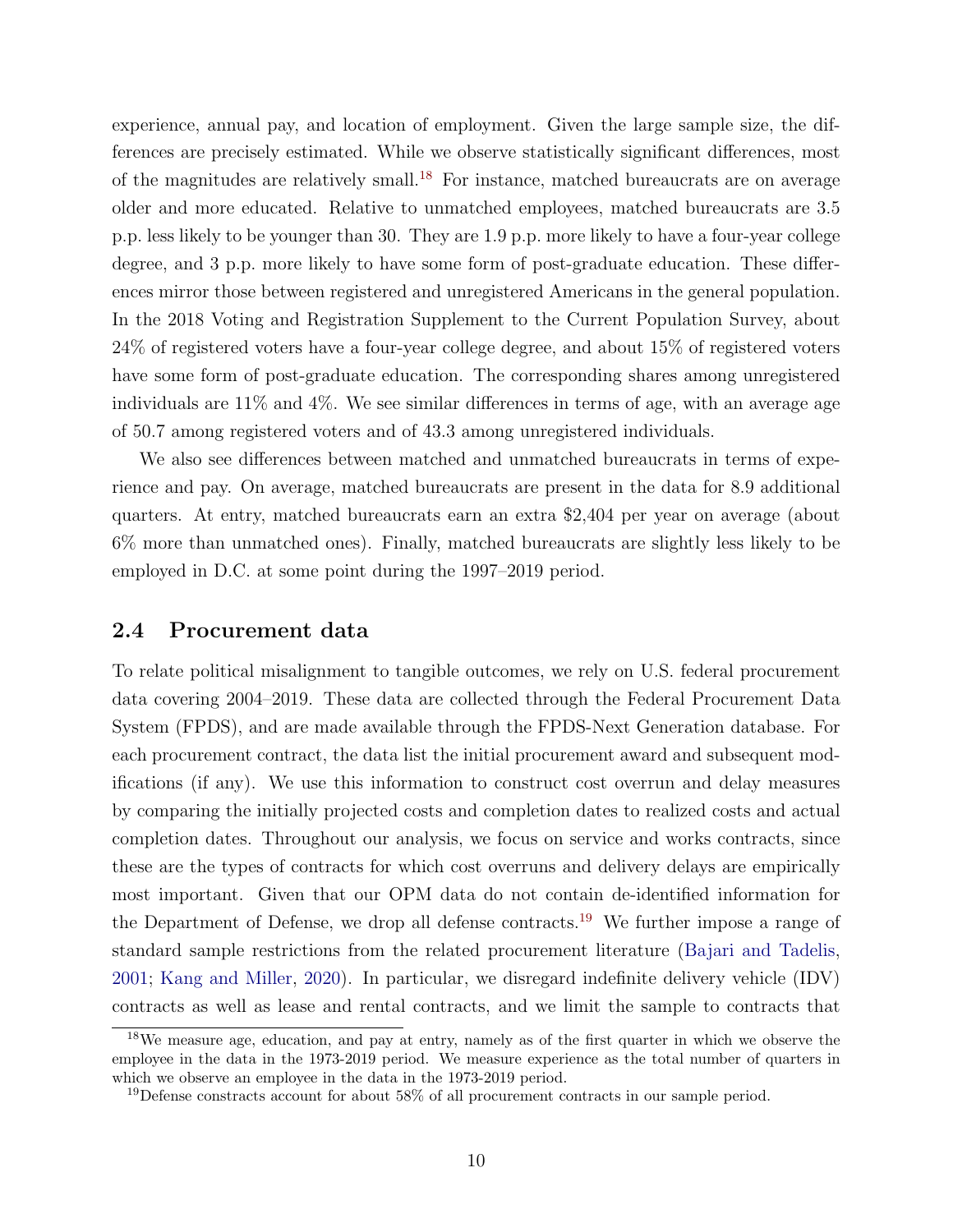experience, annual pay, and location of employment. Given the large sample size, the differences are precisely estimated. While we observe statistically significant differences, most of the magnitudes are relatively small.<sup>[18](#page-11-0)</sup> For instance, matched bureaucrats are on average older and more educated. Relative to unmatched employees, matched bureaucrats are 3.5 p.p. less likely to be younger than 30. They are 1.9 p.p. more likely to have a four-year college degree, and 3 p.p. more likely to have some form of post-graduate education. These differences mirror those between registered and unregistered Americans in the general population. In the 2018 Voting and Registration Supplement to the Current Population Survey, about 24% of registered voters have a four-year college degree, and about 15% of registered voters have some form of post-graduate education. The corresponding shares among unregistered individuals are 11% and 4%. We see similar differences in terms of age, with an average age of 50.7 among registered voters and of 43.3 among unregistered individuals.

We also see differences between matched and unmatched bureaucrats in terms of experience and pay. On average, matched bureaucrats are present in the data for 8.9 additional quarters. At entry, matched bureaucrats earn an extra \$2,404 per year on average (about 6% more than unmatched ones). Finally, matched bureaucrats are slightly less likely to be employed in D.C. at some point during the 1997–2019 period.

## 2.4 Procurement data

To relate political misalignment to tangible outcomes, we rely on U.S. federal procurement data covering 2004–2019. These data are collected through the Federal Procurement Data System (FPDS), and are made available through the FPDS-Next Generation database. For each procurement contract, the data list the initial procurement award and subsequent modifications (if any). We use this information to construct cost overrun and delay measures by comparing the initially projected costs and completion dates to realized costs and actual completion dates. Throughout our analysis, we focus on service and works contracts, since these are the types of contracts for which cost overruns and delivery delays are empirically most important. Given that our OPM data do not contain de-identified information for the Department of Defense, we drop all defense contracts.[19](#page-11-1) We further impose a range of standard sample restrictions from the related procurement literature [\(Bajari and Tadelis,](#page-28-2) [2001;](#page-28-2) [Kang and Miller,](#page-31-1) [2020\)](#page-31-1). In particular, we disregard indefinite delivery vehicle (IDV) contracts as well as lease and rental contracts, and we limit the sample to contracts that

<span id="page-11-0"></span><sup>18</sup>We measure age, education, and pay at entry, namely as of the first quarter in which we observe the employee in the data in the 1973-2019 period. We measure experience as the total number of quarters in which we observe an employee in the data in the 1973-2019 period.

<span id="page-11-1"></span> $19$  Defense constracts account for about 58% of all procurement contracts in our sample period.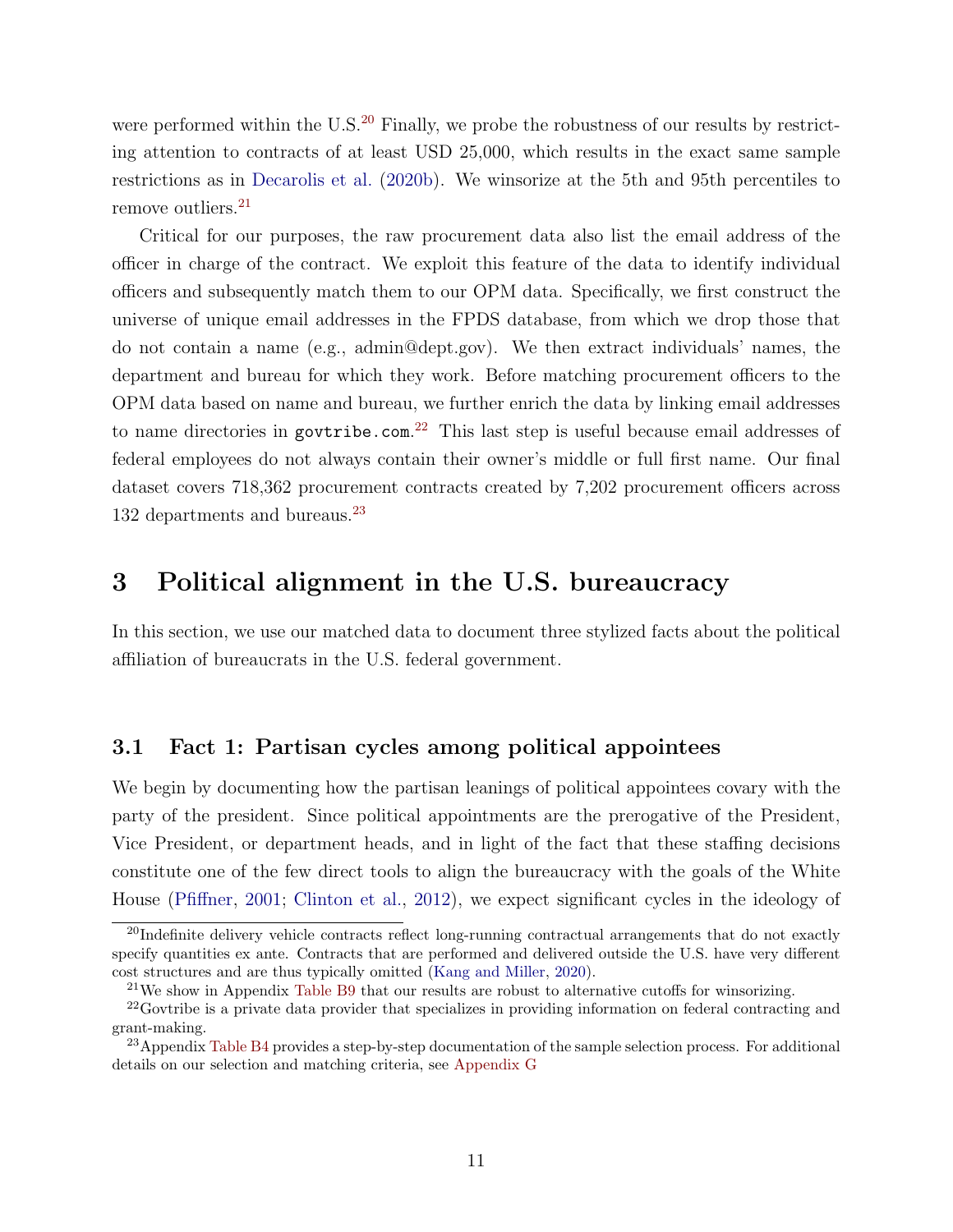were performed within the  $U.S.<sup>20</sup>$  $U.S.<sup>20</sup>$  $U.S.<sup>20</sup>$  Finally, we probe the robustness of our results by restricting attention to contracts of at least USD 25,000, which results in the exact same sample restrictions as in [Decarolis et al.](#page-30-2) [\(2020b\)](#page-30-2). We winsorize at the 5th and 95th percentiles to remove outliers.<sup>[21](#page-12-1)</sup>

Critical for our purposes, the raw procurement data also list the email address of the officer in charge of the contract. We exploit this feature of the data to identify individual officers and subsequently match them to our OPM data. Specifically, we first construct the universe of unique email addresses in the FPDS database, from which we drop those that do not contain a name (e.g., admin@dept.gov). We then extract individuals' names, the department and bureau for which they work. Before matching procurement officers to the OPM data based on name and bureau, we further enrich the data by linking email addresses to name directories in govtribe.com.<sup>[22](#page-12-2)</sup> This last step is useful because email addresses of federal employees do not always contain their owner's middle or full first name. Our final dataset covers 718,362 procurement contracts created by 7,202 procurement officers across 132 departments and bureaus.<sup>[23](#page-12-3)</sup>

# 3 Political alignment in the U.S. bureaucracy

In this section, we use our matched data to document three stylized facts about the political affiliation of bureaucrats in the U.S. federal government.

## 3.1 Fact 1: Partisan cycles among political appointees

We begin by documenting how the partisan leanings of political appointees covary with the party of the president. Since political appointments are the prerogative of the President, Vice President, or department heads, and in light of the fact that these staffing decisions constitute one of the few direct tools to align the bureaucracy with the goals of the White House [\(Pfiffner,](#page-31-12) [2001;](#page-31-12) [Clinton et al.,](#page-29-10) [2012\)](#page-29-10), we expect significant cycles in the ideology of

<span id="page-12-0"></span><sup>&</sup>lt;sup>20</sup>Indefinite delivery vehicle contracts reflect long-running contractual arrangements that do not exactly specify quantities ex ante. Contracts that are performed and delivered outside the U.S. have very different cost structures and are thus typically omitted [\(Kang and Miller,](#page-31-1) [2020\)](#page-31-1).

<span id="page-12-2"></span><span id="page-12-1"></span><sup>&</sup>lt;sup>21</sup>We show in Appendix Table B9 that our results are robust to alternative cutoffs for winsorizing.

<sup>&</sup>lt;sup>22</sup>Govtribe is a private data provider that specializes in providing information on federal contracting and grant-making.

<span id="page-12-3"></span><sup>&</sup>lt;sup>23</sup>Appendix Table B4 provides a step-by-step documentation of the sample selection process. For additional details on our selection and matching criteria, see Appendix G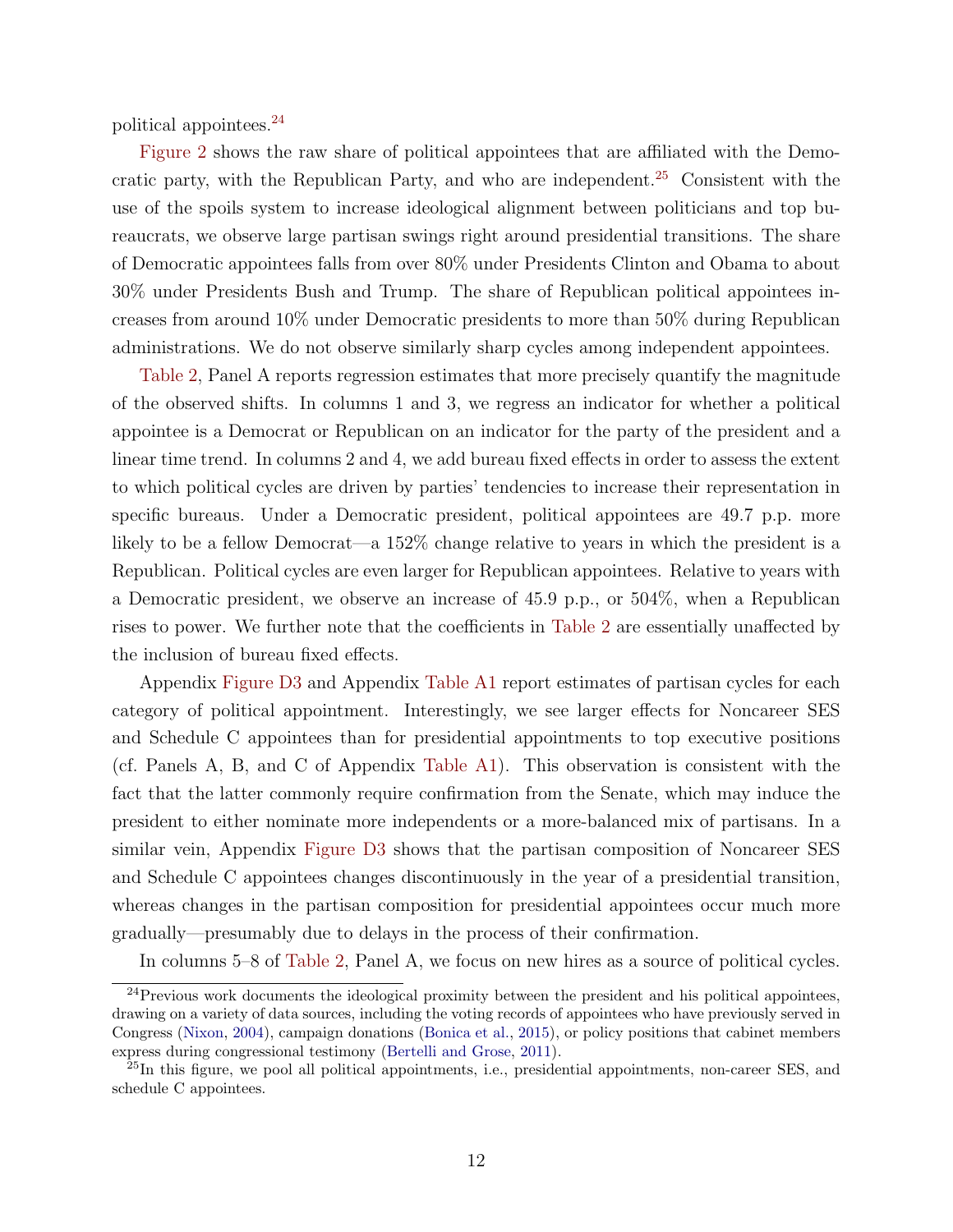political appointees.[24](#page-13-0)

[Figure 2](#page-33-0) shows the raw share of political appointees that are affiliated with the Demo-cratic party, with the Republican Party, and who are independent.<sup>[25](#page-13-1)</sup> Consistent with the use of the spoils system to increase ideological alignment between politicians and top bureaucrats, we observe large partisan swings right around presidential transitions. The share of Democratic appointees falls from over 80% under Presidents Clinton and Obama to about 30% under Presidents Bush and Trump. The share of Republican political appointees increases from around 10% under Democratic presidents to more than 50% during Republican administrations. We do not observe similarly sharp cycles among independent appointees.

[Table 2,](#page-43-0) Panel A reports regression estimates that more precisely quantify the magnitude of the observed shifts. In columns 1 and 3, we regress an indicator for whether a political appointee is a Democrat or Republican on an indicator for the party of the president and a linear time trend. In columns 2 and 4, we add bureau fixed effects in order to assess the extent to which political cycles are driven by parties' tendencies to increase their representation in specific bureaus. Under a Democratic president, political appointees are 49.7 p.p. more likely to be a fellow Democrat—a 152% change relative to years in which the president is a Republican. Political cycles are even larger for Republican appointees. Relative to years with a Democratic president, we observe an increase of 45.9 p.p., or 504%, when a Republican rises to power. We further note that the coefficients in [Table 2](#page-43-0) are essentially unaffected by the inclusion of bureau fixed effects.

Appendix Figure D3 and Appendix Table A1 report estimates of partisan cycles for each category of political appointment. Interestingly, we see larger effects for Noncareer SES and Schedule C appointees than for presidential appointments to top executive positions (cf. Panels A, B, and C of Appendix Table A1). This observation is consistent with the fact that the latter commonly require confirmation from the Senate, which may induce the president to either nominate more independents or a more-balanced mix of partisans. In a similar vein, Appendix Figure D3 shows that the partisan composition of Noncareer SES and Schedule C appointees changes discontinuously in the year of a presidential transition, whereas changes in the partisan composition for presidential appointees occur much more gradually—presumably due to delays in the process of their confirmation.

<span id="page-13-0"></span>In columns 5–8 of [Table 2,](#page-43-0) Panel A, we focus on new hires as a source of political cycles.

 $^{24}$ Previous work documents the ideological proximity between the president and his political appointees, drawing on a variety of data sources, including the voting records of appointees who have previously served in Congress [\(Nixon,](#page-31-8) [2004\)](#page-31-8), campaign donations [\(Bonica et al.,](#page-29-6) [2015\)](#page-29-6), or policy positions that cabinet members express during congressional testimony [\(Bertelli and Grose,](#page-29-7) [2011\)](#page-29-7).

<span id="page-13-1"></span> $^{25}$ In this figure, we pool all political appointments, i.e., presidential appointments, non-career SES, and schedule C appointees.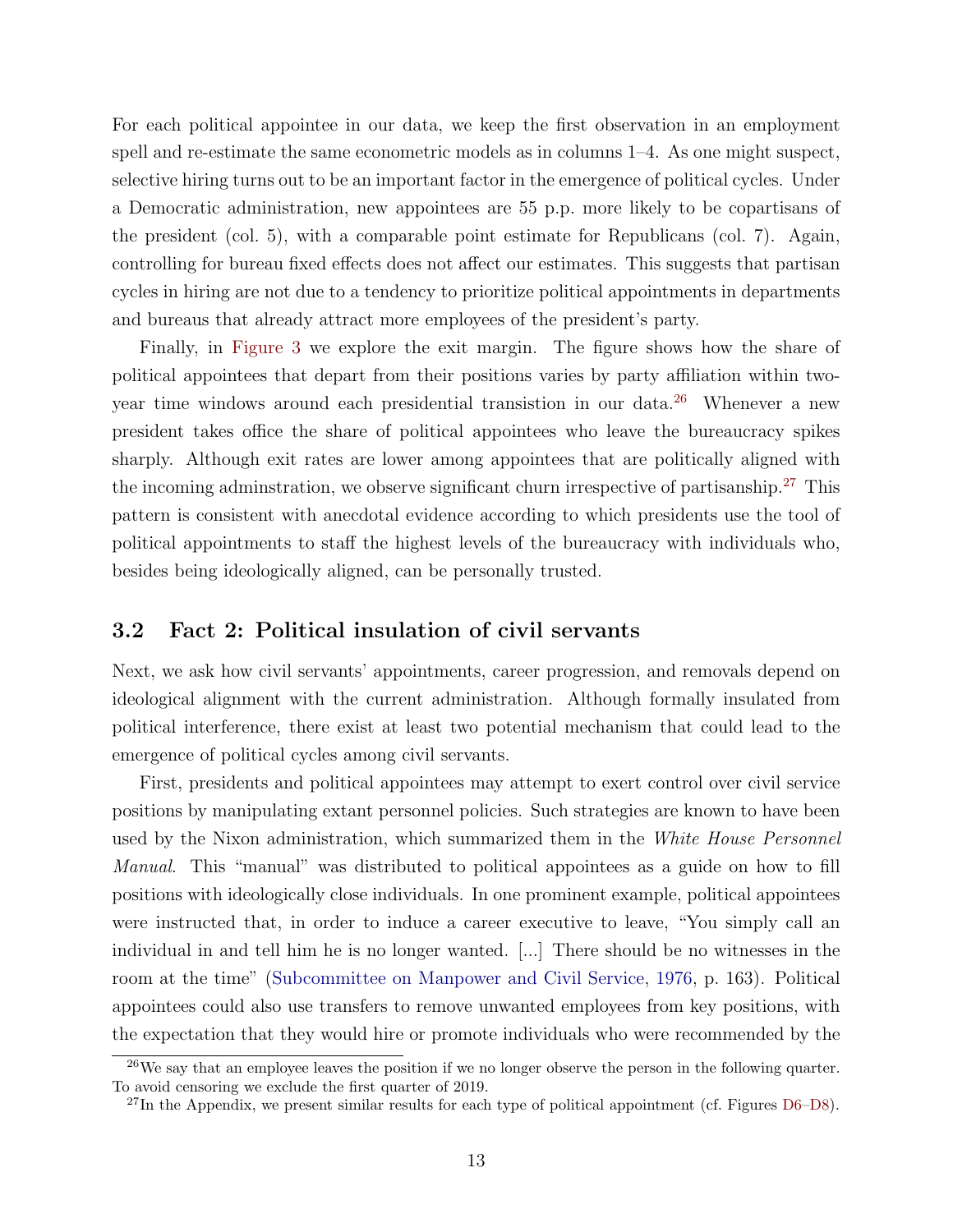For each political appointee in our data, we keep the first observation in an employment spell and re-estimate the same econometric models as in columns 1–4. As one might suspect, selective hiring turns out to be an important factor in the emergence of political cycles. Under a Democratic administration, new appointees are 55 p.p. more likely to be copartisans of the president (col. 5), with a comparable point estimate for Republicans (col. 7). Again, controlling for bureau fixed effects does not affect our estimates. This suggests that partisan cycles in hiring are not due to a tendency to prioritize political appointments in departments and bureaus that already attract more employees of the president's party.

Finally, in [Figure 3](#page-34-0) we explore the exit margin. The figure shows how the share of political appointees that depart from their positions varies by party affiliation within twoyear time windows around each presidential transistion in our data.[26](#page-14-0) Whenever a new president takes office the share of political appointees who leave the bureaucracy spikes sharply. Although exit rates are lower among appointees that are politically aligned with the incoming adminstration, we observe significant churn irrespective of partisanship.[27](#page-14-1) This pattern is consistent with anecdotal evidence according to which presidents use the tool of political appointments to staff the highest levels of the bureaucracy with individuals who, besides being ideologically aligned, can be personally trusted.

## 3.2 Fact 2: Political insulation of civil servants

Next, we ask how civil servants' appointments, career progression, and removals depend on ideological alignment with the current administration. Although formally insulated from political interference, there exist at least two potential mechanism that could lead to the emergence of political cycles among civil servants.

First, presidents and political appointees may attempt to exert control over civil service positions by manipulating extant personnel policies. Such strategies are known to have been used by the Nixon administration, which summarized them in the White House Personnel Manual. This "manual" was distributed to political appointees as a guide on how to fill positions with ideologically close individuals. In one prominent example, political appointees were instructed that, in order to induce a career executive to leave, "You simply call an individual in and tell him he is no longer wanted. [...] There should be no witnesses in the room at the time" [\(Subcommittee on Manpower and Civil Service,](#page-31-13) [1976,](#page-31-13) p. 163). Political appointees could also use transfers to remove unwanted employees from key positions, with the expectation that they would hire or promote individuals who were recommended by the

<span id="page-14-0"></span> $26$ We say that an employee leaves the position if we no longer observe the person in the following quarter. To avoid censoring we exclude the first quarter of 2019.

<span id="page-14-1"></span><sup>&</sup>lt;sup>27</sup>In the Appendix, we present similar results for each type of political appointment (cf. Figures D6–D8).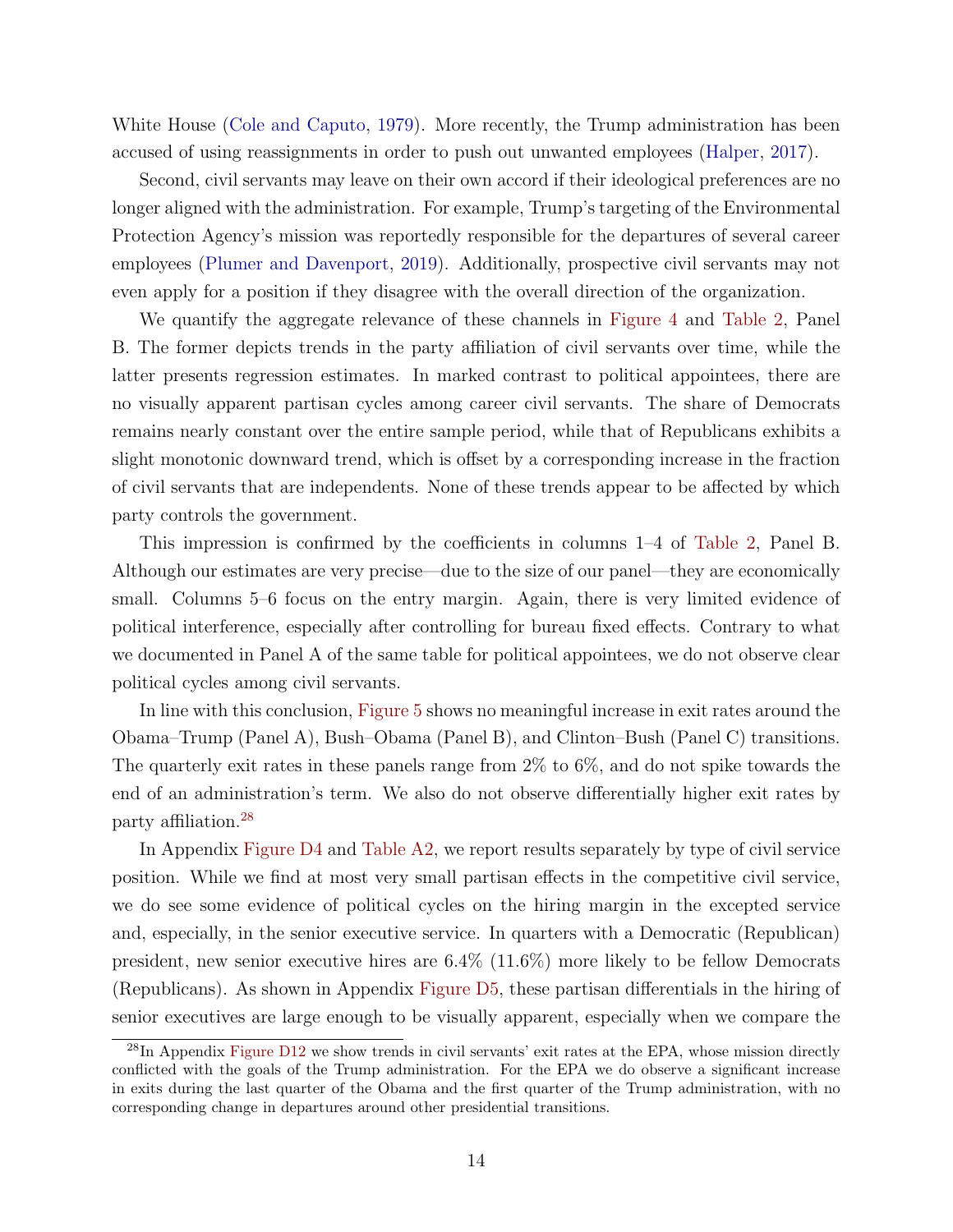White House [\(Cole and Caputo,](#page-30-10) [1979\)](#page-30-10). More recently, the Trump administration has been accused of using reassignments in order to push out unwanted employees [\(Halper,](#page-30-11) [2017\)](#page-30-11).

Second, civil servants may leave on their own accord if their ideological preferences are no longer aligned with the administration. For example, Trump's targeting of the Environmental Protection Agency's mission was reportedly responsible for the departures of several career employees [\(Plumer and Davenport,](#page-31-0) [2019\)](#page-31-0). Additionally, prospective civil servants may not even apply for a position if they disagree with the overall direction of the organization.

We quantify the aggregate relevance of these channels in [Figure 4](#page-35-0) and [Table 2,](#page-43-0) Panel B. The former depicts trends in the party affiliation of civil servants over time, while the latter presents regression estimates. In marked contrast to political appointees, there are no visually apparent partisan cycles among career civil servants. The share of Democrats remains nearly constant over the entire sample period, while that of Republicans exhibits a slight monotonic downward trend, which is offset by a corresponding increase in the fraction of civil servants that are independents. None of these trends appear to be affected by which party controls the government.

This impression is confirmed by the coefficients in columns 1–4 of [Table 2,](#page-43-0) Panel B. Although our estimates are very precise—due to the size of our panel—they are economically small. Columns 5–6 focus on the entry margin. Again, there is very limited evidence of political interference, especially after controlling for bureau fixed effects. Contrary to what we documented in Panel A of the same table for political appointees, we do not observe clear political cycles among civil servants.

In line with this conclusion, [Figure 5](#page-36-0) shows no meaningful increase in exit rates around the Obama–Trump (Panel A), Bush–Obama (Panel B), and Clinton–Bush (Panel C) transitions. The quarterly exit rates in these panels range from 2% to 6%, and do not spike towards the end of an administration's term. We also do not observe differentially higher exit rates by party affiliation.[28](#page-15-0)

In Appendix Figure D4 and Table A2, we report results separately by type of civil service position. While we find at most very small partisan effects in the competitive civil service, we do see some evidence of political cycles on the hiring margin in the excepted service and, especially, in the senior executive service. In quarters with a Democratic (Republican) president, new senior executive hires are 6.4% (11.6%) more likely to be fellow Democrats (Republicans). As shown in Appendix Figure D5, these partisan differentials in the hiring of senior executives are large enough to be visually apparent, especially when we compare the

<span id="page-15-0"></span> $^{28}$ In Appendix Figure D12 we show trends in civil servants' exit rates at the EPA, whose mission directly conflicted with the goals of the Trump administration. For the EPA we do observe a significant increase in exits during the last quarter of the Obama and the first quarter of the Trump administration, with no corresponding change in departures around other presidential transitions.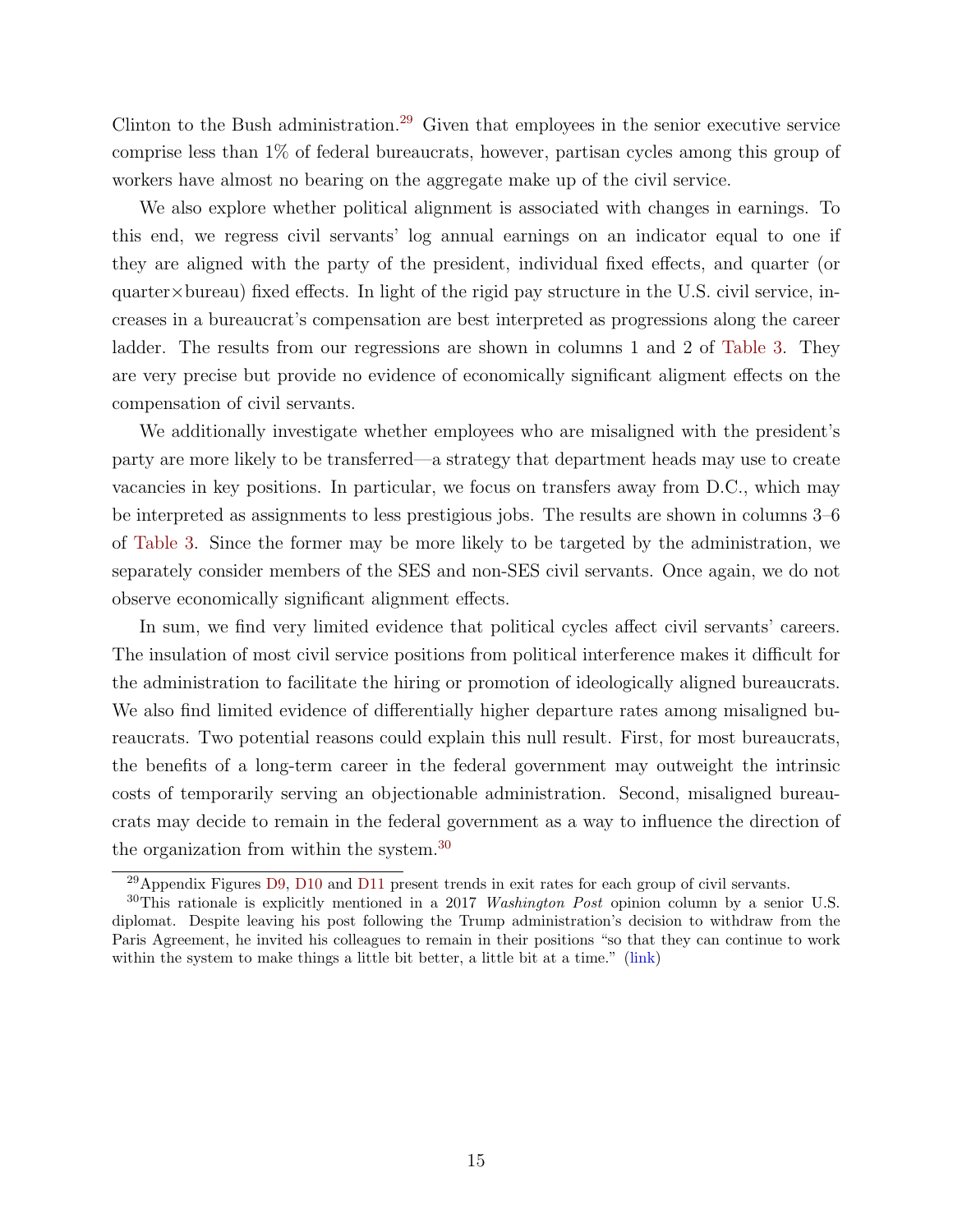Clinton to the Bush administration.<sup>[29](#page-16-0)</sup> Given that employees in the senior executive service comprise less than 1% of federal bureaucrats, however, partisan cycles among this group of workers have almost no bearing on the aggregate make up of the civil service.

We also explore whether political alignment is associated with changes in earnings. To this end, we regress civil servants' log annual earnings on an indicator equal to one if they are aligned with the party of the president, individual fixed effects, and quarter (or  $quarter \times bureau$ ) fixed effects. In light of the rigid pay structure in the U.S. civil service, increases in a bureaucrat's compensation are best interpreted as progressions along the career ladder. The results from our regressions are shown in columns 1 and 2 of [Table 3.](#page-44-0) They are very precise but provide no evidence of economically significant aligment effects on the compensation of civil servants.

We additionally investigate whether employees who are misaligned with the president's party are more likely to be transferred—a strategy that department heads may use to create vacancies in key positions. In particular, we focus on transfers away from D.C., which may be interpreted as assignments to less prestigious jobs. The results are shown in columns 3–6 of [Table 3.](#page-44-0) Since the former may be more likely to be targeted by the administration, we separately consider members of the SES and non-SES civil servants. Once again, we do not observe economically significant alignment effects.

In sum, we find very limited evidence that political cycles affect civil servants' careers. The insulation of most civil service positions from political interference makes it difficult for the administration to facilitate the hiring or promotion of ideologically aligned bureaucrats. We also find limited evidence of differentially higher departure rates among misaligned bureaucrats. Two potential reasons could explain this null result. First, for most bureaucrats, the benefits of a long-term career in the federal government may outweight the intrinsic costs of temporarily serving an objectionable administration. Second, misaligned bureaucrats may decide to remain in the federal government as a way to influence the direction of the organization from within the system.<sup>[30](#page-16-1)</sup>

<span id="page-16-1"></span><span id="page-16-0"></span> $29$ Appendix Figures D9, D10 and D11 present trends in exit rates for each group of civil servants.

<sup>&</sup>lt;sup>30</sup>This rationale is explicitly mentioned in a 2017 Washington Post opinion column by a senior U.S. diplomat. Despite leaving his post following the Trump administration's decision to withdraw from the Paris Agreement, he invited his colleagues to remain in their positions "so that they can continue to work within the system to make things a little bit better, a little bit at a time." [\(link\)](https://www.washingtonpost.com/opinions/why-i-resigned-from-the-foreign-service-after-27-years/2017/06/23/6abee224-55ff-11e7-ba90-f5875b7d1876_story.html)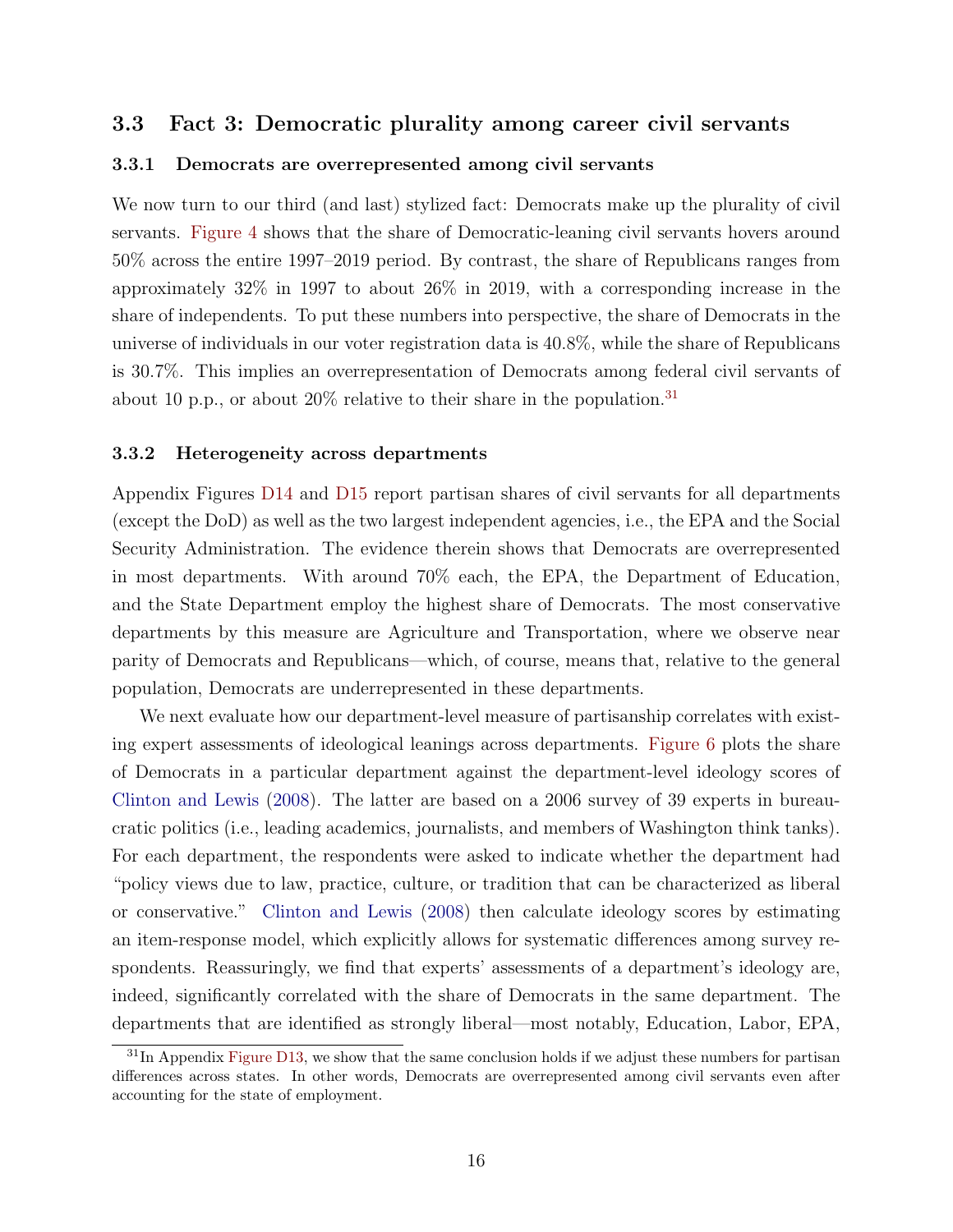## <span id="page-17-1"></span>3.3 Fact 3: Democratic plurality among career civil servants

#### 3.3.1 Democrats are overrepresented among civil servants

We now turn to our third (and last) stylized fact: Democrats make up the plurality of civil servants. [Figure 4](#page-35-0) shows that the share of Democratic-leaning civil servants hovers around 50% across the entire 1997–2019 period. By contrast, the share of Republicans ranges from approximately 32% in 1997 to about 26% in 2019, with a corresponding increase in the share of independents. To put these numbers into perspective, the share of Democrats in the universe of individuals in our voter registration data is 40.8%, while the share of Republicans is 30.7%. This implies an overrepresentation of Democrats among federal civil servants of about 10 p.p., or about  $20\%$  relative to their share in the population.<sup>[31](#page-17-0)</sup>

#### 3.3.2 Heterogeneity across departments

Appendix Figures D14 and D15 report partisan shares of civil servants for all departments (except the DoD) as well as the two largest independent agencies, i.e., the EPA and the Social Security Administration. The evidence therein shows that Democrats are overrepresented in most departments. With around 70% each, the EPA, the Department of Education, and the State Department employ the highest share of Democrats. The most conservative departments by this measure are Agriculture and Transportation, where we observe near parity of Democrats and Republicans—which, of course, means that, relative to the general population, Democrats are underrepresented in these departments.

We next evaluate how our department-level measure of partisanship correlates with existing expert assessments of ideological leanings across departments. [Figure 6](#page-37-0) plots the share of Democrats in a particular department against the department-level ideology scores of [Clinton and Lewis](#page-29-11) [\(2008\)](#page-29-11). The latter are based on a 2006 survey of 39 experts in bureaucratic politics (i.e., leading academics, journalists, and members of Washington think tanks). For each department, the respondents were asked to indicate whether the department had "policy views due to law, practice, culture, or tradition that can be characterized as liberal or conservative." [Clinton and Lewis](#page-29-11) [\(2008\)](#page-29-11) then calculate ideology scores by estimating an item-response model, which explicitly allows for systematic differences among survey respondents. Reassuringly, we find that experts' assessments of a department's ideology are, indeed, significantly correlated with the share of Democrats in the same department. The departments that are identified as strongly liberal—most notably, Education, Labor, EPA,

<span id="page-17-0"></span><sup>&</sup>lt;sup>31</sup>In Appendix Figure D13, we show that the same conclusion holds if we adjust these numbers for partisan differences across states. In other words, Democrats are overrepresented among civil servants even after accounting for the state of employment.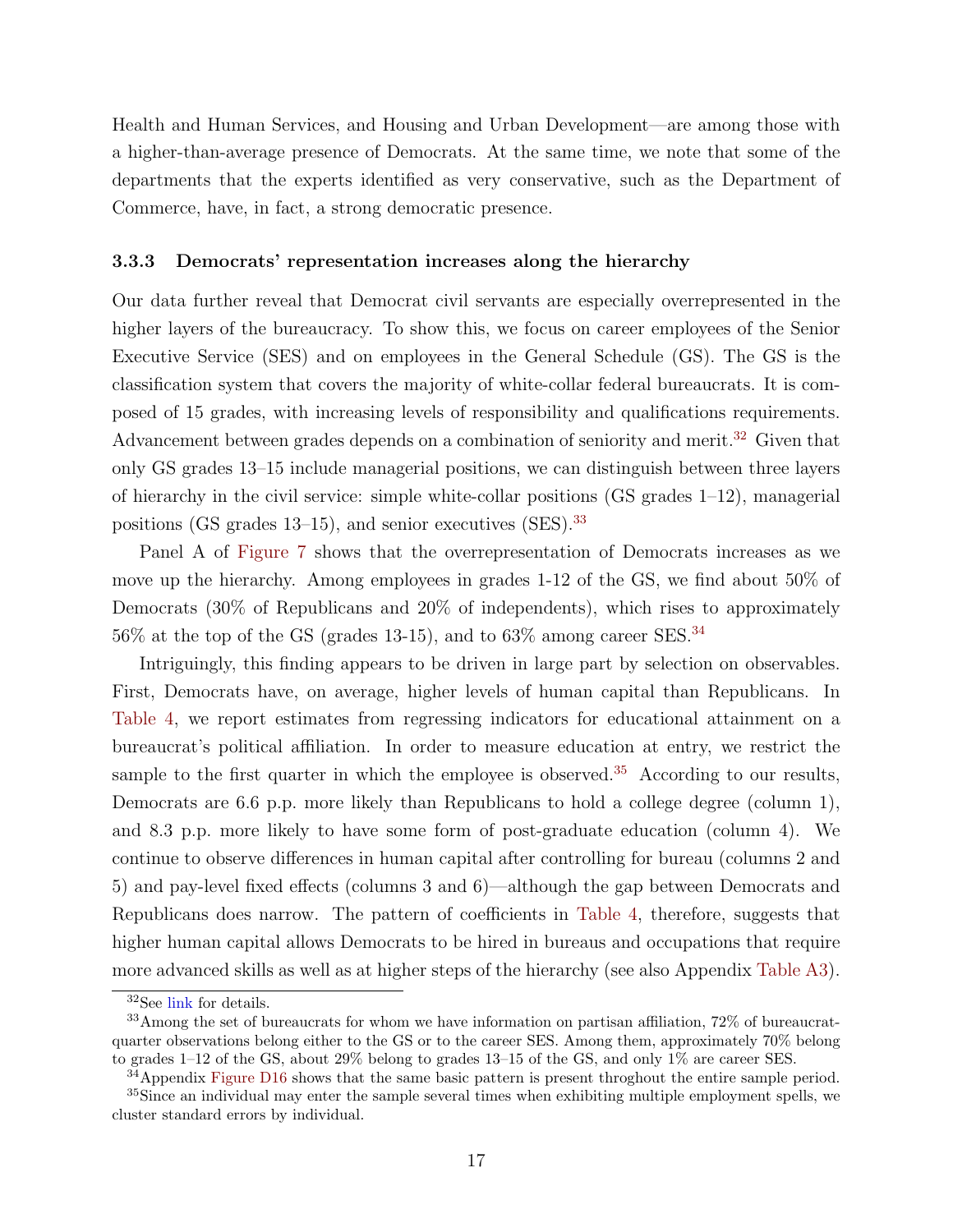Health and Human Services, and Housing and Urban Development—are among those with a higher-than-average presence of Democrats. At the same time, we note that some of the departments that the experts identified as very conservative, such as the Department of Commerce, have, in fact, a strong democratic presence.

#### 3.3.3 Democrats' representation increases along the hierarchy

Our data further reveal that Democrat civil servants are especially overrepresented in the higher layers of the bureaucracy. To show this, we focus on career employees of the Senior Executive Service (SES) and on employees in the General Schedule (GS). The GS is the classification system that covers the majority of white-collar federal bureaucrats. It is composed of 15 grades, with increasing levels of responsibility and qualifications requirements. Advancement between grades depends on a combination of seniority and merit.<sup>[32](#page-18-0)</sup> Given that only GS grades 13–15 include managerial positions, we can distinguish between three layers of hierarchy in the civil service: simple white-collar positions (GS grades  $1-12$ ), managerial positions (GS grades  $13-15$ ), and senior executives (SES).<sup>[33](#page-18-1)</sup>

Panel A of [Figure 7](#page-38-0) shows that the overrepresentation of Democrats increases as we move up the hierarchy. Among employees in grades 1-12 of the GS, we find about 50% of Democrats (30% of Republicans and 20% of independents), which rises to approximately  $56\%$  at the top of the GS (grades 13-15), and to  $63\%$  among career SES.<sup>[34](#page-18-2)</sup>

Intriguingly, this finding appears to be driven in large part by selection on observables. First, Democrats have, on average, higher levels of human capital than Republicans. In [Table 4,](#page-45-0) we report estimates from regressing indicators for educational attainment on a bureaucrat's political affiliation. In order to measure education at entry, we restrict the sample to the first quarter in which the employee is observed.<sup>[35](#page-18-3)</sup> According to our results, Democrats are 6.6 p.p. more likely than Republicans to hold a college degree (column 1), and 8.3 p.p. more likely to have some form of post-graduate education (column 4). We continue to observe differences in human capital after controlling for bureau (columns 2 and 5) and pay-level fixed effects (columns 3 and 6)—although the gap between Democrats and Republicans does narrow. The pattern of coefficients in [Table 4,](#page-45-0) therefore, suggests that higher human capital allows Democrats to be hired in bureaus and occupations that require more advanced skills as well as at higher steps of the hierarchy (see also Appendix Table A3).

<span id="page-18-1"></span><span id="page-18-0"></span><sup>32</sup>See [link]( https://www.opm.gov/policy-data-oversight/pay-leave/pay-systems/general-schedule/) for details.

<sup>33</sup>Among the set of bureaucrats for whom we have information on partisan affiliation, 72% of bureaucratquarter observations belong either to the GS or to the career SES. Among them, approximately 70% belong to grades 1–12 of the GS, about 29% belong to grades 13–15 of the GS, and only 1% are career SES.

<span id="page-18-3"></span><span id="page-18-2"></span> $34$ Appendix Figure D16 shows that the same basic pattern is present throghout the entire sample period.

<sup>&</sup>lt;sup>35</sup>Since an individual may enter the sample several times when exhibiting multiple employment spells, we cluster standard errors by individual.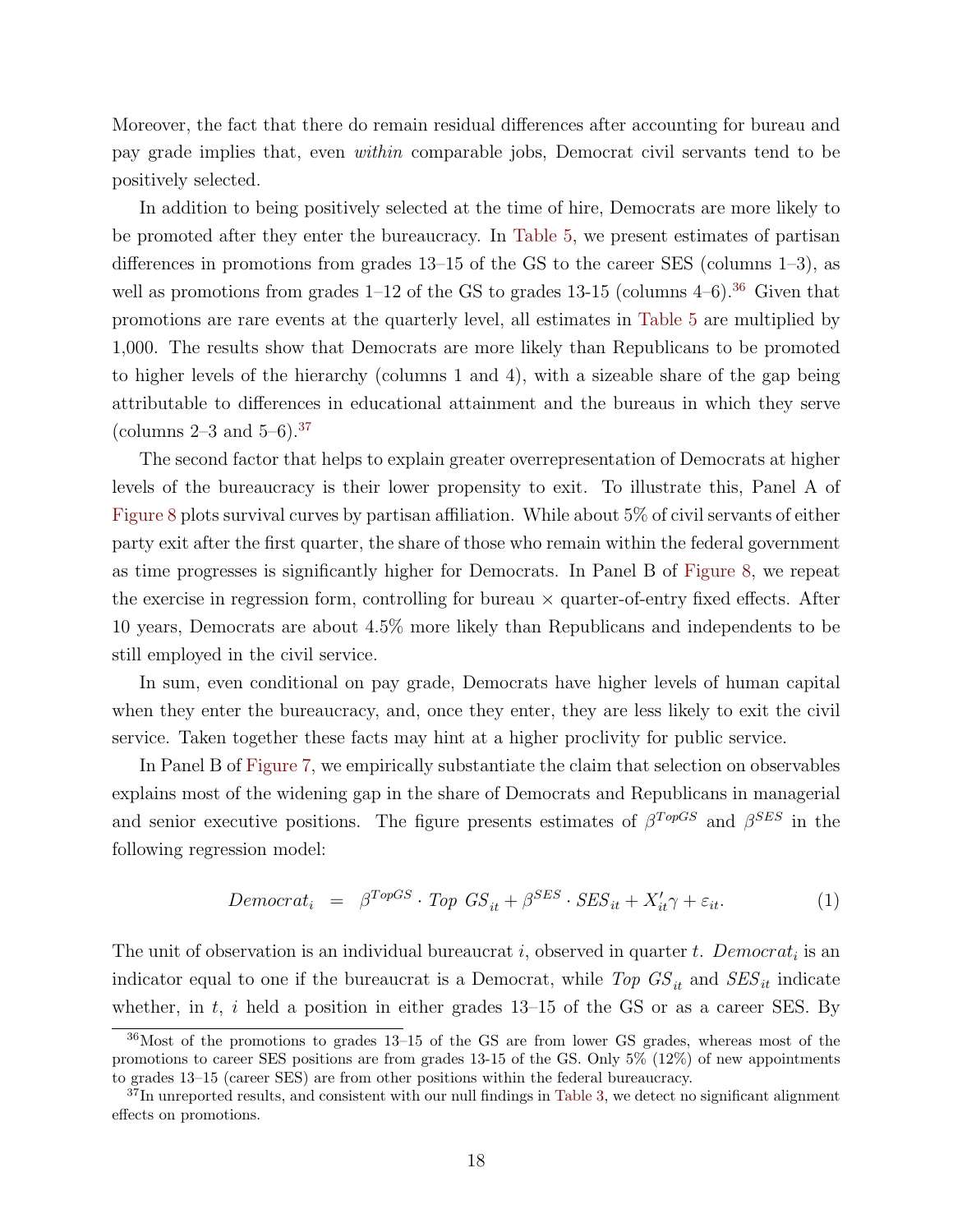Moreover, the fact that there do remain residual differences after accounting for bureau and pay grade implies that, even within comparable jobs, Democrat civil servants tend to be positively selected.

In addition to being positively selected at the time of hire, Democrats are more likely to be promoted after they enter the bureaucracy. In [Table 5,](#page-46-0) we present estimates of partisan differences in promotions from grades 13–15 of the GS to the career SES (columns 1–3), as well as promotions from grades  $1-12$  of the GS to grades  $13-15$  (columns  $4-6$ ).<sup>[36](#page-19-0)</sup> Given that promotions are rare events at the quarterly level, all estimates in [Table 5](#page-46-0) are multiplied by 1,000. The results show that Democrats are more likely than Republicans to be promoted to higher levels of the hierarchy (columns 1 and 4), with a sizeable share of the gap being attributable to differences in educational attainment and the bureaus in which they serve (columns  $2-3$  and  $5-6$ ).<sup>[37](#page-19-1)</sup>

The second factor that helps to explain greater overrepresentation of Democrats at higher levels of the bureaucracy is their lower propensity to exit. To illustrate this, Panel A of [Figure 8](#page-39-0) plots survival curves by partisan affiliation. While about 5% of civil servants of either party exit after the first quarter, the share of those who remain within the federal government as time progresses is significantly higher for Democrats. In Panel B of [Figure 8,](#page-39-0) we repeat the exercise in regression form, controlling for bureau  $\times$  quarter-of-entry fixed effects. After 10 years, Democrats are about 4.5% more likely than Republicans and independents to be still employed in the civil service.

In sum, even conditional on pay grade, Democrats have higher levels of human capital when they enter the bureaucracy, and, once they enter, they are less likely to exit the civil service. Taken together these facts may hint at a higher proclivity for public service.

In Panel B of [Figure 7,](#page-38-0) we empirically substantiate the claim that selection on observables explains most of the widening gap in the share of Democrats and Republicans in managerial and senior executive positions. The figure presents estimates of  $\beta^{TopGS}$  and  $\beta^{SES}$  in the following regression model:

<span id="page-19-2"></span>
$$
Democrat_i = \beta^{TopGS} \cdot Top \; GS_{it} + \beta^{SES} \cdot SES_{it} + X'_{it}\gamma + \varepsilon_{it}.
$$
 (1)

The unit of observation is an individual bureaucrat  $i$ , observed in quarter  $t$ . Democrat<sub>i</sub> is an indicator equal to one if the bureaucrat is a Democrat, while Top  $GS_{it}$  and  $SES_{it}$  indicate whether, in  $t$ ,  $i$  held a position in either grades 13-15 of the GS or as a career SES. By

<span id="page-19-0"></span><sup>36</sup>Most of the promotions to grades 13–15 of the GS are from lower GS grades, whereas most of the promotions to career SES positions are from grades 13-15 of the GS. Only 5% (12%) of new appointments to grades 13–15 (career SES) are from other positions within the federal bureaucracy.

<span id="page-19-1"></span><sup>&</sup>lt;sup>37</sup>In unreported results, and consistent with our null findings in [Table 3,](#page-44-0) we detect no significant alignment effects on promotions.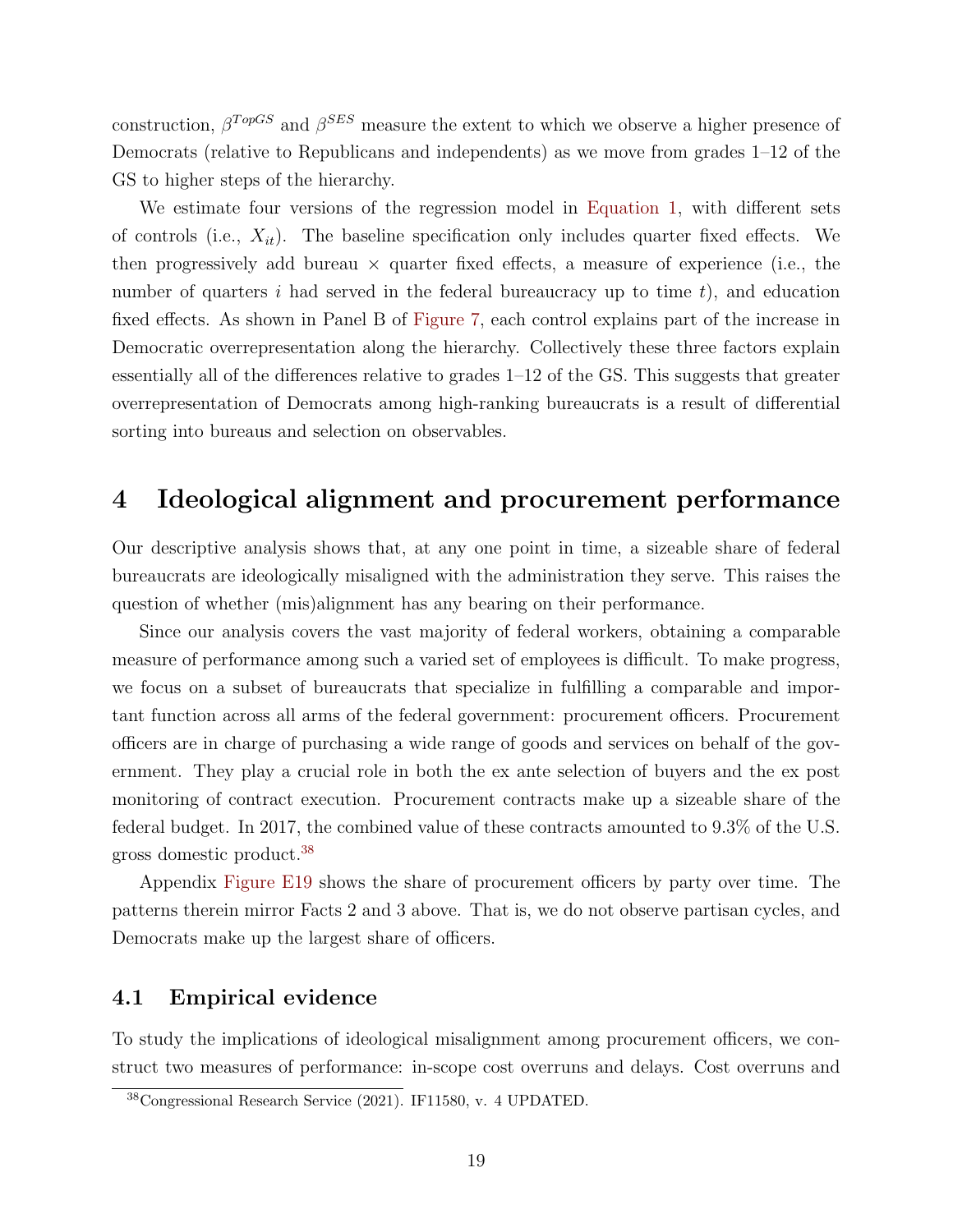construction,  $\beta^{TopGS}$  and  $\beta^{SES}$  measure the extent to which we observe a higher presence of Democrats (relative to Republicans and independents) as we move from grades 1–12 of the GS to higher steps of the hierarchy.

We estimate four versions of the regression model in [Equation 1,](#page-19-2) with different sets of controls (i.e.,  $X_{it}$ ). The baseline specification only includes quarter fixed effects. We then progressively add bureau  $\times$  quarter fixed effects, a measure of experience (i.e., the number of quarters i had served in the federal bureaucracy up to time  $t$ ), and education fixed effects. As shown in Panel B of [Figure 7,](#page-38-0) each control explains part of the increase in Democratic overrepresentation along the hierarchy. Collectively these three factors explain essentially all of the differences relative to grades 1–12 of the GS. This suggests that greater overrepresentation of Democrats among high-ranking bureaucrats is a result of differential sorting into bureaus and selection on observables.

# 4 Ideological alignment and procurement performance

Our descriptive analysis shows that, at any one point in time, a sizeable share of federal bureaucrats are ideologically misaligned with the administration they serve. This raises the question of whether (mis)alignment has any bearing on their performance.

Since our analysis covers the vast majority of federal workers, obtaining a comparable measure of performance among such a varied set of employees is difficult. To make progress, we focus on a subset of bureaucrats that specialize in fulfilling a comparable and important function across all arms of the federal government: procurement officers. Procurement officers are in charge of purchasing a wide range of goods and services on behalf of the government. They play a crucial role in both the ex ante selection of buyers and the ex post monitoring of contract execution. Procurement contracts make up a sizeable share of the federal budget. In 2017, the combined value of these contracts amounted to 9.3% of the U.S. gross domestic product.[38](#page-20-0)

Appendix Figure E19 shows the share of procurement officers by party over time. The patterns therein mirror Facts 2 and 3 above. That is, we do not observe partisan cycles, and Democrats make up the largest share of officers.

## 4.1 Empirical evidence

To study the implications of ideological misalignment among procurement officers, we construct two measures of performance: in-scope cost overruns and delays. Cost overruns and

<span id="page-20-0"></span><sup>38</sup>Congressional Research Service (2021). IF11580, v. 4 UPDATED.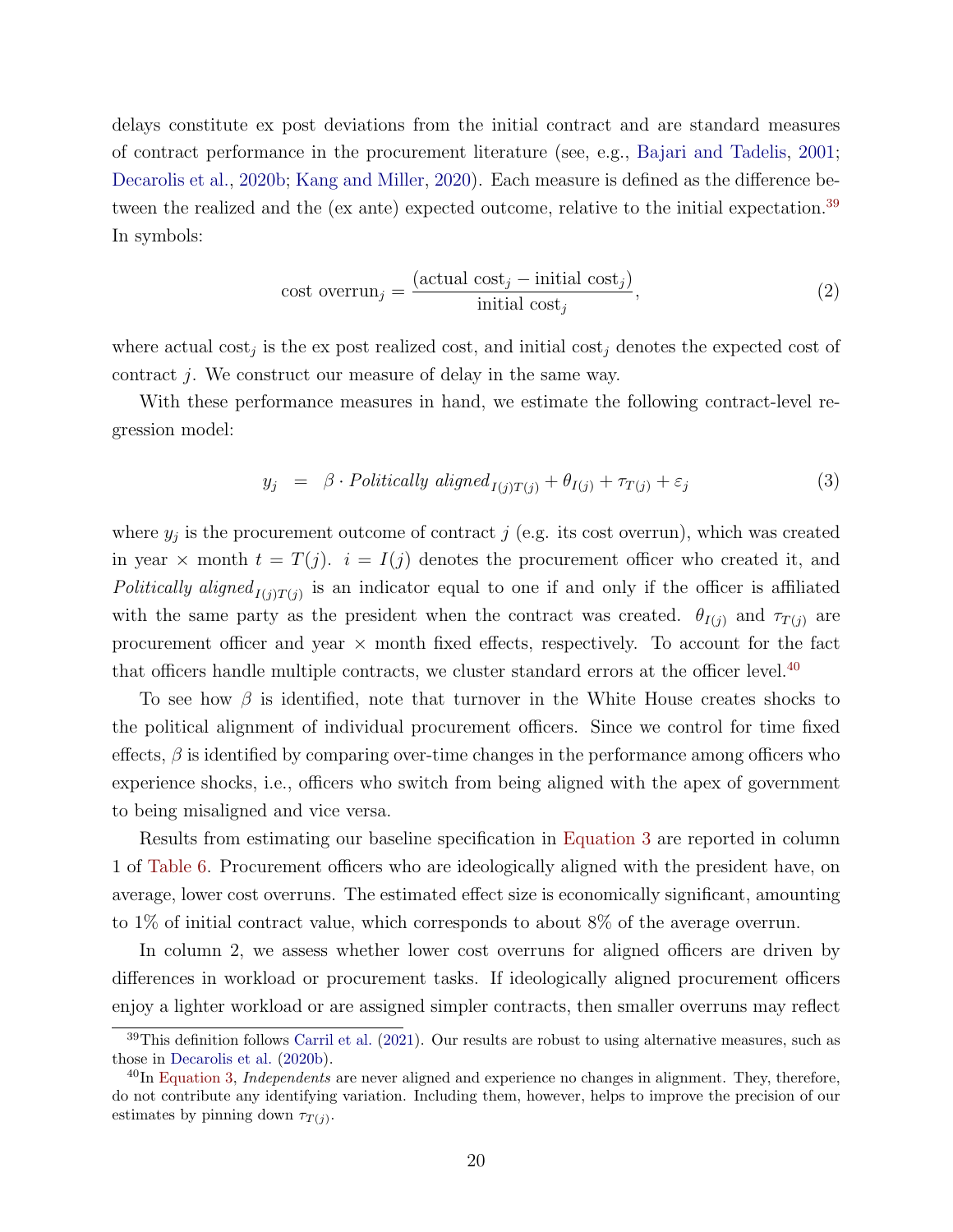delays constitute ex post deviations from the initial contract and are standard measures of contract performance in the procurement literature (see, e.g., [Bajari and Tadelis,](#page-28-2) [2001;](#page-28-2) [Decarolis et al.,](#page-30-2) [2020b;](#page-30-2) [Kang and Miller,](#page-31-1) [2020\)](#page-31-1). Each measure is defined as the difference be-tween the realized and the (ex ante) expected outcome, relative to the initial expectation.<sup>[39](#page-21-0)</sup> In symbols:

<span id="page-21-3"></span>cost overrun<sub>j</sub> = 
$$
\frac{(\text{actual cost}_j - \text{initial cost}_j)}{\text{initial cost}_j},
$$
 (2)

where actual  $\cos t_j$  is the expost realized cost, and initial  $\cos t_j$  denotes the expected cost of contract j. We construct our measure of delay in the same way.

With these performance measures in hand, we estimate the following contract-level regression model:

<span id="page-21-2"></span>
$$
y_j = \beta \cdot \text{Politically aligned}_{I(j)T(j)} + \theta_{I(j)} + \tau_{T(j)} + \varepsilon_j \tag{3}
$$

where  $y_j$  is the procurement outcome of contract j (e.g. its cost overrun), which was created in year  $\times$  month  $t = T(j)$ .  $i = I(j)$  denotes the procurement officer who created it, and Politically aligned<sub> $I(j)T(j)$ </sub> is an indicator equal to one if and only if the officer is affiliated with the same party as the president when the contract was created.  $\theta_{I(j)}$  and  $\tau_{T(j)}$  are procurement officer and year  $\times$  month fixed effects, respectively. To account for the fact that officers handle multiple contracts, we cluster standard errors at the officer level.<sup>[40](#page-21-1)</sup>

To see how  $\beta$  is identified, note that turnover in the White House creates shocks to the political alignment of individual procurement officers. Since we control for time fixed effects,  $\beta$  is identified by comparing over-time changes in the performance among officers who experience shocks, i.e., officers who switch from being aligned with the apex of government to being misaligned and vice versa.

Results from estimating our baseline specification in [Equation 3](#page-21-2) are reported in column 1 of [Table 6.](#page-47-0) Procurement officers who are ideologically aligned with the president have, on average, lower cost overruns. The estimated effect size is economically significant, amounting to 1% of initial contract value, which corresponds to about 8% of the average overrun.

In column 2, we assess whether lower cost overruns for aligned officers are driven by differences in workload or procurement tasks. If ideologically aligned procurement officers enjoy a lighter workload or are assigned simpler contracts, then smaller overruns may reflect

<span id="page-21-0"></span><sup>39</sup>This definition follows [Carril et al.](#page-29-9) [\(2021\)](#page-29-9). Our results are robust to using alternative measures, such as those in [Decarolis et al.](#page-30-2) [\(2020b\)](#page-30-2).

<span id="page-21-1"></span> $^{40}$ In [Equation 3,](#page-21-2) *Independents* are never aligned and experience no changes in alignment. They, therefore, do not contribute any identifying variation. Including them, however, helps to improve the precision of our estimates by pinning down  $\tau_{T(j)}$ .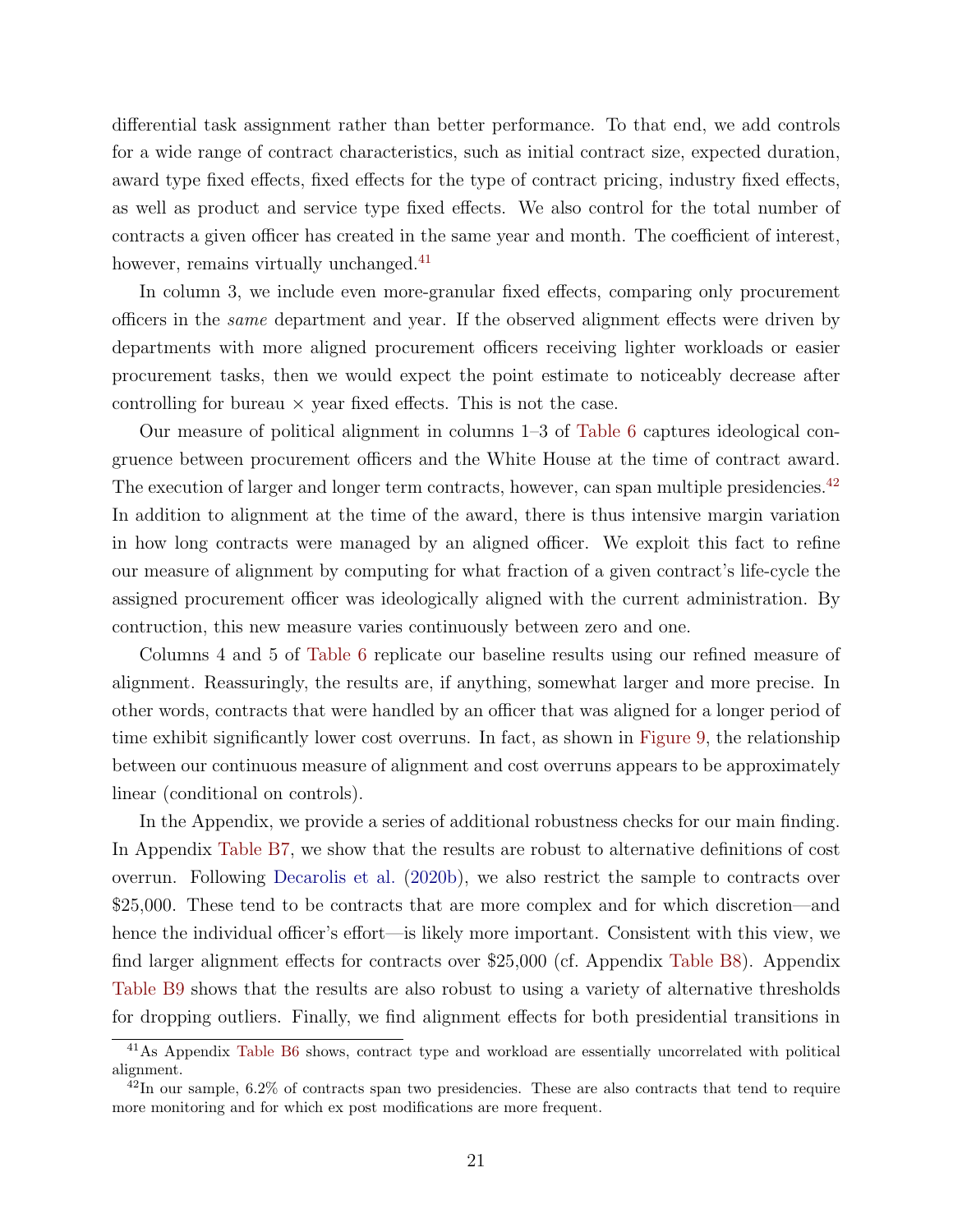differential task assignment rather than better performance. To that end, we add controls for a wide range of contract characteristics, such as initial contract size, expected duration, award type fixed effects, fixed effects for the type of contract pricing, industry fixed effects, as well as product and service type fixed effects. We also control for the total number of contracts a given officer has created in the same year and month. The coefficient of interest, however, remains virtually unchanged.<sup>[41](#page-22-0)</sup>

In column 3, we include even more-granular fixed effects, comparing only procurement officers in the same department and year. If the observed alignment effects were driven by departments with more aligned procurement officers receiving lighter workloads or easier procurement tasks, then we would expect the point estimate to noticeably decrease after controlling for bureau  $\times$  year fixed effects. This is not the case.

Our measure of political alignment in columns 1–3 of [Table 6](#page-47-0) captures ideological congruence between procurement officers and the White House at the time of contract award. The execution of larger and longer term contracts, however, can span multiple presidencies.<sup>[42](#page-22-1)</sup> In addition to alignment at the time of the award, there is thus intensive margin variation in how long contracts were managed by an aligned officer. We exploit this fact to refine our measure of alignment by computing for what fraction of a given contract's life-cycle the assigned procurement officer was ideologically aligned with the current administration. By contruction, this new measure varies continuously between zero and one.

Columns 4 and 5 of [Table 6](#page-47-0) replicate our baseline results using our refined measure of alignment. Reassuringly, the results are, if anything, somewhat larger and more precise. In other words, contracts that were handled by an officer that was aligned for a longer period of time exhibit significantly lower cost overruns. In fact, as shown in [Figure 9,](#page-40-0) the relationship between our continuous measure of alignment and cost overruns appears to be approximately linear (conditional on controls).

In the Appendix, we provide a series of additional robustness checks for our main finding. In Appendix Table B7, we show that the results are robust to alternative definitions of cost overrun. Following [Decarolis et al.](#page-30-2) [\(2020b\)](#page-30-2), we also restrict the sample to contracts over \$25,000. These tend to be contracts that are more complex and for which discretion—and hence the individual officer's effort—is likely more important. Consistent with this view, we find larger alignment effects for contracts over \$25,000 (cf. Appendix Table B8). Appendix Table B9 shows that the results are also robust to using a variety of alternative thresholds for dropping outliers. Finally, we find alignment effects for both presidential transitions in

<span id="page-22-0"></span><sup>41</sup>As Appendix Table B6 shows, contract type and workload are essentially uncorrelated with political alignment.

<span id="page-22-1"></span> $^{42}$ In our sample, 6.2% of contracts span two presidencies. These are also contracts that tend to require more monitoring and for which ex post modifications are more frequent.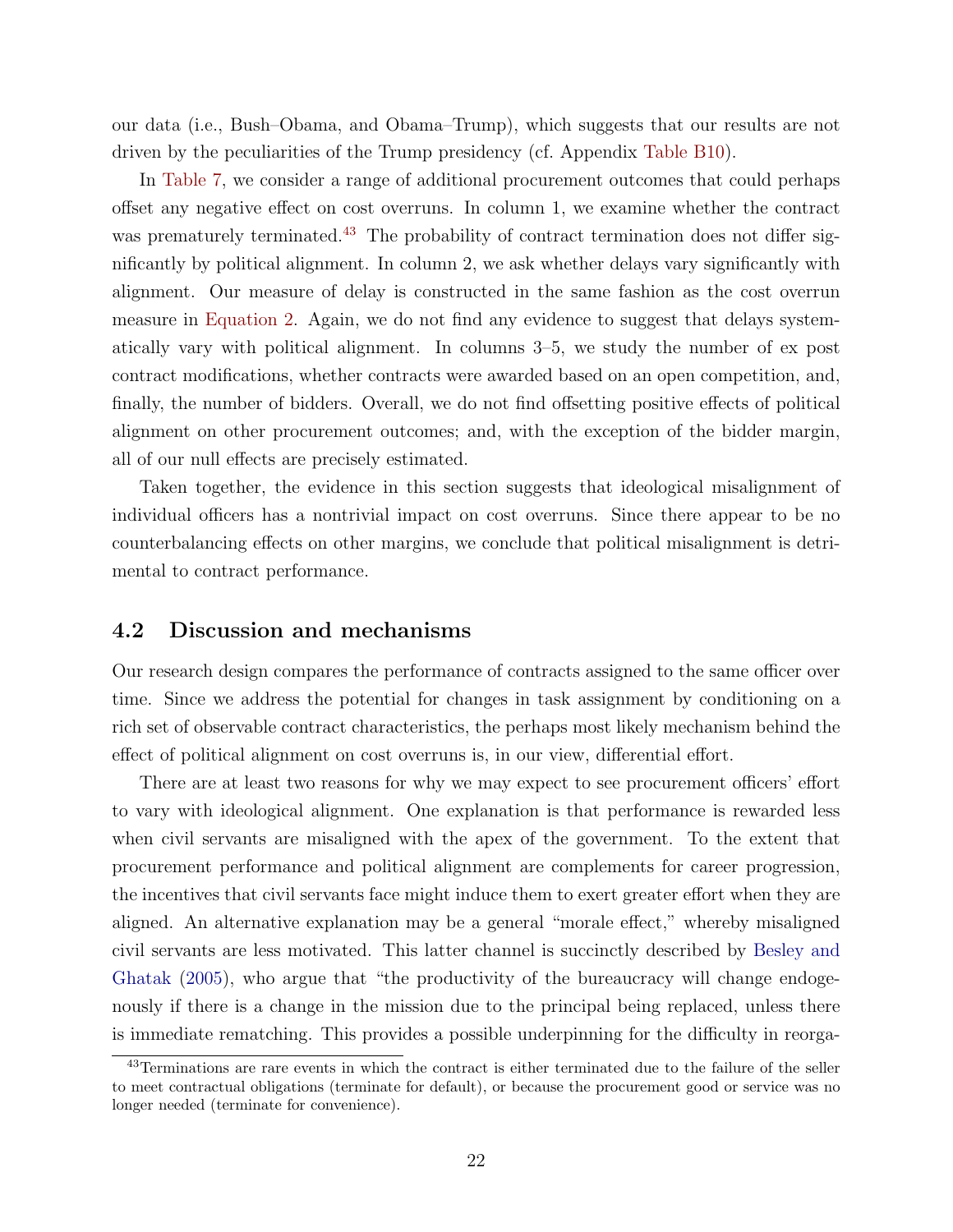our data (i.e., Bush–Obama, and Obama–Trump), which suggests that our results are not driven by the peculiarities of the Trump presidency (cf. Appendix Table B10).

In [Table 7,](#page-48-0) we consider a range of additional procurement outcomes that could perhaps offset any negative effect on cost overruns. In column 1, we examine whether the contract was prematurely terminated.<sup>[43](#page-23-0)</sup> The probability of contract termination does not differ significantly by political alignment. In column 2, we ask whether delays vary significantly with alignment. Our measure of delay is constructed in the same fashion as the cost overrun measure in [Equation 2.](#page-21-3) Again, we do not find any evidence to suggest that delays systematically vary with political alignment. In columns 3–5, we study the number of ex post contract modifications, whether contracts were awarded based on an open competition, and, finally, the number of bidders. Overall, we do not find offsetting positive effects of political alignment on other procurement outcomes; and, with the exception of the bidder margin, all of our null effects are precisely estimated.

Taken together, the evidence in this section suggests that ideological misalignment of individual officers has a nontrivial impact on cost overruns. Since there appear to be no counterbalancing effects on other margins, we conclude that political misalignment is detrimental to contract performance.

### 4.2 Discussion and mechanisms

Our research design compares the performance of contracts assigned to the same officer over time. Since we address the potential for changes in task assignment by conditioning on a rich set of observable contract characteristics, the perhaps most likely mechanism behind the effect of political alignment on cost overruns is, in our view, differential effort.

There are at least two reasons for why we may expect to see procurement officers' effort to vary with ideological alignment. One explanation is that performance is rewarded less when civil servants are misaligned with the apex of the government. To the extent that procurement performance and political alignment are complements for career progression, the incentives that civil servants face might induce them to exert greater effort when they are aligned. An alternative explanation may be a general "morale effect," whereby misaligned civil servants are less motivated. This latter channel is succinctly described by [Besley and](#page-29-0) [Ghatak](#page-29-0) [\(2005\)](#page-29-0), who argue that "the productivity of the bureaucracy will change endogenously if there is a change in the mission due to the principal being replaced, unless there is immediate rematching. This provides a possible underpinning for the difficulty in reorga-

<span id="page-23-0"></span><sup>&</sup>lt;sup>43</sup>Terminations are rare events in which the contract is either terminated due to the failure of the seller to meet contractual obligations (terminate for default), or because the procurement good or service was no longer needed (terminate for convenience).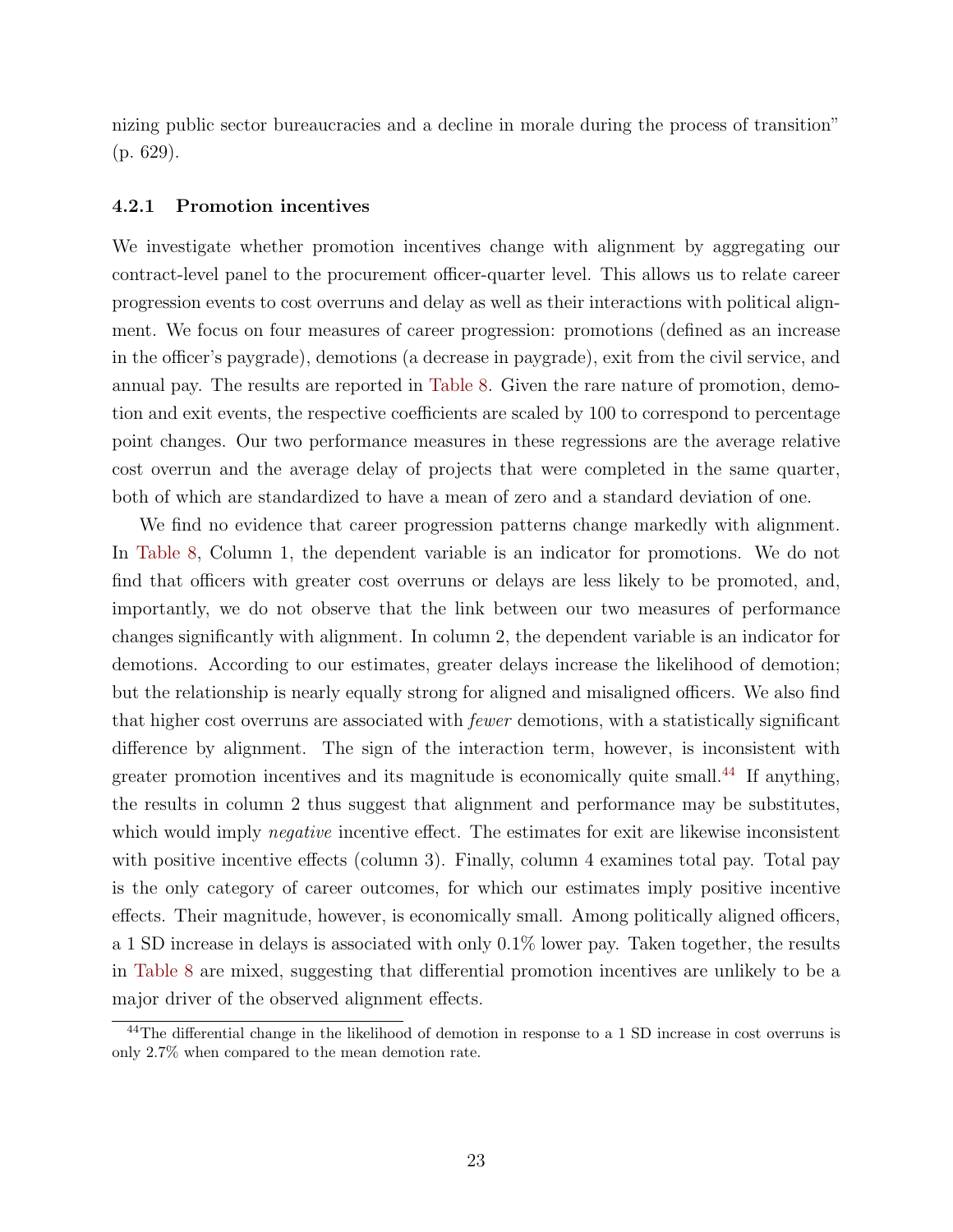nizing public sector bureaucracies and a decline in morale during the process of transition" (p. 629).

#### 4.2.1 Promotion incentives

We investigate whether promotion incentives change with alignment by aggregating our contract-level panel to the procurement officer-quarter level. This allows us to relate career progression events to cost overruns and delay as well as their interactions with political alignment. We focus on four measures of career progression: promotions (defined as an increase in the officer's paygrade), demotions (a decrease in paygrade), exit from the civil service, and annual pay. The results are reported in [Table 8.](#page-49-0) Given the rare nature of promotion, demotion and exit events, the respective coefficients are scaled by 100 to correspond to percentage point changes. Our two performance measures in these regressions are the average relative cost overrun and the average delay of projects that were completed in the same quarter, both of which are standardized to have a mean of zero and a standard deviation of one.

We find no evidence that career progression patterns change markedly with alignment. In [Table 8,](#page-49-0) Column 1, the dependent variable is an indicator for promotions. We do not find that officers with greater cost overruns or delays are less likely to be promoted, and, importantly, we do not observe that the link between our two measures of performance changes significantly with alignment. In column 2, the dependent variable is an indicator for demotions. According to our estimates, greater delays increase the likelihood of demotion; but the relationship is nearly equally strong for aligned and misaligned officers. We also find that higher cost overruns are associated with fewer demotions, with a statistically significant difference by alignment. The sign of the interaction term, however, is inconsistent with greater promotion incentives and its magnitude is economically quite small.<sup>[44](#page-24-0)</sup> If anything, the results in column 2 thus suggest that alignment and performance may be substitutes, which would imply *negative* incentive effect. The estimates for exit are likewise inconsistent with positive incentive effects (column 3). Finally, column 4 examines total pay. Total pay is the only category of career outcomes, for which our estimates imply positive incentive effects. Their magnitude, however, is economically small. Among politically aligned officers, a 1 SD increase in delays is associated with only 0.1% lower pay. Taken together, the results in [Table 8](#page-49-0) are mixed, suggesting that differential promotion incentives are unlikely to be a major driver of the observed alignment effects.

<span id="page-24-0"></span><sup>44</sup>The differential change in the likelihood of demotion in response to a 1 SD increase in cost overruns is only 2.7% when compared to the mean demotion rate.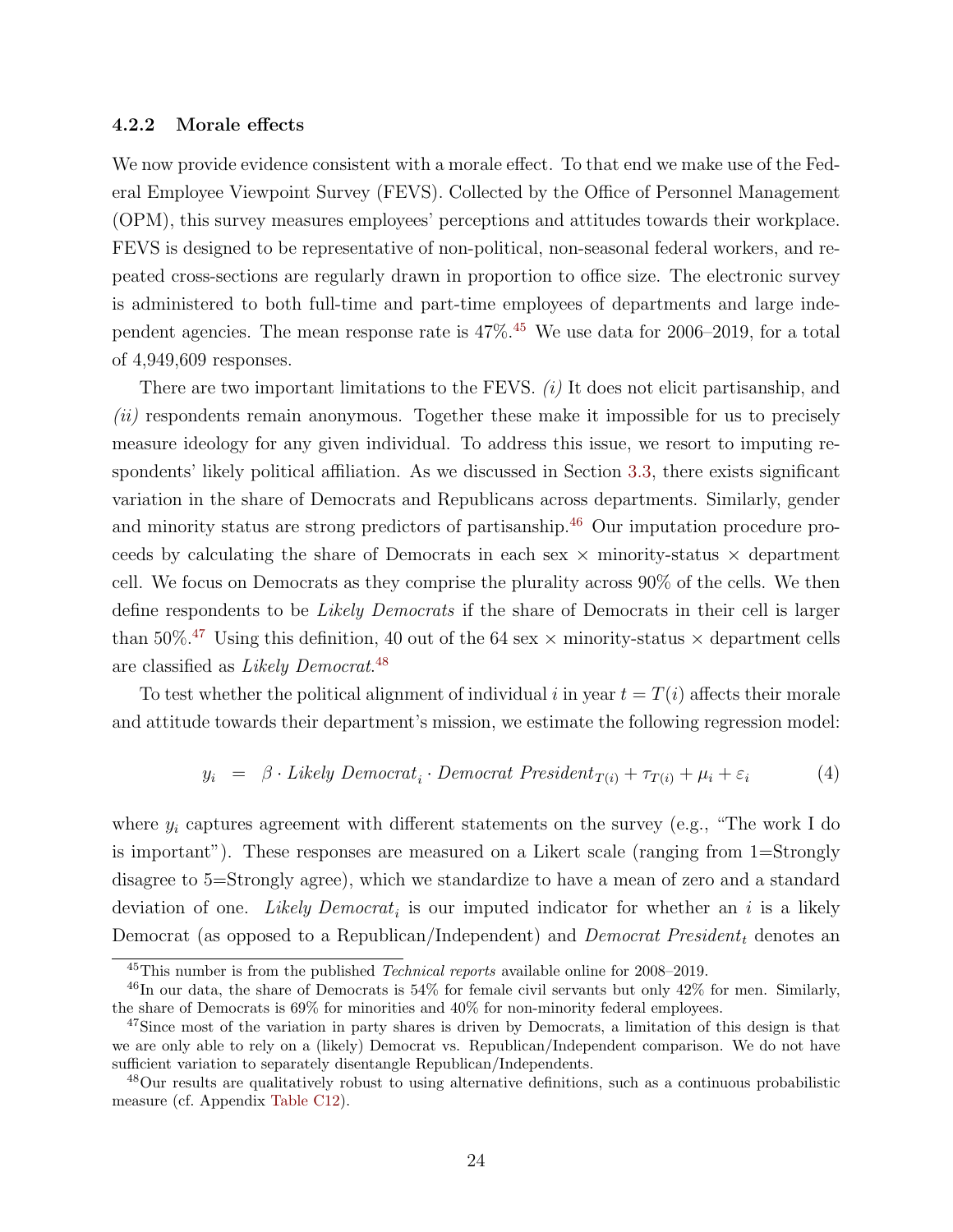#### 4.2.2 Morale effects

<span id="page-25-4"></span>We now provide evidence consistent with a morale effect. To that end we make use of the Federal Employee Viewpoint Survey (FEVS). Collected by the Office of Personnel Management (OPM), this survey measures employees' perceptions and attitudes towards their workplace. FEVS is designed to be representative of non-political, non-seasonal federal workers, and repeated cross-sections are regularly drawn in proportion to office size. The electronic survey is administered to both full-time and part-time employees of departments and large independent agencies. The mean response rate is 47%.[45](#page-25-0) We use data for 2006–2019, for a total of 4,949,609 responses.

There are two important limitations to the FEVS.  $(i)$  It does not elicit partisanship, and (ii) respondents remain anonymous. Together these make it impossible for us to precisely measure ideology for any given individual. To address this issue, we resort to imputing respondents' likely political affiliation. As we discussed in Section [3.3,](#page-17-1) there exists significant variation in the share of Democrats and Republicans across departments. Similarly, gender and minority status are strong predictors of partisanship.<sup>[46](#page-25-1)</sup> Our imputation procedure proceeds by calculating the share of Democrats in each sex  $\times$  minority-status  $\times$  department cell. We focus on Democrats as they comprise the plurality across 90% of the cells. We then define respondents to be Likely Democrats if the share of Democrats in their cell is larger than 50%.<sup>[47](#page-25-2)</sup> Using this definition, 40 out of the 64 sex  $\times$  minority-status  $\times$  department cells are classified as *Likely Democrat*.<sup>[48](#page-25-3)</sup>

To test whether the political alignment of individual i in year  $t = T(i)$  affects their morale and attitude towards their department's mission, we estimate the following regression model:

$$
y_i = \beta \cdot Likely \, Demoncrat_i \cdot Demoncrat \, President_{T(i)} + \tau_{T(i)} + \mu_i + \varepsilon_i \tag{4}
$$

where  $y_i$  captures agreement with different statements on the survey (e.g., "The work I do is important"). These responses are measured on a Likert scale (ranging from 1=Strongly disagree to 5=Strongly agree), which we standardize to have a mean of zero and a standard deviation of one. Likely  $Democrat_i$  is our imputed indicator for whether an i is a likely Democrat (as opposed to a Republican/Independent) and *Democrat President<sub>t</sub>* denotes an

<span id="page-25-1"></span><span id="page-25-0"></span><sup>45</sup>This number is from the published Technical reports available online for 2008–2019.

<sup>46</sup>In our data, the share of Democrats is 54% for female civil servants but only 42% for men. Similarly, the share of Democrats is 69% for minorities and 40% for non-minority federal employees.

<span id="page-25-2"></span><sup>&</sup>lt;sup>47</sup>Since most of the variation in party shares is driven by Democrats, a limitation of this design is that we are only able to rely on a (likely) Democrat vs. Republican/Independent comparison. We do not have sufficient variation to separately disentangle Republican/Independents.

<span id="page-25-3"></span><sup>48</sup>Our results are qualitatively robust to using alternative definitions, such as a continuous probabilistic measure (cf. Appendix Table C12).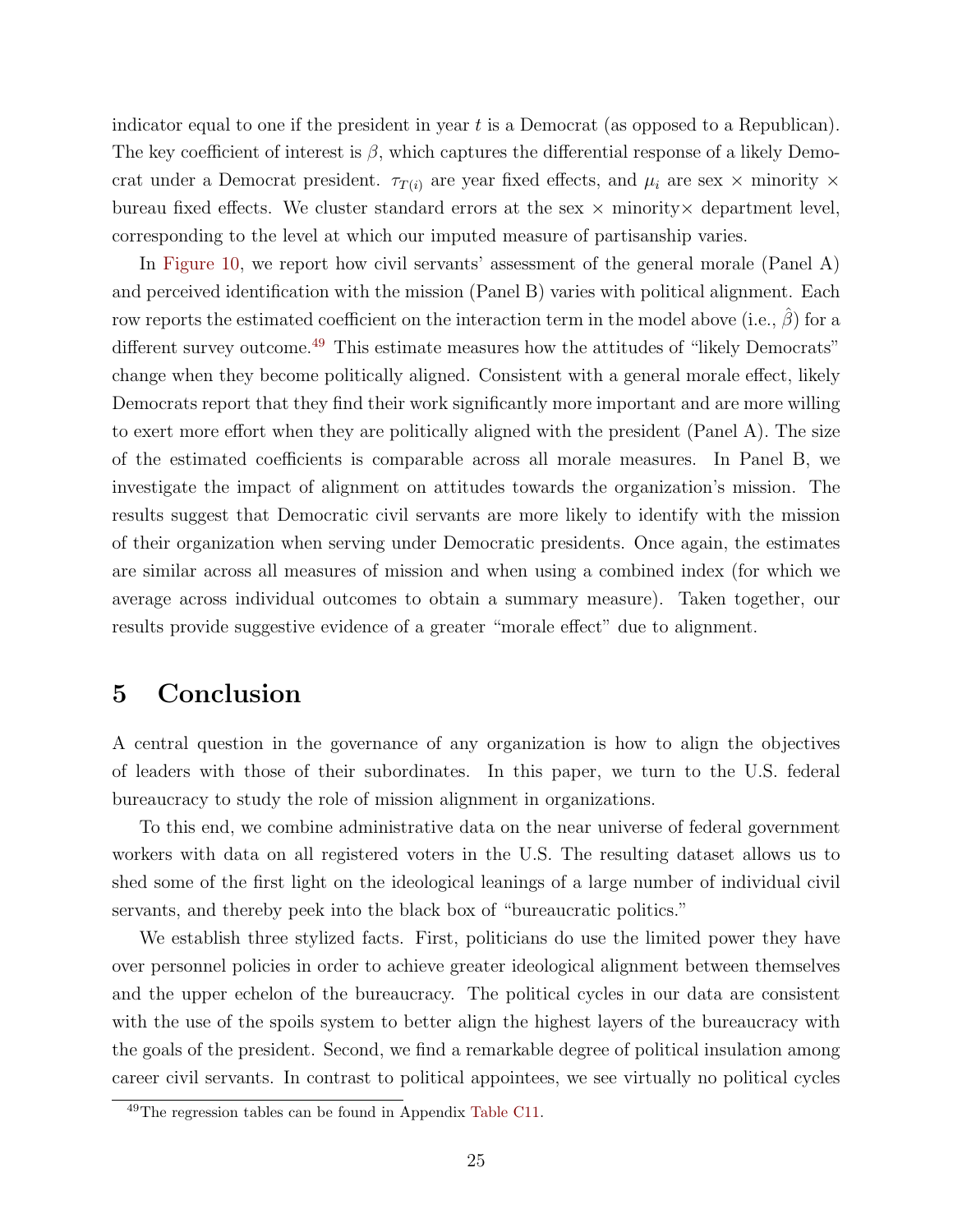indicator equal to one if the president in year  $t$  is a Democrat (as opposed to a Republican). The key coefficient of interest is  $\beta$ , which captures the differential response of a likely Democrat under a Democrat president.  $\tau_{T(i)}$  are year fixed effects, and  $\mu_i$  are sex  $\times$  minority  $\times$ bureau fixed effects. We cluster standard errors at the sex  $\times$  minority  $\times$  department level, corresponding to the level at which our imputed measure of partisanship varies.

In [Figure 10,](#page-41-0) we report how civil servants' assessment of the general morale (Panel A) and perceived identification with the mission (Panel B) varies with political alignment. Each row reports the estimated coefficient on the interaction term in the model above (i.e.,  $\beta$ ) for a different survey outcome.<sup>[49](#page-26-0)</sup> This estimate measures how the attitudes of "likely Democrats" change when they become politically aligned. Consistent with a general morale effect, likely Democrats report that they find their work significantly more important and are more willing to exert more effort when they are politically aligned with the president (Panel A). The size of the estimated coefficients is comparable across all morale measures. In Panel B, we investigate the impact of alignment on attitudes towards the organization's mission. The results suggest that Democratic civil servants are more likely to identify with the mission of their organization when serving under Democratic presidents. Once again, the estimates are similar across all measures of mission and when using a combined index (for which we average across individual outcomes to obtain a summary measure). Taken together, our results provide suggestive evidence of a greater "morale effect" due to alignment.

# 5 Conclusion

A central question in the governance of any organization is how to align the objectives of leaders with those of their subordinates. In this paper, we turn to the U.S. federal bureaucracy to study the role of mission alignment in organizations.

To this end, we combine administrative data on the near universe of federal government workers with data on all registered voters in the U.S. The resulting dataset allows us to shed some of the first light on the ideological leanings of a large number of individual civil servants, and thereby peek into the black box of "bureaucratic politics."

We establish three stylized facts. First, politicians do use the limited power they have over personnel policies in order to achieve greater ideological alignment between themselves and the upper echelon of the bureaucracy. The political cycles in our data are consistent with the use of the spoils system to better align the highest layers of the bureaucracy with the goals of the president. Second, we find a remarkable degree of political insulation among career civil servants. In contrast to political appointees, we see virtually no political cycles

<span id="page-26-0"></span><sup>49</sup>The regression tables can be found in Appendix Table C11.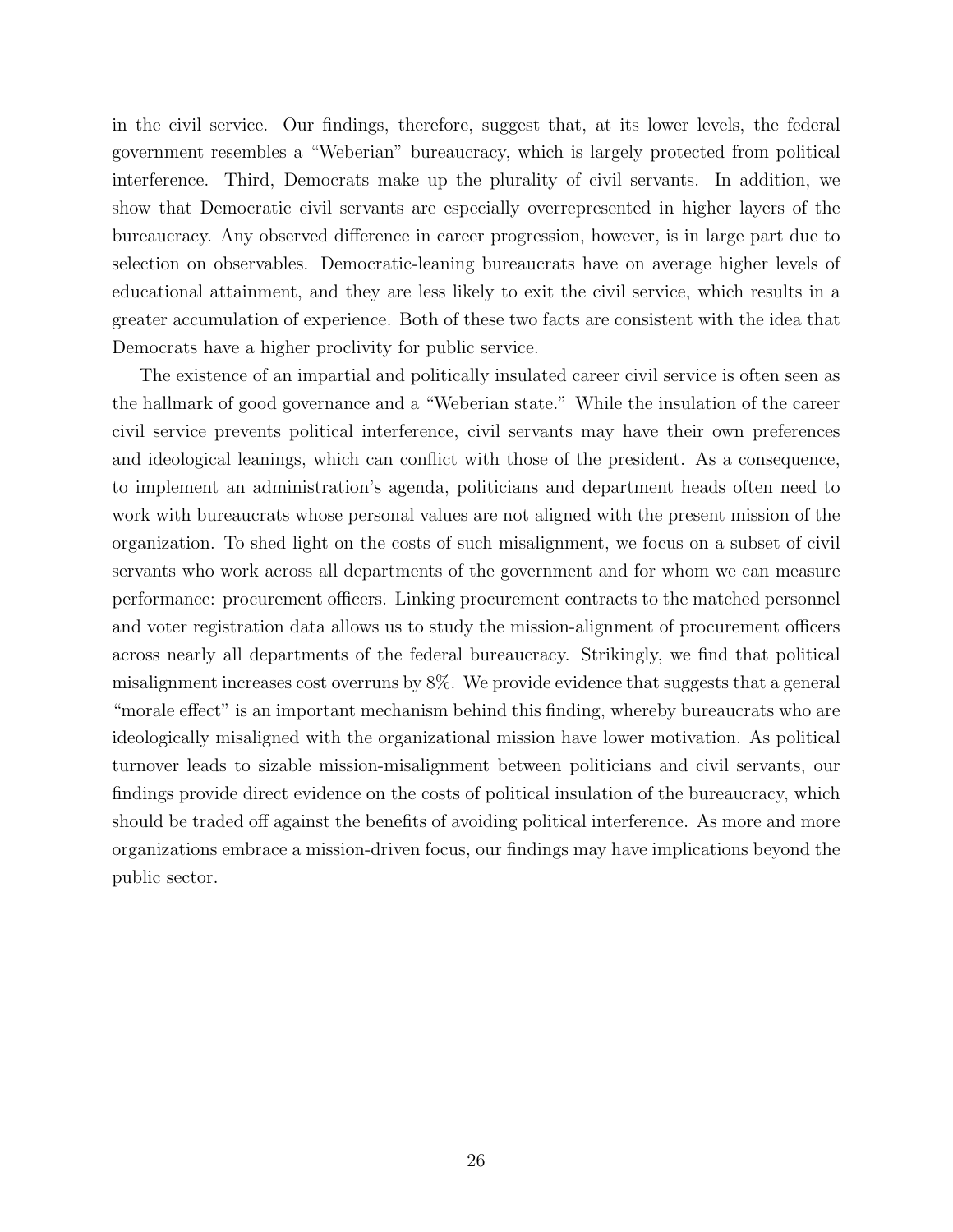in the civil service. Our findings, therefore, suggest that, at its lower levels, the federal government resembles a "Weberian" bureaucracy, which is largely protected from political interference. Third, Democrats make up the plurality of civil servants. In addition, we show that Democratic civil servants are especially overrepresented in higher layers of the bureaucracy. Any observed difference in career progression, however, is in large part due to selection on observables. Democratic-leaning bureaucrats have on average higher levels of educational attainment, and they are less likely to exit the civil service, which results in a greater accumulation of experience. Both of these two facts are consistent with the idea that Democrats have a higher proclivity for public service.

The existence of an impartial and politically insulated career civil service is often seen as the hallmark of good governance and a "Weberian state." While the insulation of the career civil service prevents political interference, civil servants may have their own preferences and ideological leanings, which can conflict with those of the president. As a consequence, to implement an administration's agenda, politicians and department heads often need to work with bureaucrats whose personal values are not aligned with the present mission of the organization. To shed light on the costs of such misalignment, we focus on a subset of civil servants who work across all departments of the government and for whom we can measure performance: procurement officers. Linking procurement contracts to the matched personnel and voter registration data allows us to study the mission-alignment of procurement officers across nearly all departments of the federal bureaucracy. Strikingly, we find that political misalignment increases cost overruns by 8%. We provide evidence that suggests that a general "morale effect" is an important mechanism behind this finding, whereby bureaucrats who are ideologically misaligned with the organizational mission have lower motivation. As political turnover leads to sizable mission-misalignment between politicians and civil servants, our findings provide direct evidence on the costs of political insulation of the bureaucracy, which should be traded off against the benefits of avoiding political interference. As more and more organizations embrace a mission-driven focus, our findings may have implications beyond the public sector.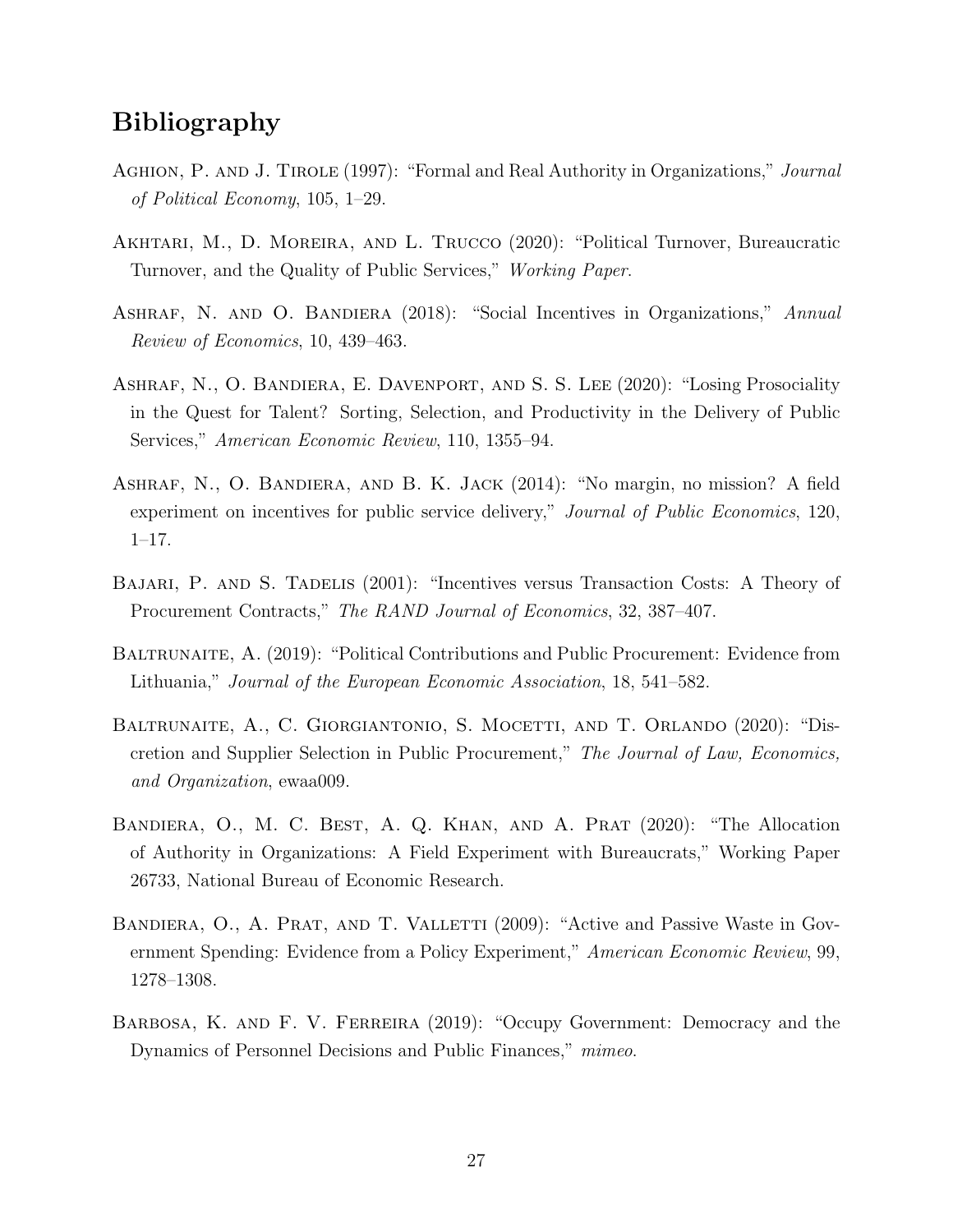# Bibliography

- <span id="page-28-0"></span>AGHION, P. AND J. TIROLE (1997): "Formal and Real Authority in Organizations," Journal of Political Economy, 105, 1–29.
- <span id="page-28-3"></span>AKHTARI, M., D. MOREIRA, AND L. TRUCCO (2020): "Political Turnover, Bureaucratic Turnover, and the Quality of Public Services," Working Paper.
- <span id="page-28-5"></span>ASHRAF, N. AND O. BANDIERA (2018): "Social Incentives in Organizations," Annual Review of Economics, 10, 439–463.
- <span id="page-28-1"></span>ASHRAF, N., O. BANDIERA, E. DAVENPORT, AND S. S. LEE (2020): "Losing Prosociality in the Quest for Talent? Sorting, Selection, and Productivity in the Delivery of Public Services," American Economic Review, 110, 1355–94.
- <span id="page-28-6"></span>Ashraf, N., O. Bandiera, and B. K. Jack (2014): "No margin, no mission? A field experiment on incentives for public service delivery," Journal of Public Economics, 120, 1–17.
- <span id="page-28-2"></span>Bajari, P. and S. Tadelis (2001): "Incentives versus Transaction Costs: A Theory of Procurement Contracts," The RAND Journal of Economics, 32, 387–407.
- <span id="page-28-10"></span>BALTRUNAITE, A. (2019): "Political Contributions and Public Procurement: Evidence from Lithuania," Journal of the European Economic Association, 18, 541–582.
- <span id="page-28-8"></span>BALTRUNAITE, A., C. GIORGIANTONIO, S. MOCETTI, AND T. ORLANDO (2020): "Discretion and Supplier Selection in Public Procurement," The Journal of Law, Economics, and Organization, ewaa009.
- <span id="page-28-9"></span>Bandiera, O., M. C. Best, A. Q. Khan, and A. Prat (2020): "The Allocation of Authority in Organizations: A Field Experiment with Bureaucrats," Working Paper 26733, National Bureau of Economic Research.
- <span id="page-28-7"></span>BANDIERA, O., A. PRAT, AND T. VALLETTI (2009): "Active and Passive Waste in Government Spending: Evidence from a Policy Experiment," American Economic Review, 99, 1278–1308.
- <span id="page-28-4"></span>BARBOSA, K. AND F. V. FERREIRA (2019): "Occupy Government: Democracy and the Dynamics of Personnel Decisions and Public Finances," mimeo.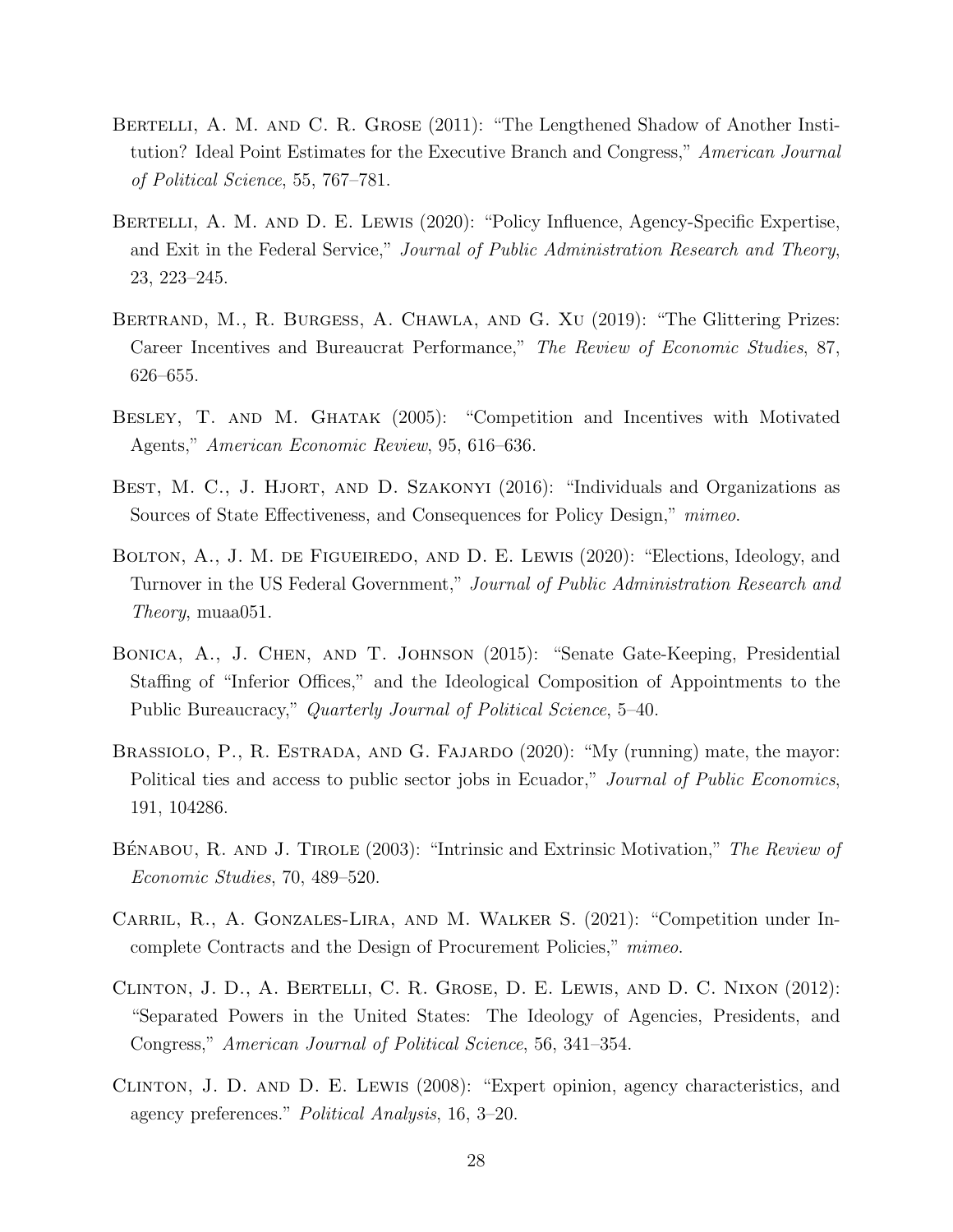- <span id="page-29-7"></span>BERTELLI, A. M. AND C. R. GROSE (2011): "The Lengthened Shadow of Another Institution? Ideal Point Estimates for the Executive Branch and Congress," American Journal of Political Science, 55, 767–781.
- <span id="page-29-3"></span>BERTELLI, A. M. AND D. E. LEWIS (2020): "Policy Influence, Agency-Specific Expertise, and Exit in the Federal Service," Journal of Public Administration Research and Theory, 23, 223–245.
- <span id="page-29-5"></span>BERTRAND, M., R. BURGESS, A. CHAWLA, AND G. XU (2019): "The Glittering Prizes: Career Incentives and Bureaucrat Performance," The Review of Economic Studies, 87, 626–655.
- <span id="page-29-0"></span>BESLEY, T. AND M. GHATAK (2005): "Competition and Incentives with Motivated Agents," American Economic Review, 95, 616–636.
- <span id="page-29-8"></span>BEST, M. C., J. HJORT, AND D. SZAKONYI (2016): "Individuals and Organizations as Sources of State Effectiveness, and Consequences for Policy Design," mimeo.
- <span id="page-29-4"></span>BOLTON, A., J. M. DE FIGUEIREDO, AND D. E. LEWIS (2020): "Elections, Ideology, and Turnover in the US Federal Government," Journal of Public Administration Research and Theory, muaa051.
- <span id="page-29-6"></span>Bonica, A., J. Chen, and T. Johnson (2015): "Senate Gate-Keeping, Presidential Staffing of "Inferior Offices," and the Ideological Composition of Appointments to the Public Bureaucracy," Quarterly Journal of Political Science, 5–40.
- <span id="page-29-2"></span>BRASSIOLO, P., R. ESTRADA, AND G. FAJARDO (2020): "My (running) mate, the mayor: Political ties and access to public sector jobs in Ecuador," Journal of Public Economics, 191, 104286.
- <span id="page-29-1"></span>BÉNABOU, R. AND J. TIROLE (2003): "Intrinsic and Extrinsic Motivation," The Review of Economic Studies, 70, 489–520.
- <span id="page-29-9"></span>Carril, R., A. Gonzales-Lira, and M. Walker S. (2021): "Competition under Incomplete Contracts and the Design of Procurement Policies," mimeo.
- <span id="page-29-10"></span>Clinton, J. D., A. Bertelli, C. R. Grose, D. E. Lewis, and D. C. Nixon (2012): "Separated Powers in the United States: The Ideology of Agencies, Presidents, and Congress," American Journal of Political Science, 56, 341–354.
- <span id="page-29-11"></span>Clinton, J. D. and D. E. Lewis (2008): "Expert opinion, agency characteristics, and agency preferences." Political Analysis, 16, 3–20.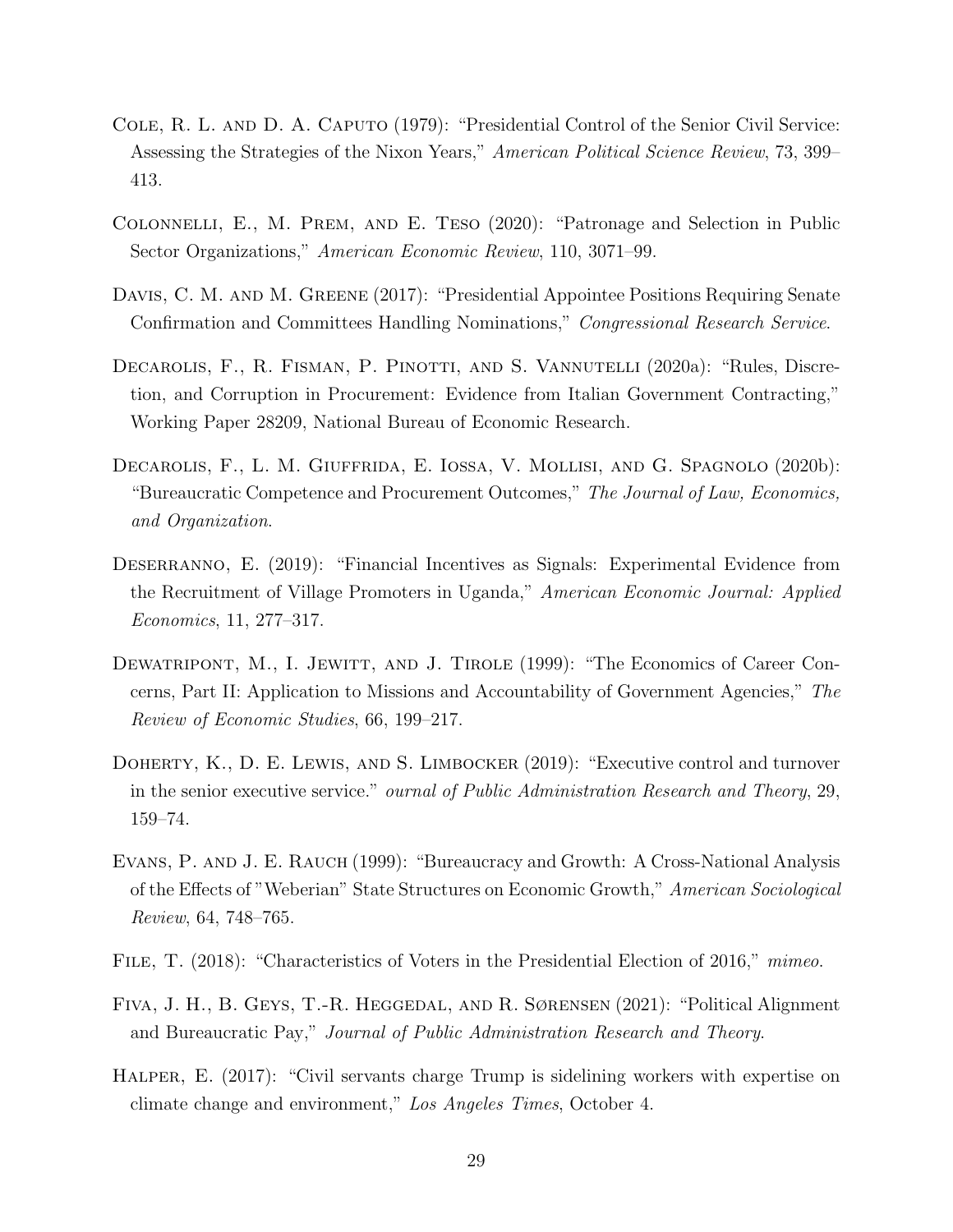- <span id="page-30-10"></span>Cole, R. L. and D. A. Caputo (1979): "Presidential Control of the Senior Civil Service: Assessing the Strategies of the Nixon Years," American Political Science Review, 73, 399– 413.
- <span id="page-30-3"></span>Colonnelli, E., M. Prem, and E. Teso (2020): "Patronage and Selection in Public Sector Organizations," American Economic Review, 110, 3071–99.
- <span id="page-30-8"></span>DAVIS, C. M. AND M. GREENE (2017): "Presidential Appointee Positions Requiring Senate Confirmation and Committees Handling Nominations," Congressional Research Service.
- <span id="page-30-7"></span>DECAROLIS, F., R. FISMAN, P. PINOTTI, AND S. VANNUTELLI (2020a): "Rules, Discretion, and Corruption in Procurement: Evidence from Italian Government Contracting," Working Paper 28209, National Bureau of Economic Research.
- <span id="page-30-2"></span>Decarolis, F., L. M. Giuffrida, E. Iossa, V. Mollisi, and G. Spagnolo (2020b): "Bureaucratic Competence and Procurement Outcomes," The Journal of Law, Economics, and Organization.
- <span id="page-30-5"></span>DESERRANNO, E. (2019): "Financial Incentives as Signals: Experimental Evidence from the Recruitment of Village Promoters in Uganda," American Economic Journal: Applied Economics, 11, 277–317.
- <span id="page-30-0"></span>DEWATRIPONT, M., I. JEWITT, AND J. TIROLE (1999): "The Economics of Career Concerns, Part II: Application to Missions and Accountability of Government Agencies," The Review of Economic Studies, 66, 199–217.
- <span id="page-30-6"></span>DOHERTY, K., D. E. LEWIS, AND S. LIMBOCKER (2019): "Executive control and turnover in the senior executive service." ournal of Public Administration Research and Theory, 29, 159–74.
- <span id="page-30-1"></span>Evans, P. and J. E. Rauch (1999): "Bureaucracy and Growth: A Cross-National Analysis of the Effects of "Weberian" State Structures on Economic Growth," American Sociological Review, 64, 748–765.
- <span id="page-30-9"></span>FILE, T. (2018): "Characteristics of Voters in the Presidential Election of 2016," mimeo.
- <span id="page-30-4"></span>Fiva, J. H., B. Geys, T.-R. Heggedal, and R. Sørensen (2021): "Political Alignment and Bureaucratic Pay," Journal of Public Administration Research and Theory.
- <span id="page-30-11"></span>HALPER, E. (2017): "Civil servants charge Trump is sidelining workers with expertise on climate change and environment," Los Angeles Times, October 4.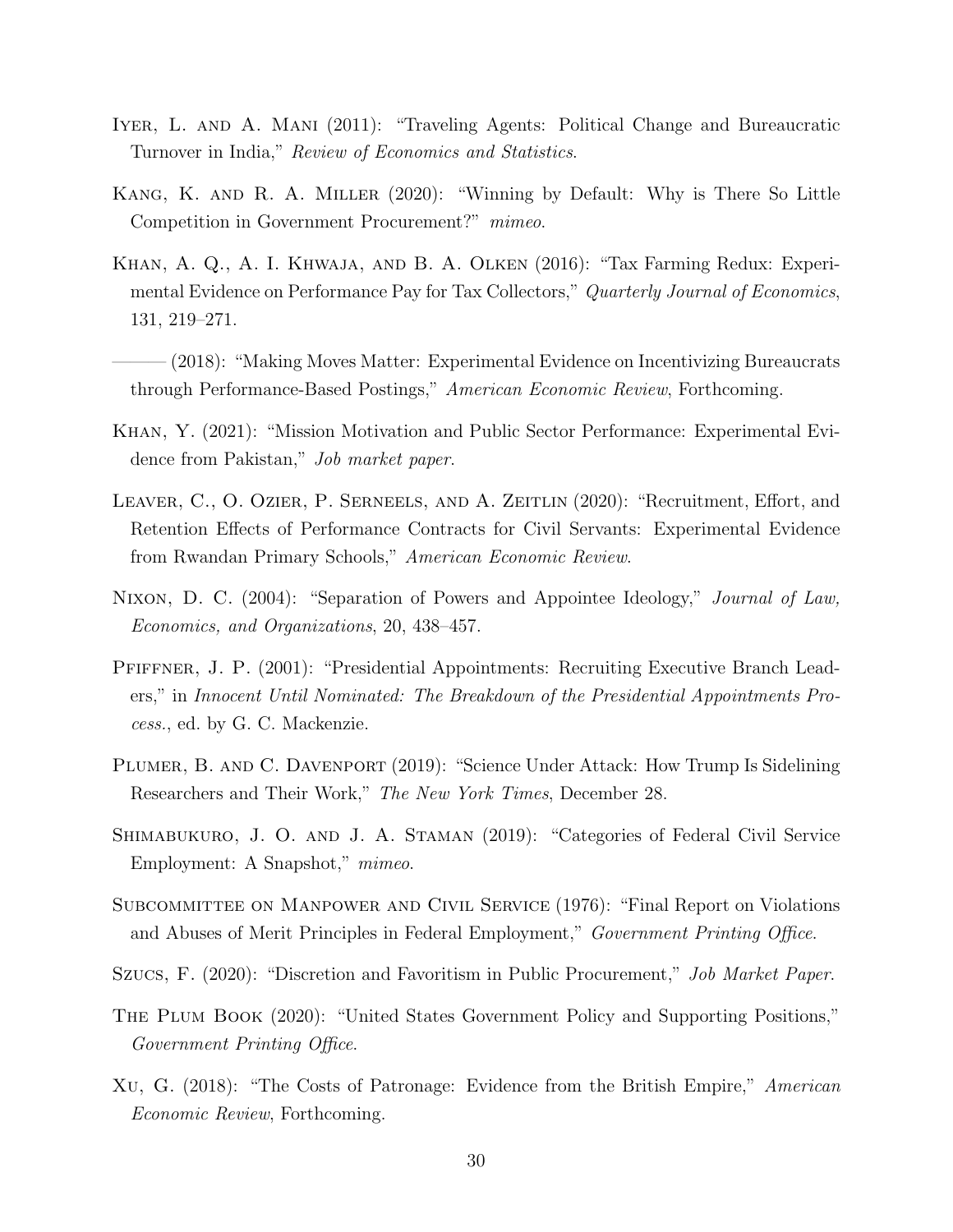- <span id="page-31-2"></span>Iyer, L. and A. Mani (2011): "Traveling Agents: Political Change and Bureaucratic Turnover in India," Review of Economics and Statistics.
- <span id="page-31-1"></span>Kang, K. and R. A. Miller (2020): "Winning by Default: Why is There So Little Competition in Government Procurement?" mimeo.
- <span id="page-31-4"></span>Khan, A. Q., A. I. Khwaja, and B. A. Olken (2016): "Tax Farming Redux: Experimental Evidence on Performance Pay for Tax Collectors," Quarterly Journal of Economics, 131, 219–271.
- <span id="page-31-5"></span>- (2018): "Making Moves Matter: Experimental Evidence on Incentivizing Bureaucrats through Performance-Based Postings," American Economic Review, Forthcoming.
- <span id="page-31-7"></span>Khan, Y. (2021): "Mission Motivation and Public Sector Performance: Experimental Evidence from Pakistan," Job market paper.
- <span id="page-31-6"></span>Leaver, C., O. Ozier, P. Serneels, and A. Zeitlin (2020): "Recruitment, Effort, and Retention Effects of Performance Contracts for Civil Servants: Experimental Evidence from Rwandan Primary Schools," American Economic Review.
- <span id="page-31-8"></span>Nixon, D. C. (2004): "Separation of Powers and Appointee Ideology," Journal of Law, Economics, and Organizations, 20, 438–457.
- <span id="page-31-12"></span>Pfiffner, J. P. (2001): "Presidential Appointments: Recruiting Executive Branch Leaders," in Innocent Until Nominated: The Breakdown of the Presidential Appointments Process., ed. by G. C. Mackenzie.
- <span id="page-31-0"></span>PLUMER, B. AND C. DAVENPORT (2019): "Science Under Attack: How Trump Is Sidelining Researchers and Their Work," The New York Times, December 28.
- <span id="page-31-10"></span>Shimabukuro, J. O. and J. A. Staman (2019): "Categories of Federal Civil Service Employment: A Snapshot," mimeo.
- <span id="page-31-13"></span>Subcommittee on Manpower and Civil Service (1976): "Final Report on Violations and Abuses of Merit Principles in Federal Employment," Government Printing Office.
- <span id="page-31-9"></span>Szucs, F. (2020): "Discretion and Favoritism in Public Procurement," Job Market Paper.
- <span id="page-31-11"></span>The Plum Book (2020): "United States Government Policy and Supporting Positions," Government Printing Office.
- <span id="page-31-3"></span>Xu, G. (2018): "The Costs of Patronage: Evidence from the British Empire," American Economic Review, Forthcoming.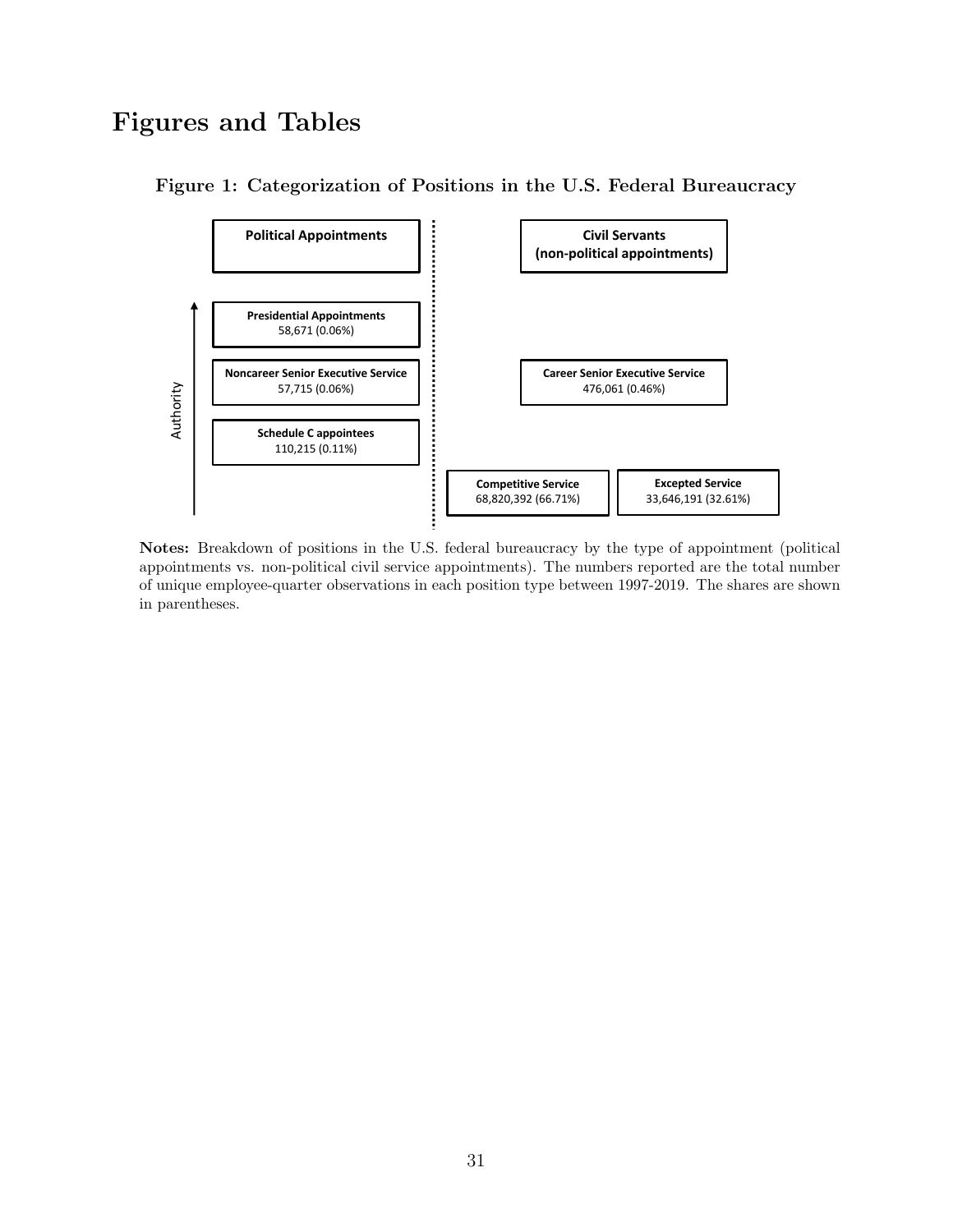# Figures and Tables



<span id="page-32-0"></span>Figure 1: Categorization of Positions in the U.S. Federal Bureaucracy

Notes: Breakdown of positions in the U.S. federal bureaucracy by the type of appointment (political appointments vs. non-political civil service appointments). The numbers reported are the total number of unique employee-quarter observations in each position type between 1997-2019. The shares are shown in parentheses.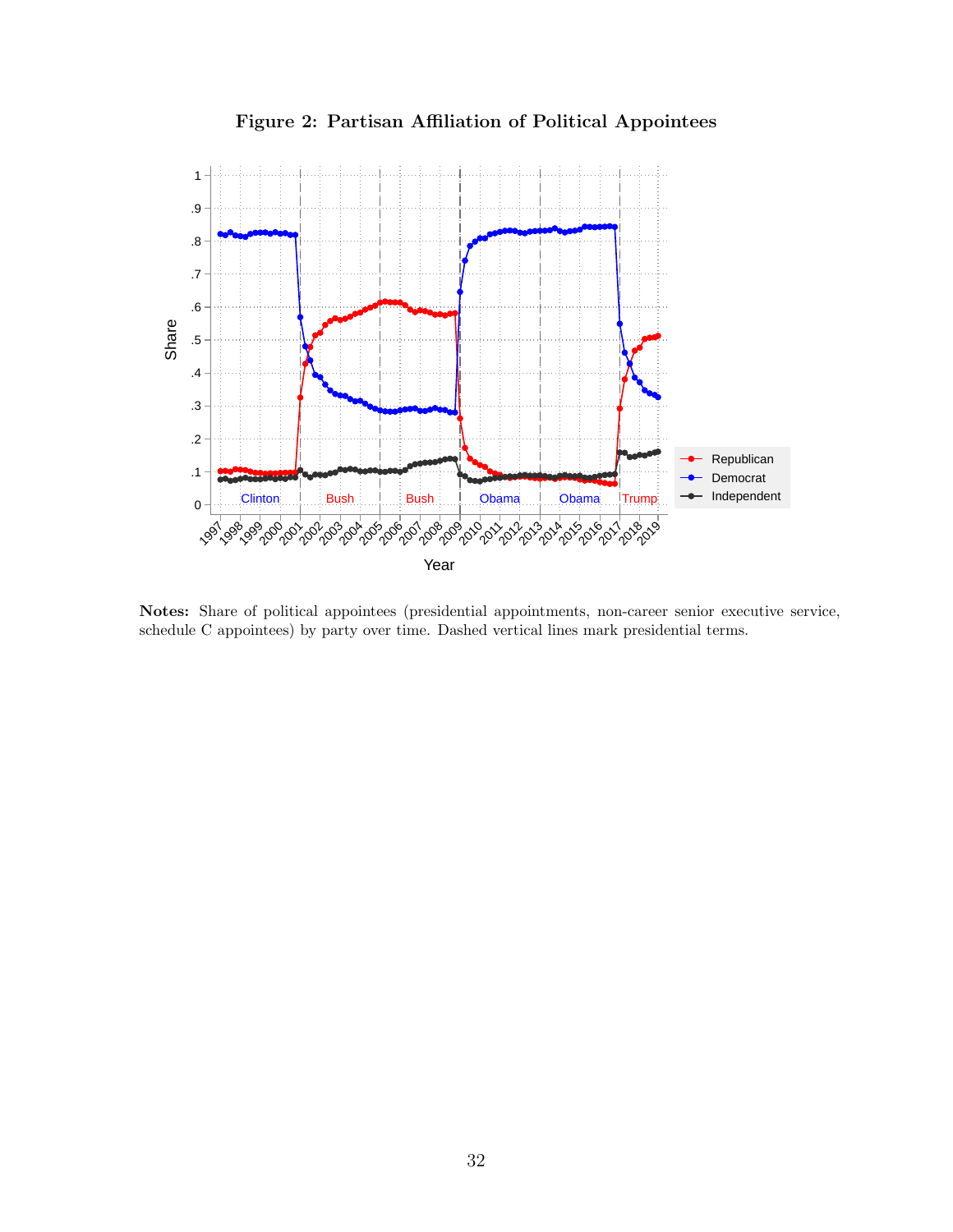<span id="page-33-0"></span>

Figure 2: Partisan Affiliation of Political Appointees

Notes: Share of political appointees (presidential appointments, non-career senior executive service, schedule C appointees) by party over time. Dashed vertical lines mark presidential terms.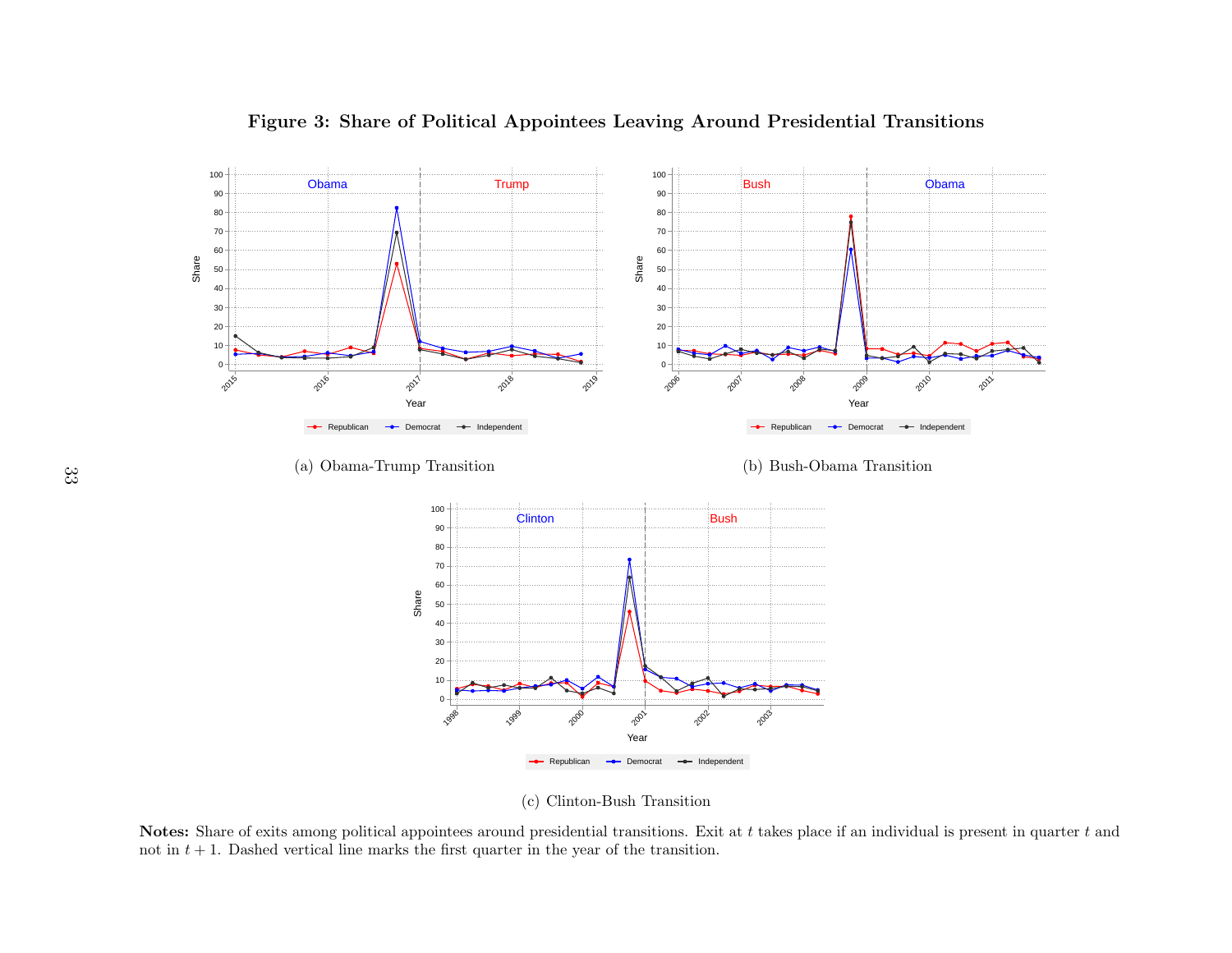

<span id="page-34-0"></span>Figure 3: Share of Political Appointees Leaving Around Presidential Transitions

(c) Clinton-Bush Transition

Notes: Share of exits among political appointees around presidential transitions. Exit at t takes place if an individual is present in quarter t and not in  $t + 1$ . Dashed vertical line marks the first quarter in the year of the transition.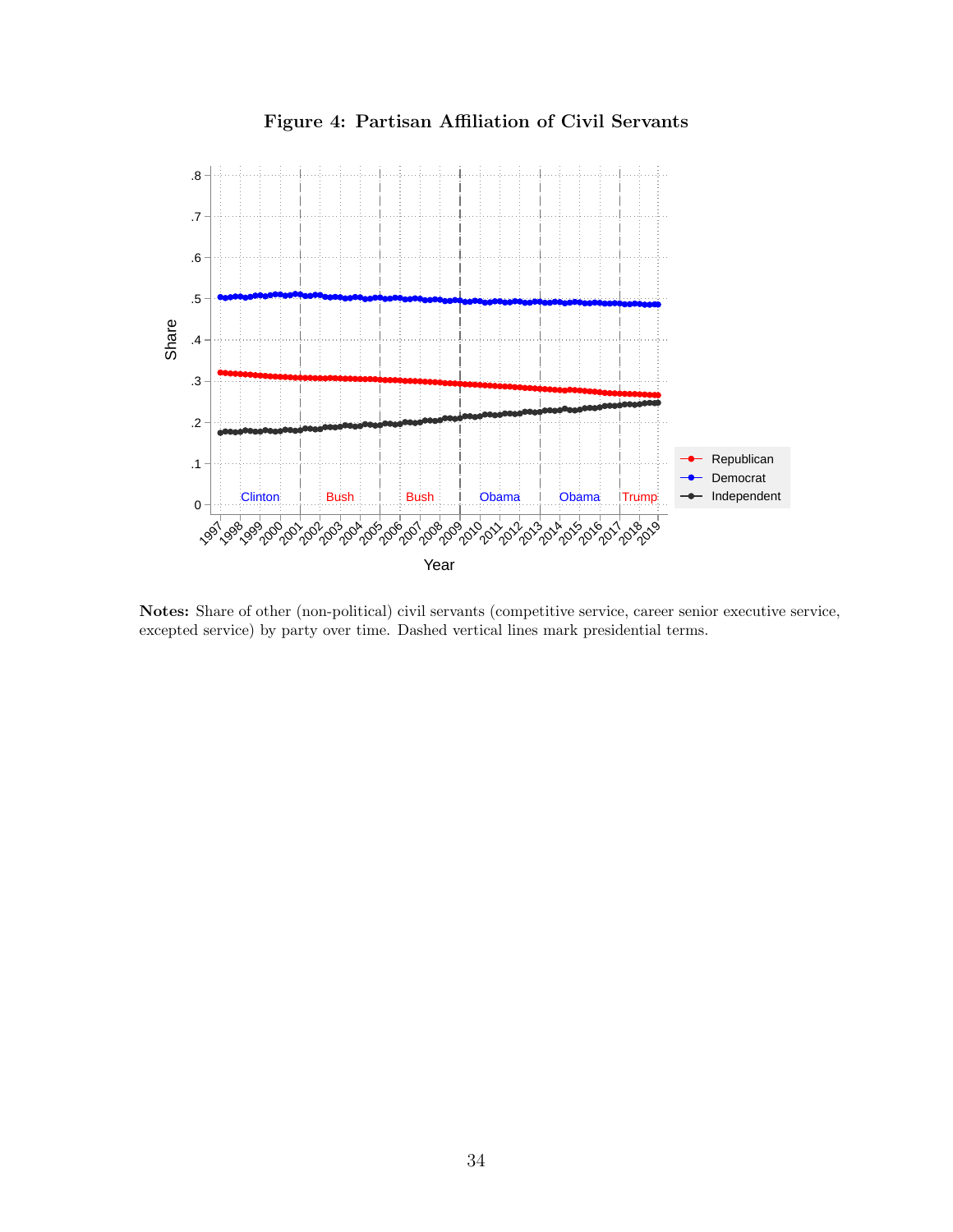<span id="page-35-0"></span>

Figure 4: Partisan Affiliation of Civil Servants

Notes: Share of other (non-political) civil servants (competitive service, career senior executive service, excepted service) by party over time. Dashed vertical lines mark presidential terms.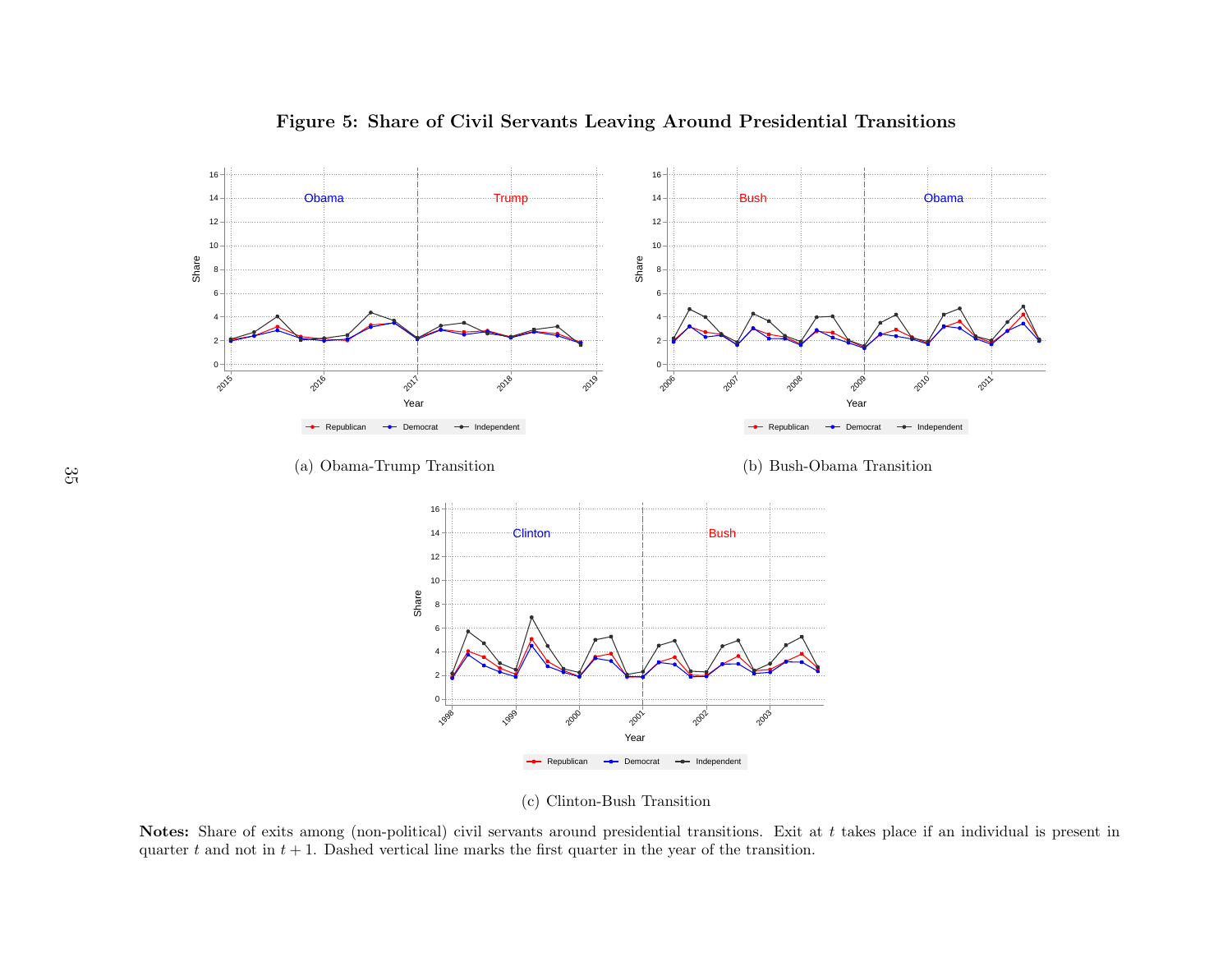

## <span id="page-36-0"></span>Figure 5: Share of Civil Servants Leaving Around Presidential Transitions

(c) Clinton-Bush Transition

Notes: Share of exits among (non-political) civil servants around presidential transitions. Exit at <sup>t</sup> takes <sup>p</sup>lace if an individual is present inquarter t and not in  $t + 1$ . Dashed vertical line marks the first quarter in the year of the transition.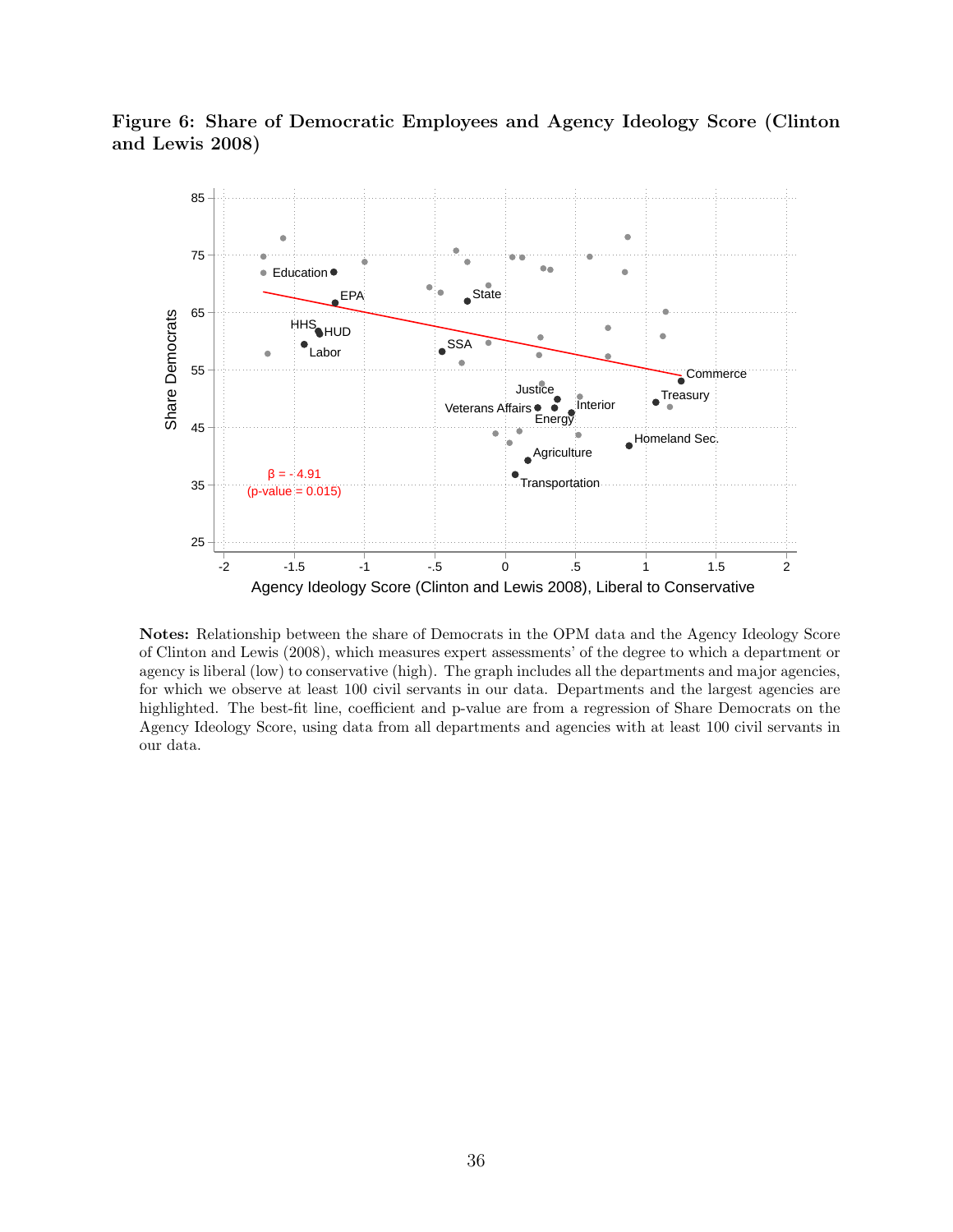<span id="page-37-0"></span>



Notes: Relationship between the share of Democrats in the OPM data and the Agency Ideology Score of Clinton and Lewis (2008), which measures expert assessments' of the degree to which a department or agency is liberal (low) to conservative (high). The graph includes all the departments and major agencies, for which we observe at least 100 civil servants in our data. Departments and the largest agencies are highlighted. The best-fit line, coefficient and p-value are from a regression of Share Democrats on the Agency Ideology Score, using data from all departments and agencies with at least 100 civil servants in our data.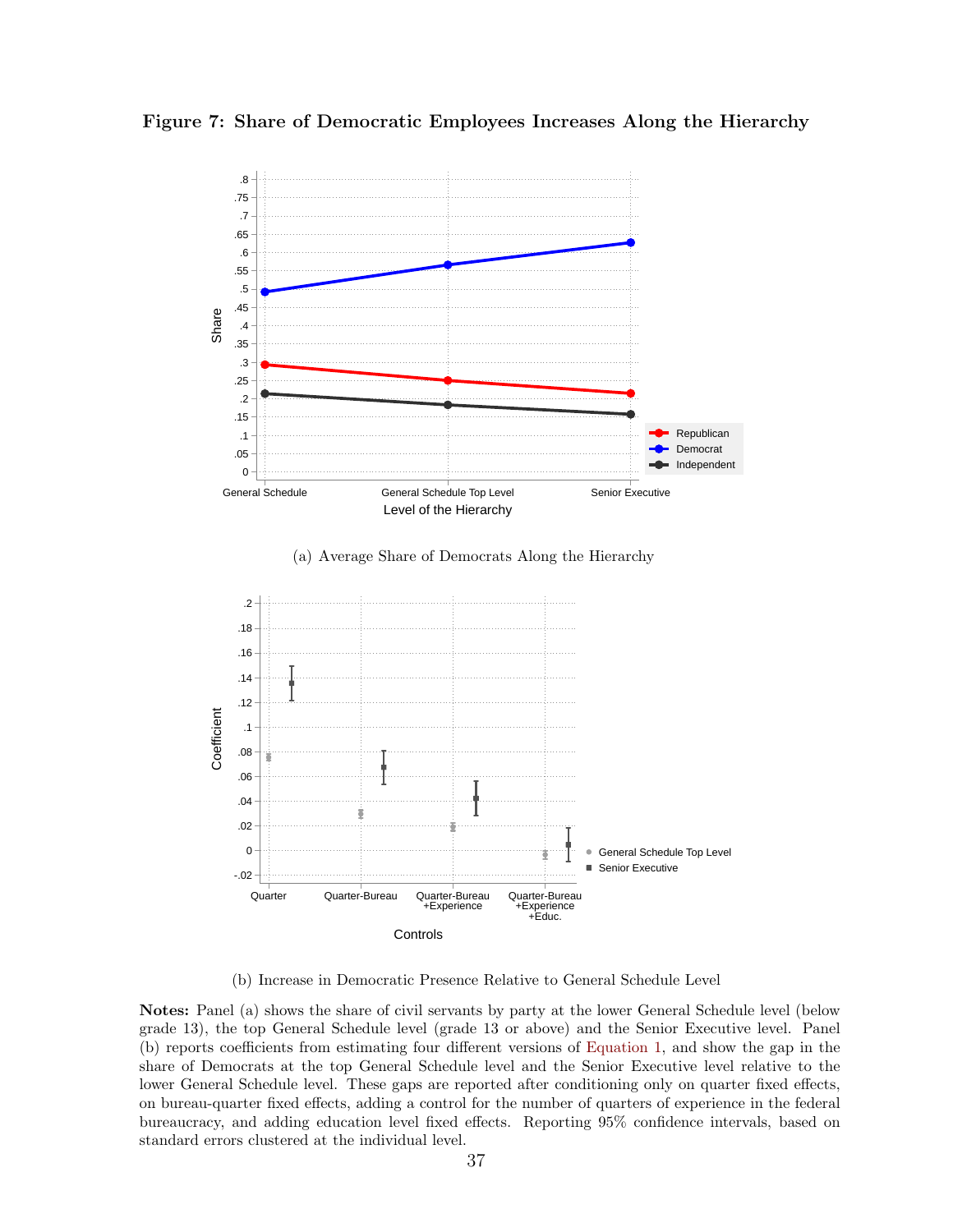<span id="page-38-0"></span>Figure 7: Share of Democratic Employees Increases Along the Hierarchy



(b) Increase in Democratic Presence Relative to General Schedule Level

Notes: Panel (a) shows the share of civil servants by party at the lower General Schedule level (below grade 13), the top General Schedule level (grade 13 or above) and the Senior Executive level. Panel (b) reports coefficients from estimating four different versions of [Equation 1,](#page-19-2) and show the gap in the share of Democrats at the top General Schedule level and the Senior Executive level relative to the lower General Schedule level. These gaps are reported after conditioning only on quarter fixed effects, on bureau-quarter fixed effects, adding a control for the number of quarters of experience in the federal bureaucracy, and adding education level fixed effects. Reporting 95% confidence intervals, based on standard errors clustered at the individual level.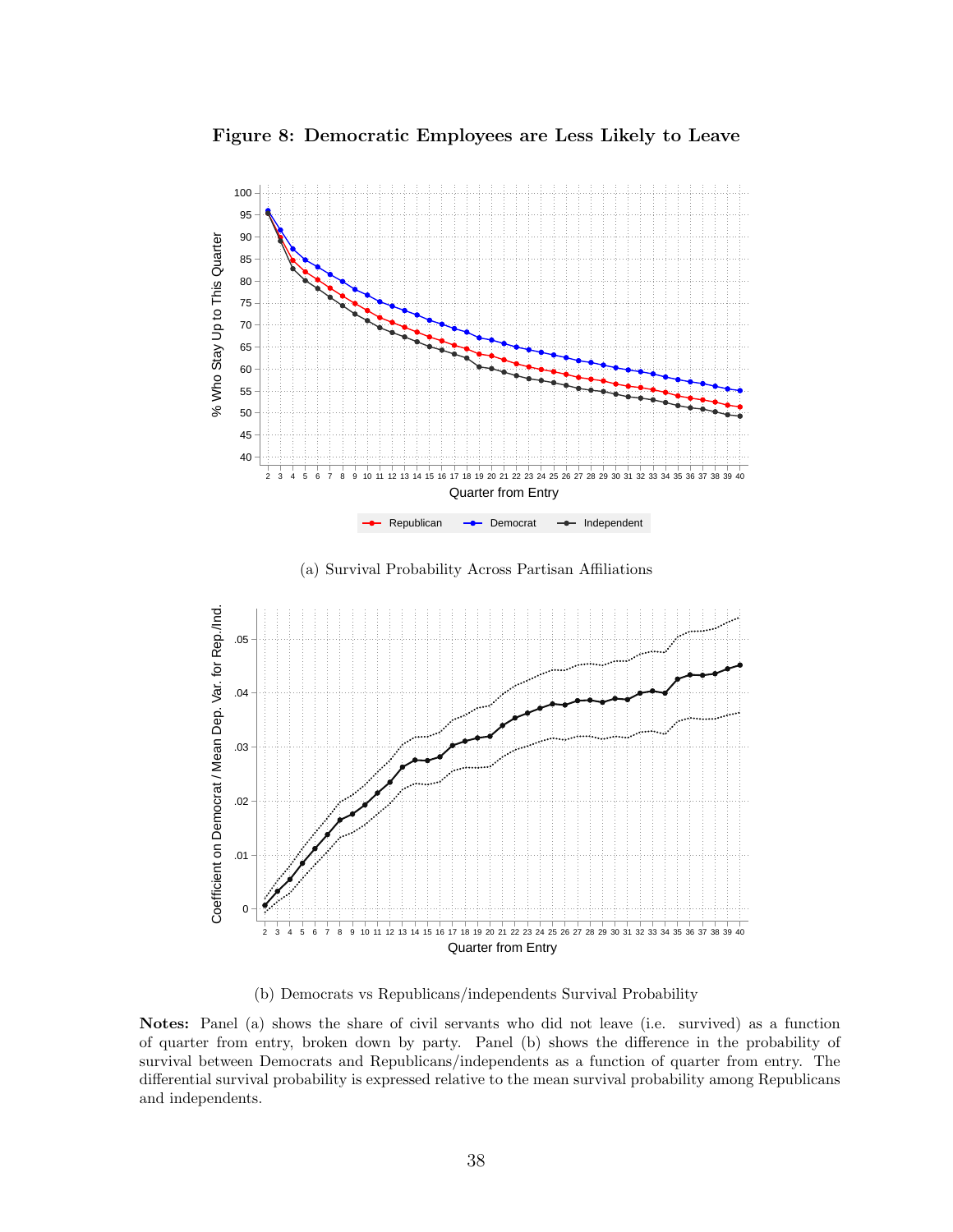<span id="page-39-0"></span>



(a) Survival Probability Across Partisan Affiliations



(b) Democrats vs Republicans/independents Survival Probability

Notes: Panel (a) shows the share of civil servants who did not leave (i.e. survived) as a function of quarter from entry, broken down by party. Panel (b) shows the difference in the probability of survival between Democrats and Republicans/independents as a function of quarter from entry. The differential survival probability is expressed relative to the mean survival probability among Republicans and independents.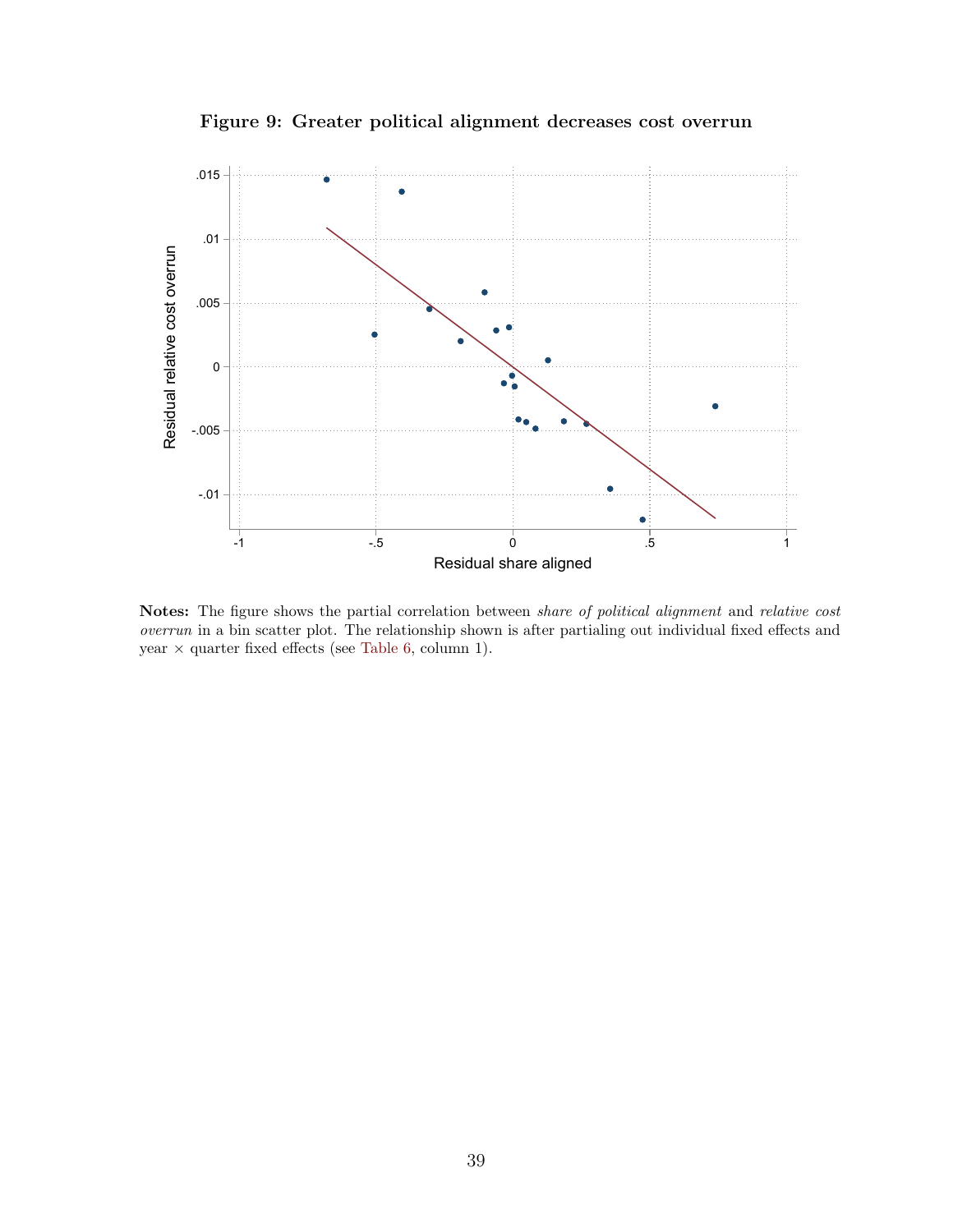Figure 9: Greater political alignment decreases cost overrun

<span id="page-40-0"></span>

Notes: The figure shows the partial correlation between *share of political alignment* and *relative cost* overrun in a bin scatter plot. The relationship shown is after partialing out individual fixed effects and year  $\times$  quarter fixed effects (see [Table 6,](#page-47-0) column 1).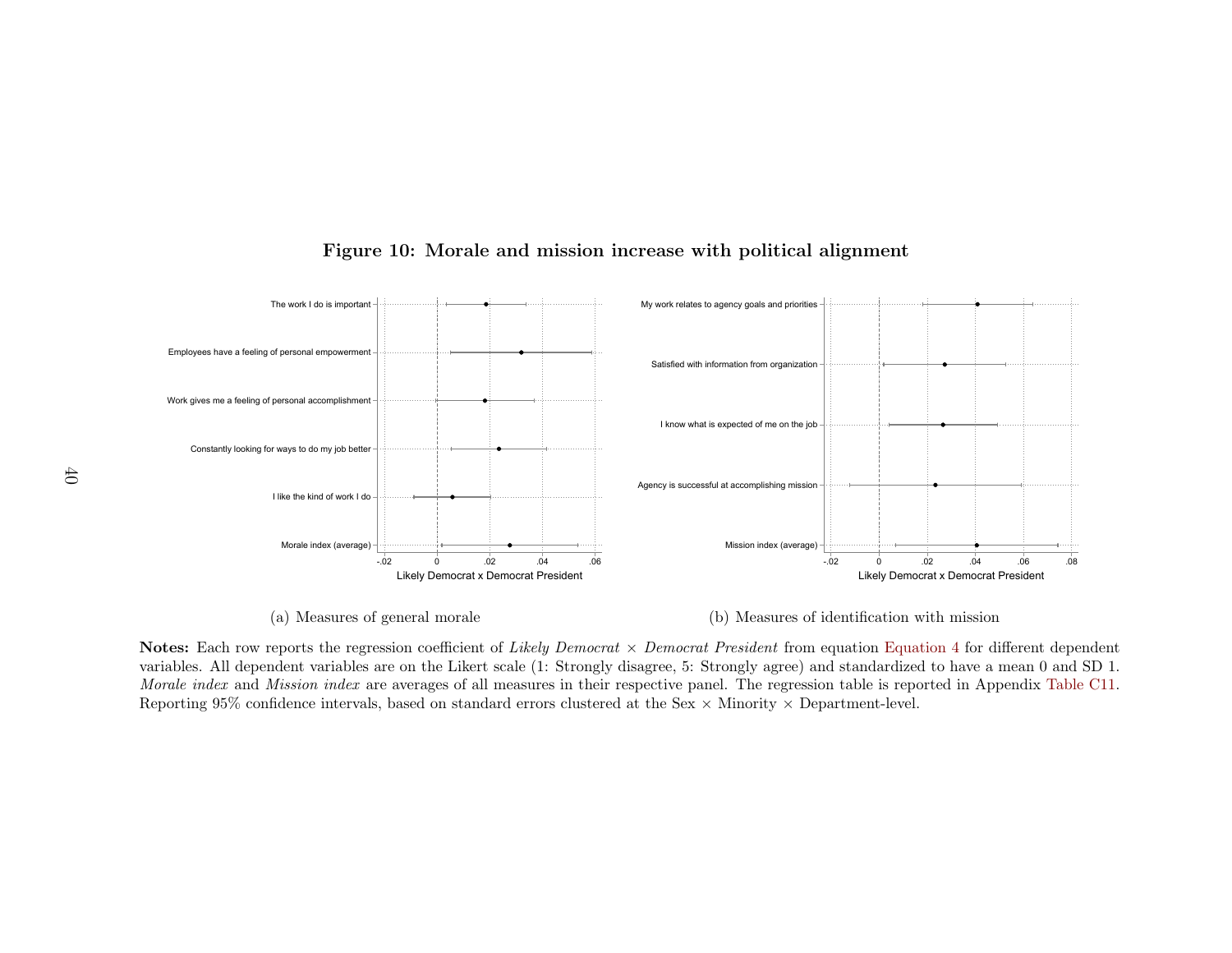

# Figure 10: Morale and mission increase with political alignment

<span id="page-41-0"></span>(a) Measures of general morale

(b) Measures of identification with mission

 variables. All dependent variables are on the Likert scale (1: Strongly disagree, 5: Strongly agree) and standardized to have <sup>a</sup> mean <sup>0</sup> and SD 1.<sup>2</sup><br>Likely Democrat x Democrat President<br>
ceneral morale<br>
sion coefficient of *Likely Democ*<br>
e on the Likert scale (1: Strong<br>
averages of all measures in the<br>
based on standard errors cluste: <sup>2</sup>  $^{0}$   $^{0}$ <br>
Likely Democrat x Democrat President<br>
entification with mission<br>
quation Equation 4 for different depends and table is reported in Appendix Tabl<br>
rtment-level. Notes: Each row reports the regression coefficient of *Likely Democrat*  $\times$  *Democrat President* from equation [Equation](#page-25-4) 4 for different dependent Morale index and Mission index are averages of all measures in their respective panel. The regression table is reported in Appendix Table C11. Reporting 95% confidence intervals, based on standard errors clustered at the Sex  $\times$  Minority  $\times$  Department-level.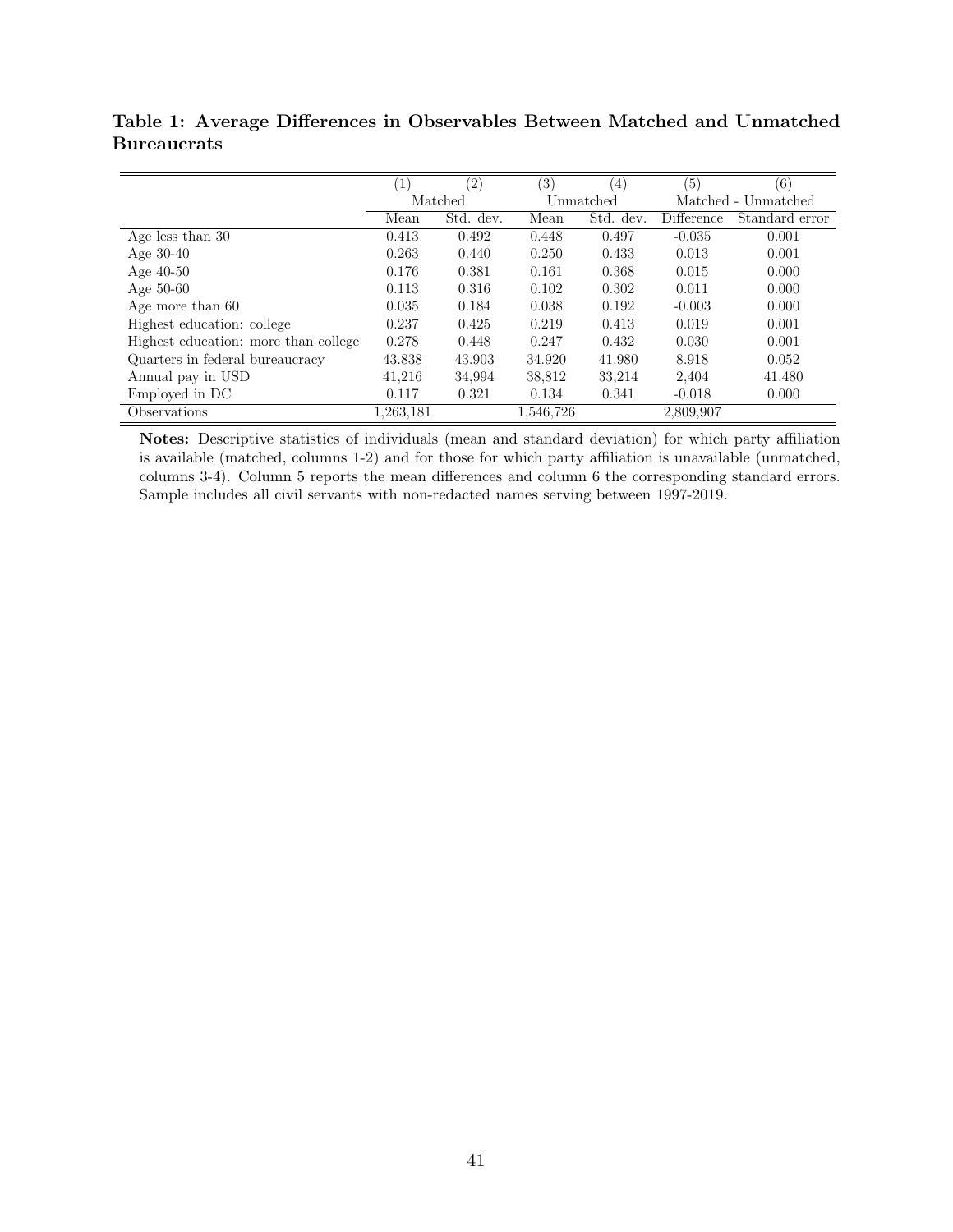<span id="page-42-0"></span>Table 1: Average Differences in Observables Between Matched and Unmatched Bureaucrats

|                                      | $\left(1\right)$ | $\left( 2\right)$ | $\left( 3\right)$ | $\left(4\right)$ | $\overline{(5)}$ | (6)                 |
|--------------------------------------|------------------|-------------------|-------------------|------------------|------------------|---------------------|
|                                      | Matched          |                   |                   | Unmatched        |                  | Matched - Unmatched |
|                                      | Mean             | Std. dev.         | Mean              | Std. dev.        | Difference       | Standard error      |
| Age less than 30                     | 0.413            | 0.492             | 0.448             | 0.497            | $-0.035$         | 0.001               |
| Age $30-40$                          | 0.263            | 0.440             | 0.250             | 0.433            | 0.013            | 0.001               |
| Age $40-50$                          | 0.176            | 0.381             | 0.161             | 0.368            | 0.015            | 0.000               |
| Age $50-60$                          | 0.113            | 0.316             | 0.102             | 0.302            | 0.011            | 0.000               |
| Age more than 60                     | 0.035            | 0.184             | 0.038             | 0.192            | $-0.003$         | 0.000               |
| Highest education: college           | 0.237            | 0.425             | 0.219             | 0.413            | 0.019            | 0.001               |
| Highest education: more than college | 0.278            | 0.448             | 0.247             | 0.432            | 0.030            | 0.001               |
| Quarters in federal bureaucracy      | 43.838           | 43.903            | 34.920            | 41.980           | 8.918            | 0.052               |
| Annual pay in USD                    | 41,216           | 34,994            | 38,812            | 33,214           | 2,404            | 41.480              |
| Employed in DC                       | 0.117            | 0.321             | 0.134             | 0.341            | $-0.018$         | 0.000               |
| Observations                         | 1,263,181        |                   | 1,546,726         |                  | 2,809,907        |                     |

Notes: Descriptive statistics of individuals (mean and standard deviation) for which party affiliation is available (matched, columns 1-2) and for those for which party affiliation is unavailable (unmatched, columns 3-4). Column 5 reports the mean differences and column 6 the corresponding standard errors. Sample includes all civil servants with non-redacted names serving between 1997-2019.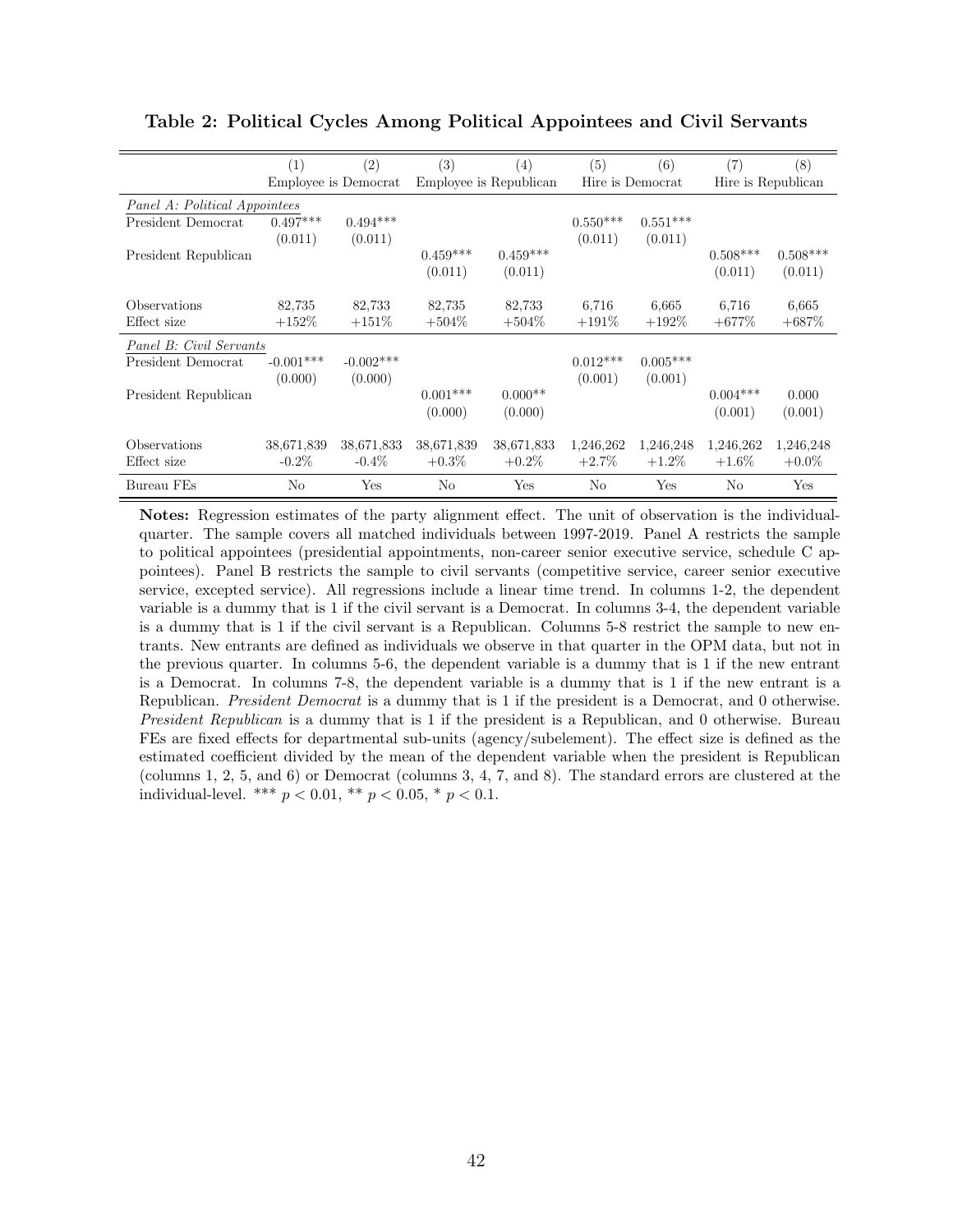|                               | (1)         | (2)                  | (3)                    | (4)        | (5)              | (6)        | (7)                | (8)        |  |
|-------------------------------|-------------|----------------------|------------------------|------------|------------------|------------|--------------------|------------|--|
|                               |             | Employee is Democrat | Employee is Republican |            | Hire is Democrat |            | Hire is Republican |            |  |
| Panel A: Political Appointees |             |                      |                        |            |                  |            |                    |            |  |
| President Democrat            | $0.497***$  | $0.494***$           |                        |            | $0.550***$       | $0.551***$ |                    |            |  |
|                               | (0.011)     | (0.011)              |                        |            | (0.011)          | (0.011)    |                    |            |  |
| President Republican          |             |                      | $0.459***$             | $0.459***$ |                  |            | $0.508***$         | $0.508***$ |  |
|                               |             |                      | (0.011)                | (0.011)    |                  |            | (0.011)            | (0.011)    |  |
| Observations                  | 82,735      | 82,733               | 82,735                 | 82,733     | 6,716            | 6.665      | 6,716              | 6,665      |  |
| Effect size                   | $+152%$     | $+151%$              | $+504%$                | $+504\%$   | $+191%$          | $+192\%$   | $+677\%$           | $+687%$    |  |
| Panel B: Civil Servants       |             |                      |                        |            |                  |            |                    |            |  |
| President Democrat            | $-0.001***$ | $-0.002***$          |                        |            | $0.012***$       | $0.005***$ |                    |            |  |
|                               | (0.000)     | (0.000)              |                        |            | (0.001)          | (0.001)    |                    |            |  |
| President Republican          |             |                      | $0.001***$             | $0.000**$  |                  |            | $0.004***$         | 0.000      |  |
|                               |             |                      | (0.000)                | (0.000)    |                  |            | (0.001)            | (0.001)    |  |
| Observations                  | 38,671,839  | 38,671,833           | 38,671,839             | 38,671,833 | 1,246,262        | 1,246,248  | 1,246,262          | 1,246,248  |  |
| Effect size                   | $-0.2\%$    | $-0.4\%$             | $+0.3\%$               | $+0.2\%$   | $+2.7\%$         | $+1.2\%$   | $+1.6\%$           | $+0.0\%$   |  |
| Bureau FEs                    | No          | Yes                  | N <sub>o</sub>         | Yes        | No               | Yes        | N <sub>o</sub>     | Yes        |  |

<span id="page-43-0"></span>Table 2: Political Cycles Among Political Appointees and Civil Servants

Notes: Regression estimates of the party alignment effect. The unit of observation is the individualquarter. The sample covers all matched individuals between 1997-2019. Panel A restricts the sample to political appointees (presidential appointments, non-career senior executive service, schedule C appointees). Panel B restricts the sample to civil servants (competitive service, career senior executive service, excepted service). All regressions include a linear time trend. In columns 1-2, the dependent variable is a dummy that is 1 if the civil servant is a Democrat. In columns 3-4, the dependent variable is a dummy that is 1 if the civil servant is a Republican. Columns 5-8 restrict the sample to new entrants. New entrants are defined as individuals we observe in that quarter in the OPM data, but not in the previous quarter. In columns 5-6, the dependent variable is a dummy that is 1 if the new entrant is a Democrat. In columns 7-8, the dependent variable is a dummy that is 1 if the new entrant is a Republican. *President Democrat* is a dummy that is 1 if the president is a Democrat, and 0 otherwise. President Republican is a dummy that is 1 if the president is a Republican, and 0 otherwise. Bureau FEs are fixed effects for departmental sub-units (agency/subelement). The effect size is defined as the estimated coefficient divided by the mean of the dependent variable when the president is Republican (columns 1, 2, 5, and 6) or Democrat (columns 3, 4, 7, and 8). The standard errors are clustered at the individual-level. \*\*\*  $p < 0.01$ , \*\*  $p < 0.05$ , \*  $p < 0.1$ .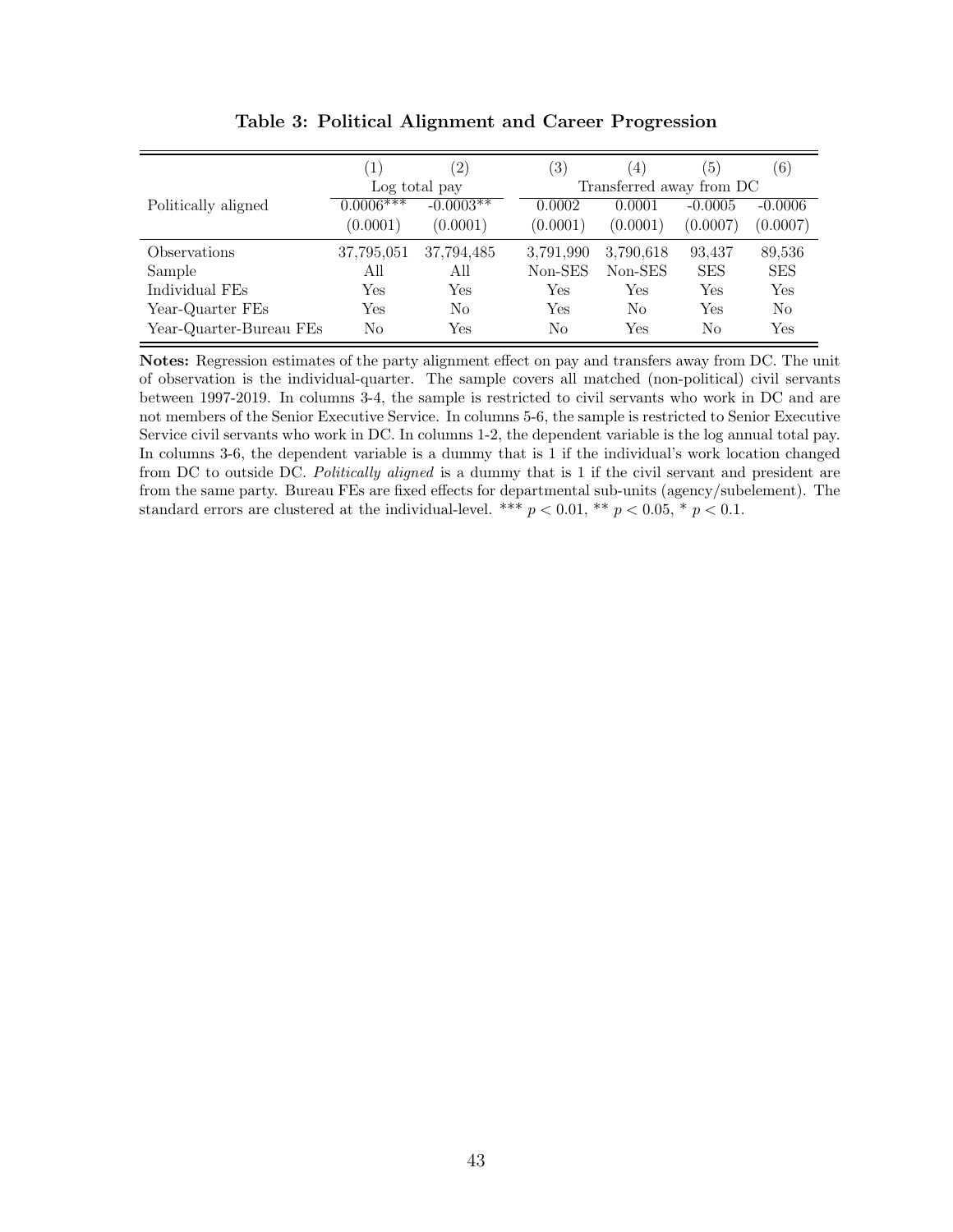<span id="page-44-0"></span>

|                            | (1)         | $^{\prime}2)$ | (3)       | $\left(4\right)$         | (5)        | (6)        |
|----------------------------|-------------|---------------|-----------|--------------------------|------------|------------|
|                            |             | Log total pay |           | Transferred away from DC |            |            |
| Politically aligned        | $0.0006***$ | $-0.0003**$   | 0.0002    | 0.0001                   | $-0.0005$  | $-0.0006$  |
|                            | (0.0001)    | (0.0001)      | (0.0001)  | (0.0001)                 | (0.0007)   | (0.0007)   |
| <i><b>Observations</b></i> | 37,795,051  | 37,794,485    | 3.791.990 | 3.790.618                | 93,437     | 89,536     |
| Sample                     | All         | All           | Non-SES   | Non-SES                  | <b>SES</b> | <b>SES</b> |
| Individual FEs             | Yes         | Yes           | Yes       | Yes                      | Yes        | Yes        |
| Year-Quarter FEs           | Yes         | No            | Yes       | No                       | Yes        | No         |
| Year-Quarter-Bureau FEs    | No          | Yes           | No        | Yes                      | No         | Yes        |

Table 3: Political Alignment and Career Progression

Notes: Regression estimates of the party alignment effect on pay and transfers away from DC. The unit of observation is the individual-quarter. The sample covers all matched (non-political) civil servants between 1997-2019. In columns 3-4, the sample is restricted to civil servants who work in DC and are not members of the Senior Executive Service. In columns 5-6, the sample is restricted to Senior Executive Service civil servants who work in DC. In columns 1-2, the dependent variable is the log annual total pay. In columns 3-6, the dependent variable is a dummy that is 1 if the individual's work location changed from DC to outside DC. Politically aligned is a dummy that is 1 if the civil servant and president are from the same party. Bureau FEs are fixed effects for departmental sub-units (agency/subelement). The standard errors are clustered at the individual-level. \*\*\*  $p < 0.01$ , \*\*  $p < 0.05$ , \*  $p < 0.1$ .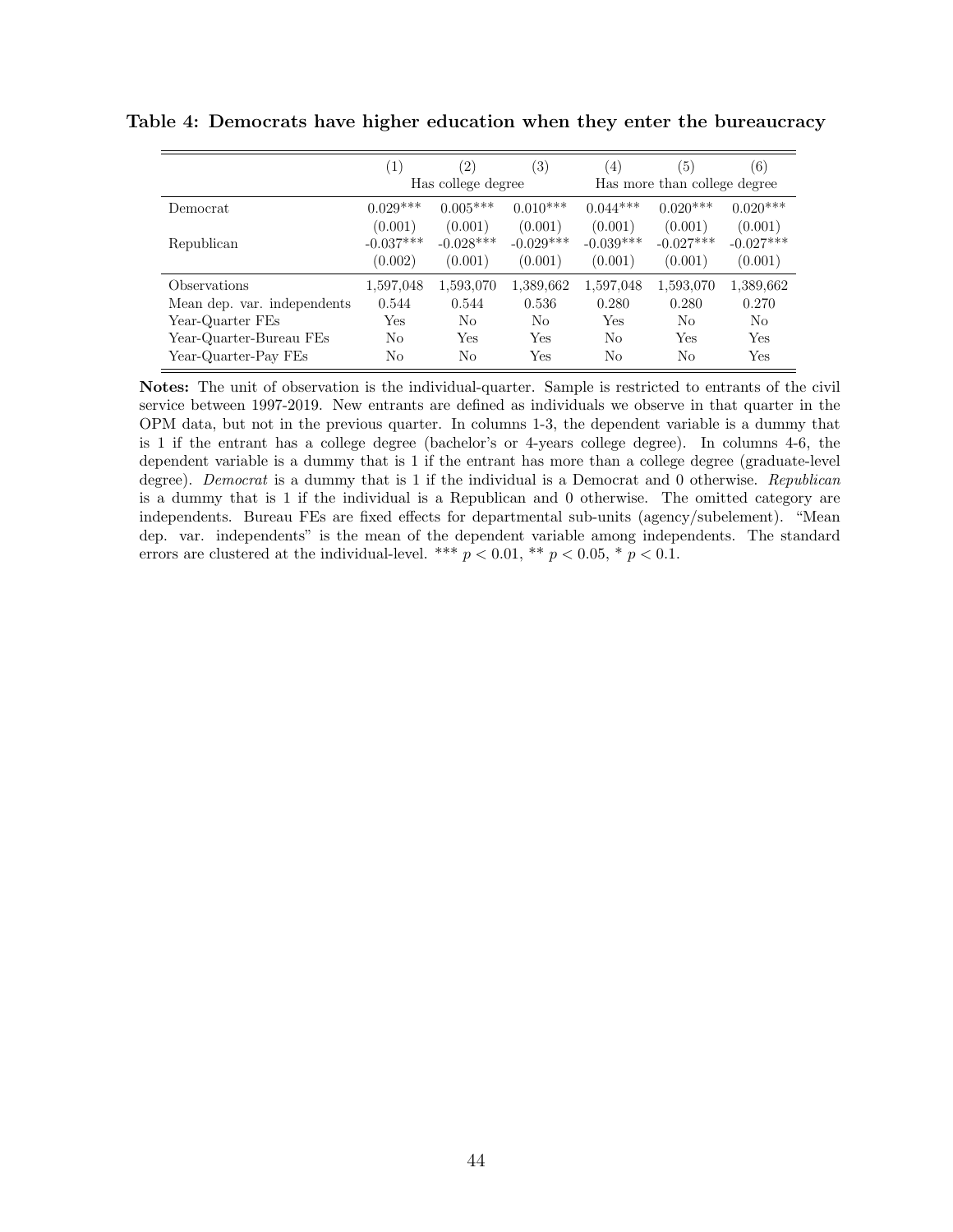|                             | (1)         | $^{\prime}2)$      | 3)          | $^{(4)}$       | $\left(5\right)$             | (6)            |
|-----------------------------|-------------|--------------------|-------------|----------------|------------------------------|----------------|
|                             |             | Has college degree |             |                | Has more than college degree |                |
| Democrat                    | $0.029***$  | $0.005***$         | $0.010***$  | $0.044***$     | $0.020***$                   | $0.020***$     |
|                             | (0.001)     | (0.001)            | (0.001)     | (0.001)        | (0.001)                      | (0.001)        |
| Republican                  | $-0.037***$ | $-0.028***$        | $-0.029***$ | $-0.039***$    | $-0.027***$                  | $-0.027***$    |
|                             | (0.002)     | (0.001)            | (0.001)     | (0.001)        | (0.001)                      | (0.001)        |
| Observations                | 1,597,048   | 1,593,070          | 1,389,662   | 1,597,048      | 1,593,070                    | 1,389,662      |
| Mean dep. var. independents | 0.544       | 0.544              | 0.536       | 0.280          | 0.280                        | 0.270          |
| Year-Quarter FEs            | Yes         | No                 | No          | Yes            | No                           | N <sub>0</sub> |
| Year-Quarter-Bureau FEs     | No          | Yes                | Yes         | N <sub>0</sub> | Yes                          | Yes            |
| Year-Quarter-Pay FEs        | No          | No                 | Yes         | No             | No                           | Yes            |

<span id="page-45-0"></span>Table 4: Democrats have higher education when they enter the bureaucracy

Notes: The unit of observation is the individual-quarter. Sample is restricted to entrants of the civil service between 1997-2019. New entrants are defined as individuals we observe in that quarter in the OPM data, but not in the previous quarter. In columns 1-3, the dependent variable is a dummy that is 1 if the entrant has a college degree (bachelor's or 4-years college degree). In columns 4-6, the dependent variable is a dummy that is 1 if the entrant has more than a college degree (graduate-level degree). Democrat is a dummy that is 1 if the individual is a Democrat and 0 otherwise. Republican is a dummy that is 1 if the individual is a Republican and 0 otherwise. The omitted category are independents. Bureau FEs are fixed effects for departmental sub-units (agency/subelement). "Mean dep. var. independents" is the mean of the dependent variable among independents. The standard errors are clustered at the individual-level. \*\*\*  $p < 0.01$ , \*\*  $p < 0.05$ , \*  $p < 0.1$ .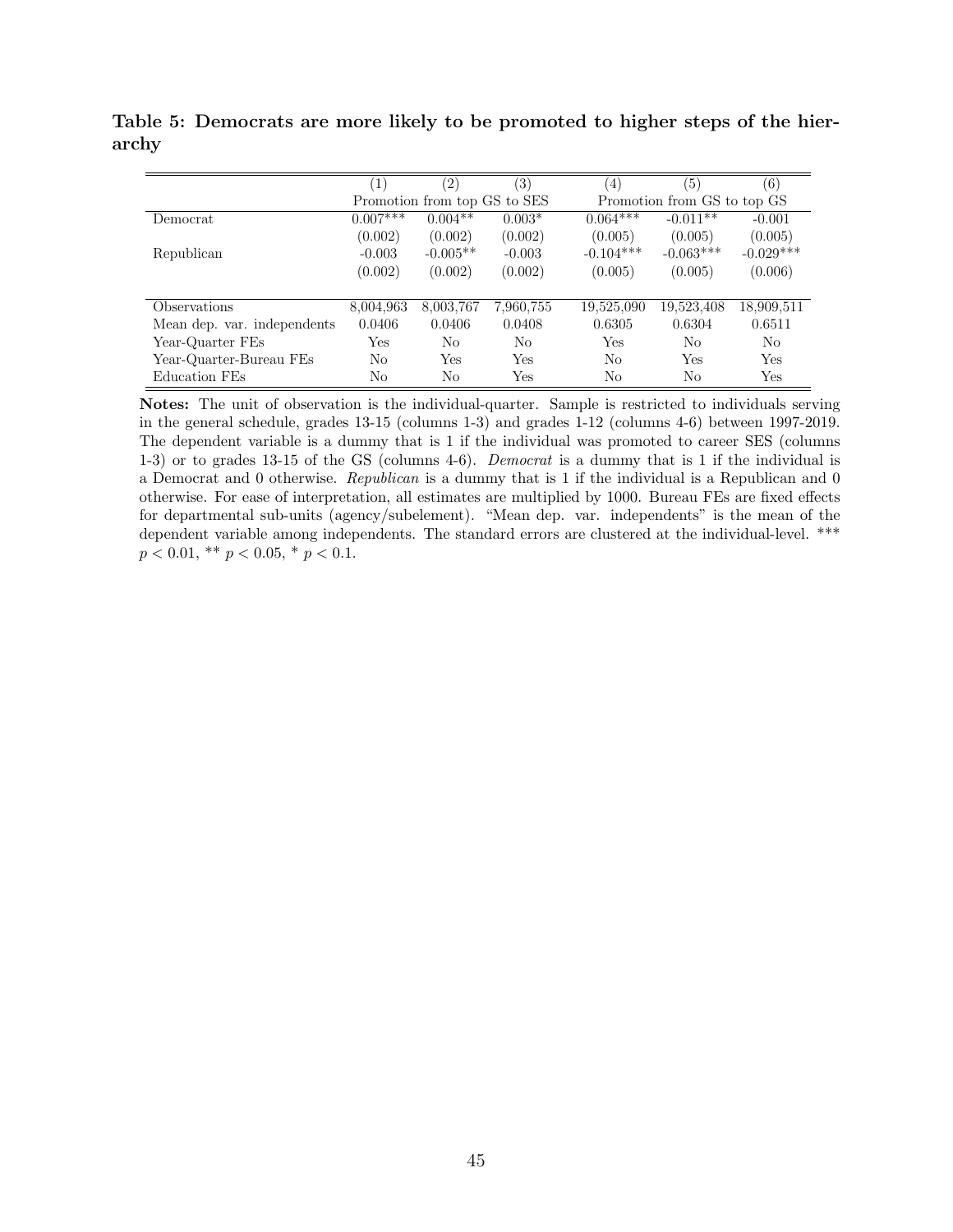<span id="page-46-0"></span>Table 5: Democrats are more likely to be promoted to higher steps of the hierarchy

|                             | $\left 1\right\rangle$ | $^{\prime 2)}$               | 3)        | (4)         | (5)                         | (6)         |
|-----------------------------|------------------------|------------------------------|-----------|-------------|-----------------------------|-------------|
|                             |                        | Promotion from top GS to SES |           |             | Promotion from GS to top GS |             |
| Democrat                    | $0.007***$             | $0.004**$                    | $0.003*$  | $0.064***$  | $-0.011**$                  | $-0.001$    |
|                             | (0.002)                | (0.002)                      | (0.002)   | (0.005)     | (0.005)                     | (0.005)     |
| Republican                  | $-0.003$               | $-0.005**$                   | $-0.003$  | $-0.104***$ | $-0.063***$                 | $-0.029***$ |
|                             | (0.002)                | (0.002)                      | (0.002)   | (0.005)     | (0.005)                     | (0.006)     |
|                             |                        |                              |           |             |                             |             |
| Observations                | 8,004,963              | 8,003,767                    | 7,960,755 | 19,525,090  | 19,523,408                  | 18,909,511  |
| Mean dep. var. independents | 0.0406                 | 0.0406                       | 0.0408    | 0.6305      | 0.6304                      | 0.6511      |
| Year-Quarter FEs            | Yes                    | No                           | No        | Yes         | No                          | No          |
| Year-Quarter-Bureau FEs     | No                     | Yes                          | Yes       | No          | Yes                         | Yes         |
| Education FEs               | No                     | No                           | Yes       | No          | No                          | Yes         |

Notes: The unit of observation is the individual-quarter. Sample is restricted to individuals serving in the general schedule, grades 13-15 (columns 1-3) and grades 1-12 (columns 4-6) between 1997-2019. The dependent variable is a dummy that is 1 if the individual was promoted to career SES (columns 1-3) or to grades 13-15 of the GS (columns 4-6). Democrat is a dummy that is 1 if the individual is a Democrat and 0 otherwise. Republican is a dummy that is 1 if the individual is a Republican and 0 otherwise. For ease of interpretation, all estimates are multiplied by 1000. Bureau FEs are fixed effects for departmental sub-units (agency/subelement). "Mean dep. var. independents" is the mean of the dependent variable among independents. The standard errors are clustered at the individual-level. \*\*\*  $p < 0.01$ , \*\*  $p < 0.05$ , \*  $p < 0.1$ .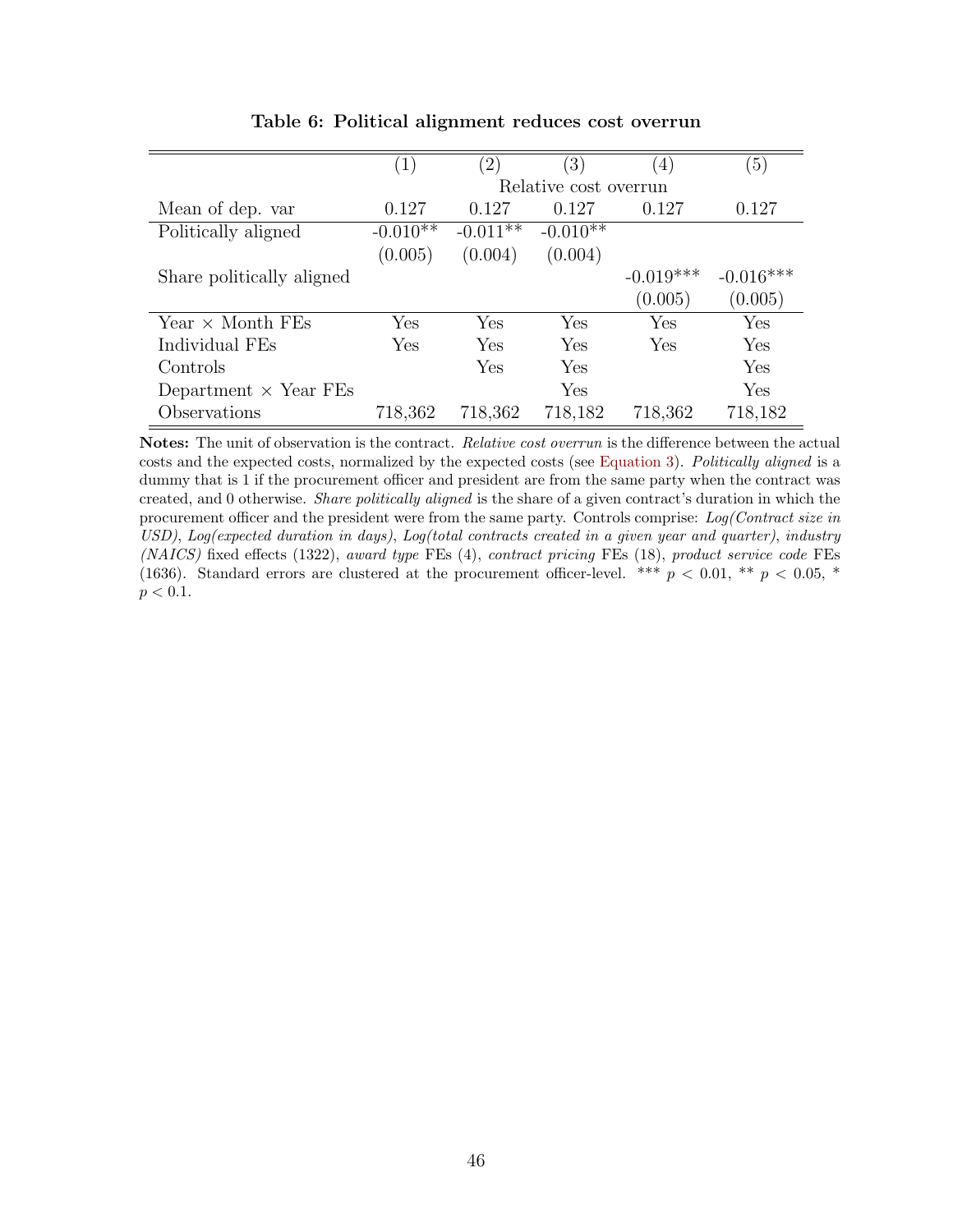<span id="page-47-0"></span>

|                              | 1)                    | $\left( 2\right)$ | $\left(3\right)$ | $\left(4\right)$ | $\left(5\right)$ |  |  |
|------------------------------|-----------------------|-------------------|------------------|------------------|------------------|--|--|
|                              | Relative cost overrun |                   |                  |                  |                  |  |  |
| Mean of dep. var             | 0.127                 | 0.127             | 0.127            | 0.127            | 0.127            |  |  |
| Politically aligned          | $-0.010**$            | $-0.011**$        | $-0.010**$       |                  |                  |  |  |
|                              | (0.005)               | (0.004)           | (0.004)          |                  |                  |  |  |
| Share politically aligned    |                       |                   |                  | $-0.019***$      | $-0.016***$      |  |  |
|                              |                       |                   |                  | (0.005)          | (0.005)          |  |  |
| Year $\times$ Month FEs      | Yes                   | Yes               | Yes              | Yes              | Yes              |  |  |
| Individual FEs               | Yes                   | Yes               | Yes              | Yes              | Yes              |  |  |
| Controls                     |                       | Yes               | Yes              |                  | Yes              |  |  |
| Department $\times$ Year FEs |                       |                   | Yes              |                  | Yes              |  |  |
| Observations                 | 718,362               | 718,362           | 718,182          | 718,362          | 718,182          |  |  |

Table 6: Political alignment reduces cost overrun

Notes: The unit of observation is the contract. Relative cost overrun is the difference between the actual costs and the expected costs, normalized by the expected costs (see [Equation 3\)](#page-21-2). Politically aligned is a dummy that is 1 if the procurement officer and president are from the same party when the contract was created, and 0 otherwise. Share politically aligned is the share of a given contract's duration in which the procurement officer and the president were from the same party. Controls comprise: Log(Contract size in USD), Log(expected duration in days), Log(total contracts created in a given year and quarter), industry (NAICS) fixed effects (1322), award type FEs (4), contract pricing FEs (18), product service code FEs (1636). Standard errors are clustered at the procurement officer-level. \*\*\*  $p < 0.01$ , \*\*  $p < 0.05$ , \*  $p < 0.1$ .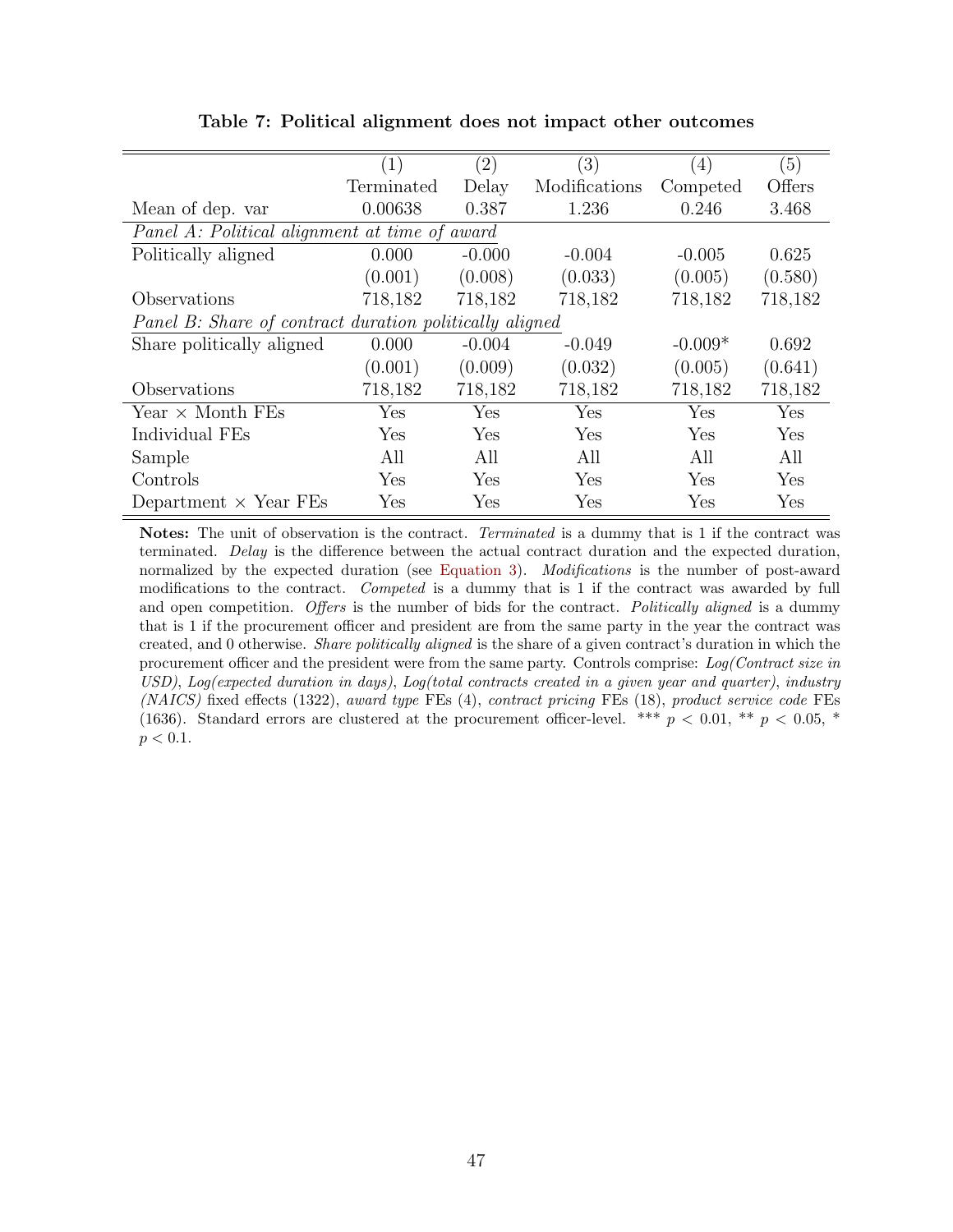<span id="page-48-0"></span>

|                                                         | (1)        | $\left( 2\right)$ | $\left(3\right)$ | (4)       | (5)     |
|---------------------------------------------------------|------------|-------------------|------------------|-----------|---------|
|                                                         | Terminated | Delay             | Modifications    | Competed  | Offers  |
| Mean of dep. var                                        | 0.00638    | 0.387             | 1.236            | 0.246     | 3.468   |
| Panel A: Political alignment at time of award           |            |                   |                  |           |         |
| Politically aligned                                     | 0.000      | $-0.000$          | $-0.004$         | $-0.005$  | 0.625   |
|                                                         | (0.001)    | (0.008)           | (0.033)          | (0.005)   | (0.580) |
| Observations                                            | 718,182    | 718,182           | 718,182          | 718,182   | 718,182 |
| Panel B: Share of contract duration politically aligned |            |                   |                  |           |         |
| Share politically aligned                               | 0.000      | $-0.004$          | $-0.049$         | $-0.009*$ | 0.692   |
|                                                         | (0.001)    | (0.009)           | (0.032)          | (0.005)   | (0.641) |
| Observations                                            | 718,182    | 718,182           | 718,182          | 718,182   | 718,182 |
| Year $\times$ Month FEs                                 | Yes        | Yes               | Yes              | Yes       | Yes     |
| Individual FEs                                          | Yes        | Yes               | Yes              | Yes       | Yes     |
| Sample                                                  | All        | All               | All              | All       | All     |
| Controls                                                | Yes        | Yes               | Yes              | Yes       | Yes     |
| Department $\times$ Year FEs                            | Yes        | Yes               | Yes              | Yes       | Yes     |

Table 7: Political alignment does not impact other outcomes

Notes: The unit of observation is the contract. Terminated is a dummy that is 1 if the contract was terminated. Delay is the difference between the actual contract duration and the expected duration, normalized by the expected duration (see [Equation 3\)](#page-21-2). *Modifications* is the number of post-award modifications to the contract. Competed is a dummy that is 1 if the contract was awarded by full and open competition. Offers is the number of bids for the contract. Politically aligned is a dummy that is 1 if the procurement officer and president are from the same party in the year the contract was created, and 0 otherwise. Share politically aligned is the share of a given contract's duration in which the procurement officer and the president were from the same party. Controls comprise: Log(Contract size in USD), Log(expected duration in days), Log(total contracts created in a given year and quarter), industry (NAICS) fixed effects (1322), award type FEs (4), contract pricing FEs (18), product service code FEs (1636). Standard errors are clustered at the procurement officer-level. \*\*\*  $p < 0.01$ , \*\*  $p < 0.05$ , \*  $p < 0.1$ .